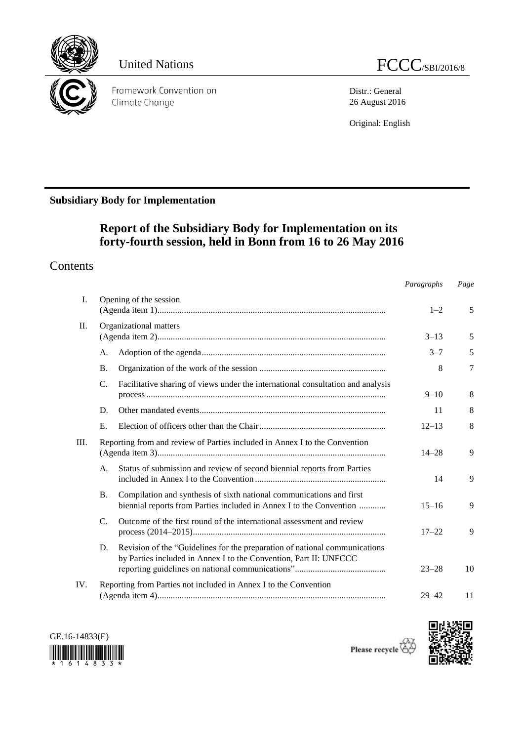

Distr.: General 26 August 2016

Original: English

# **Subsidiary Body for Implementation**

# **Report of the Subsidiary Body for Implementation on its forty-fourth session, held in Bonn from 16 to 26 May 2016**

# **Contents**

|         |                 |                                                                                                                                                 | Paragraphs | Page   |
|---------|-----------------|-------------------------------------------------------------------------------------------------------------------------------------------------|------------|--------|
| I.      |                 | Opening of the session                                                                                                                          | $1 - 2$    | 5      |
| $\Pi$ . |                 | Organizational matters                                                                                                                          |            |        |
|         |                 |                                                                                                                                                 | $3 - 13$   | 5      |
|         | A.              |                                                                                                                                                 | $3 - 7$    | 5      |
|         | <b>B.</b>       |                                                                                                                                                 | 8          | $\tau$ |
|         | $\mathcal{C}$ . | Facilitative sharing of views under the international consultation and analysis                                                                 | $9 - 10$   | 8      |
|         | D.              |                                                                                                                                                 | 11         | 8      |
|         | E.              |                                                                                                                                                 | $12 - 13$  | 8      |
| III.    |                 | Reporting from and review of Parties included in Annex I to the Convention                                                                      | $14 - 28$  | 9      |
|         | A.              | Status of submission and review of second biennial reports from Parties                                                                         | 14         | 9      |
|         | <b>B.</b>       | Compilation and synthesis of sixth national communications and first<br>biennial reports from Parties included in Annex I to the Convention     | $15 - 16$  | 9      |
|         | $C_{\cdot}$     | Outcome of the first round of the international assessment and review                                                                           | $17 - 22$  | 9      |
|         | D.              | Revision of the "Guidelines for the preparation of national communications<br>by Parties included in Annex I to the Convention, Part II: UNFCCC | $23 - 28$  | 10     |
| IV.     |                 | Reporting from Parties not included in Annex I to the Convention                                                                                | $29 - 42$  | 11     |



Please recycle  $\overline{\mathfrak{S}}$ 

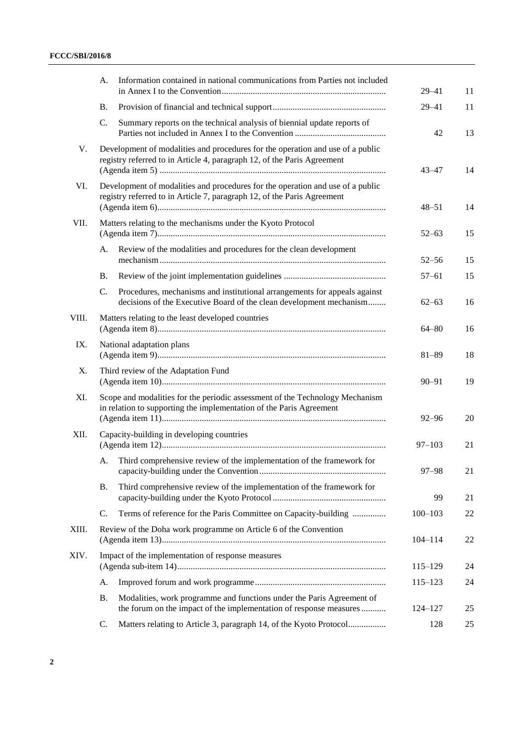|       | А.        | Information contained in national communications from Parties not included                                                                                | $29 - 41$   | 11 |
|-------|-----------|-----------------------------------------------------------------------------------------------------------------------------------------------------------|-------------|----|
|       | <b>B.</b> |                                                                                                                                                           | $29 - 41$   | 11 |
|       | C.        | Summary reports on the technical analysis of biennial update reports of                                                                                   | 42          | 13 |
| V.    |           | Development of modalities and procedures for the operation and use of a public<br>registry referred to in Article 4, paragraph 12, of the Paris Agreement | $43 - 47$   | 14 |
| VI.   |           | Development of modalities and procedures for the operation and use of a public<br>registry referred to in Article 7, paragraph 12, of the Paris Agreement | $48 - 51$   | 14 |
| VII.  |           | Matters relating to the mechanisms under the Kyoto Protocol                                                                                               | $52 - 63$   | 15 |
|       | A.        | Review of the modalities and procedures for the clean development                                                                                         | $52 - 56$   | 15 |
|       | <b>B.</b> |                                                                                                                                                           | $57 - 61$   | 15 |
|       | C.        | Procedures, mechanisms and institutional arrangements for appeals against<br>decisions of the Executive Board of the clean development mechanism          | $62 - 63$   | 16 |
| VIII. |           | Matters relating to the least developed countries                                                                                                         | $64 - 80$   | 16 |
| IX.   |           | National adaptation plans                                                                                                                                 | $81 - 89$   | 18 |
| X.    |           | Third review of the Adaptation Fund                                                                                                                       | $90 - 91$   | 19 |
| XI.   |           | Scope and modalities for the periodic assessment of the Technology Mechanism<br>in relation to supporting the implementation of the Paris Agreement       | $92 - 96$   | 20 |
| XII.  |           | Capacity-building in developing countries                                                                                                                 | $97 - 103$  | 21 |
|       | А.        | Third comprehensive review of the implementation of the framework for                                                                                     | $97 - 98$   | 21 |
|       | <b>B.</b> | Third comprehensive review of the implementation of the framework for                                                                                     | 99          | 21 |
|       | C.        | Terms of reference for the Paris Committee on Capacity-building                                                                                           | $100 - 103$ | 22 |
| XIII. |           | Review of the Doha work programme on Article 6 of the Convention                                                                                          | $104 - 114$ | 22 |
| XIV.  |           | Impact of the implementation of response measures                                                                                                         | $115 - 129$ | 24 |
|       | A.        |                                                                                                                                                           | $115 - 123$ | 24 |
|       | <b>B.</b> | Modalities, work programme and functions under the Paris Agreement of<br>the forum on the impact of the implementation of response measures               | 124-127     | 25 |
|       | C.        | Matters relating to Article 3, paragraph 14, of the Kyoto Protocol                                                                                        | 128         | 25 |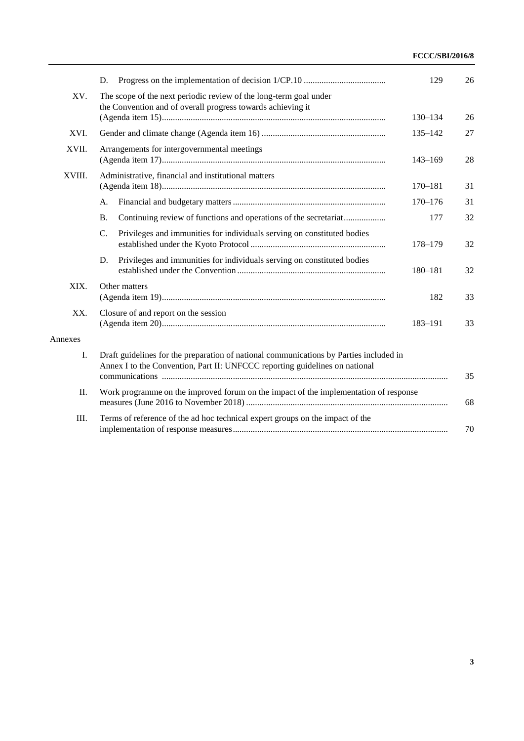|         | D.                                                                                                                                                                    | 129         | 26 |
|---------|-----------------------------------------------------------------------------------------------------------------------------------------------------------------------|-------------|----|
| XV.     | The scope of the next periodic review of the long-term goal under                                                                                                     |             |    |
|         | the Convention and of overall progress towards achieving it                                                                                                           | $130 - 134$ | 26 |
|         |                                                                                                                                                                       |             |    |
| XVI.    |                                                                                                                                                                       | $135 - 142$ | 27 |
| XVII.   | Arrangements for intergovernmental meetings                                                                                                                           | $143 - 169$ | 28 |
| XVIII.  | Administrative, financial and institutional matters                                                                                                                   |             |    |
|         |                                                                                                                                                                       | $170 - 181$ | 31 |
|         | A.                                                                                                                                                                    | $170 - 176$ | 31 |
|         | Continuing review of functions and operations of the secretariat<br><b>B.</b>                                                                                         | 177         | 32 |
|         | Privileges and immunities for individuals serving on constituted bodies<br>$\mathcal{C}$ .                                                                            | 178-179     | 32 |
|         | Privileges and immunities for individuals serving on constituted bodies<br>D.                                                                                         | 180-181     | 32 |
| XIX.    | Other matters                                                                                                                                                         |             |    |
|         |                                                                                                                                                                       | 182         | 33 |
| XX.     | Closure of and report on the session                                                                                                                                  | 183-191     | 33 |
| Annexes |                                                                                                                                                                       |             |    |
| I.      | Draft guidelines for the preparation of national communications by Parties included in<br>Annex I to the Convention, Part II: UNFCCC reporting guidelines on national |             | 35 |
| Π.      | Work programme on the improved forum on the impact of the implementation of response                                                                                  |             | 68 |
| III.    | Terms of reference of the ad hoc technical expert groups on the impact of the                                                                                         |             | 70 |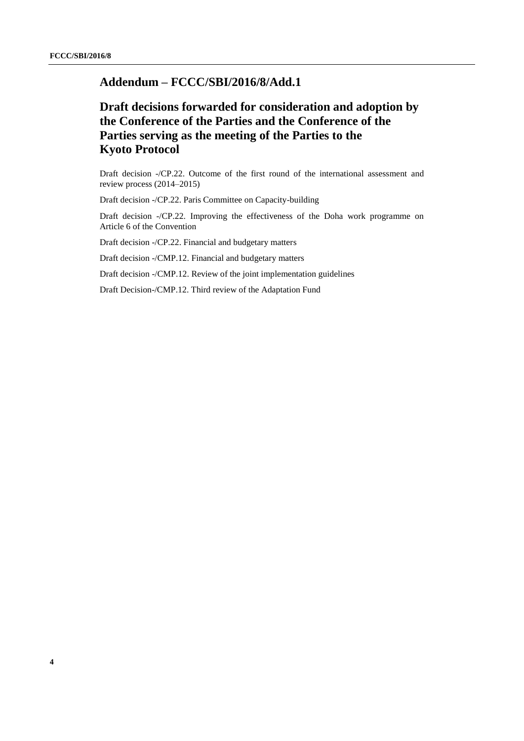# **Addendum – FCCC/SBI/2016/8/Add.1**

# **Draft decisions forwarded for consideration and adoption by the Conference of the Parties and the Conference of the Parties serving as the meeting of the Parties to the Kyoto Protocol**

Draft decision -/CP.22. Outcome of the first round of the international assessment and review process (2014–2015)

Draft decision -/CP.22. Paris Committee on Capacity-building

Draft decision -/CP.22. Improving the effectiveness of the Doha work programme on Article 6 of the Convention

Draft decision -/CP.22. Financial and budgetary matters

Draft decision -/CMP.12. Financial and budgetary matters

Draft decision -/CMP.12. Review of the joint implementation guidelines

Draft Decision-/CMP.12. Third review of the Adaptation Fund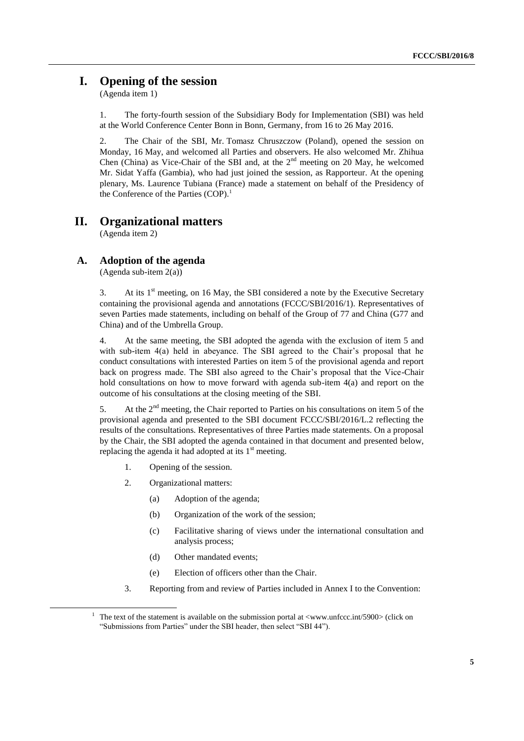# **I. Opening of the session**

(Agenda item 1)

1. The forty-fourth session of the Subsidiary Body for Implementation (SBI) was held at the World Conference Center Bonn in Bonn, Germany, from 16 to 26 May 2016.

2. The Chair of the SBI, Mr. Tomasz Chruszczow (Poland), opened the session on Monday, 16 May, and welcomed all Parties and observers. He also welcomed Mr. Zhihua Chen (China) as Vice-Chair of the SBI and, at the  $2<sup>nd</sup>$  meeting on 20 May, he welcomed Mr. Sidat Yaffa (Gambia), who had just joined the session, as Rapporteur. At the opening plenary, Ms. Laurence Tubiana (France) made a statement on behalf of the Presidency of the Conference of the Parties  $(COP)$ .<sup>1</sup>

# **II. Organizational matters**

(Agenda item 2)

## **A. Adoption of the agenda**

(Agenda sub-item 2(a))

3. At its  $1<sup>st</sup>$  meeting, on 16 May, the SBI considered a note by the Executive Secretary containing the provisional agenda and annotations (FCCC/SBI/2016/1). Representatives of seven Parties made statements, including on behalf of the Group of 77 and China (G77 and China) and of the Umbrella Group.

4. At the same meeting, the SBI adopted the agenda with the exclusion of item 5 and with sub-item 4(a) held in abeyance. The SBI agreed to the Chair's proposal that he conduct consultations with interested Parties on item 5 of the provisional agenda and report back on progress made. The SBI also agreed to the Chair's proposal that the Vice-Chair hold consultations on how to move forward with agenda sub-item 4(a) and report on the outcome of his consultations at the closing meeting of the SBI.

5. At the 2<sup>nd</sup> meeting, the Chair reported to Parties on his consultations on item 5 of the provisional agenda and presented to the SBI document FCCC/SBI/2016/L.2 reflecting the results of the consultations. Representatives of three Parties made statements. On a proposal by the Chair, the SBI adopted the agenda contained in that document and presented below, replacing the agenda it had adopted at its  $1<sup>st</sup>$  meeting.

- 1. Opening of the session.
- 2. Organizational matters:

- (a) Adoption of the agenda;
- (b) Organization of the work of the session;
- (c) Facilitative sharing of views under the international consultation and analysis process;
- (d) Other mandated events;
- (e) Election of officers other than the Chair.
- 3. Reporting from and review of Parties included in Annex I to the Convention:

<sup>&</sup>lt;sup>1</sup> The text of the statement is available on the submission portal at  $\langle$ www.unfccc.int/5900> (click on "Submissions from Parties" under the SBI header, then select "SBI 44").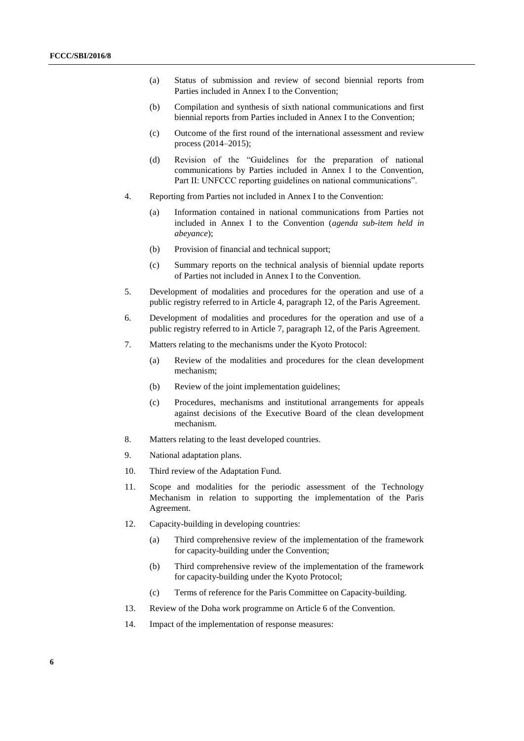- (a) Status of submission and review of second biennial reports from Parties included in Annex I to the Convention;
- (b) Compilation and synthesis of sixth national communications and first biennial reports from Parties included in Annex I to the Convention;
- (c) Outcome of the first round of the international assessment and review process (2014–2015);
- (d) Revision of the "Guidelines for the preparation of national communications by Parties included in Annex I to the Convention, Part II: UNFCCC reporting guidelines on national communications".
- 4. Reporting from Parties not included in Annex I to the Convention:
	- (a) Information contained in national communications from Parties not included in Annex I to the Convention (*agenda sub-item held in abeyance*);
	- (b) Provision of financial and technical support;
	- (c) Summary reports on the technical analysis of biennial update reports of Parties not included in Annex I to the Convention.
- 5. Development of modalities and procedures for the operation and use of a public registry referred to in Article 4, paragraph 12, of the Paris Agreement.
- 6. Development of modalities and procedures for the operation and use of a public registry referred to in Article 7, paragraph 12, of the Paris Agreement.
- 7. Matters relating to the mechanisms under the Kyoto Protocol:
	- (a) Review of the modalities and procedures for the clean development mechanism;
	- (b) Review of the joint implementation guidelines;
	- (c) Procedures, mechanisms and institutional arrangements for appeals against decisions of the Executive Board of the clean development mechanism.
- 8. Matters relating to the least developed countries.
- 9. National adaptation plans.
- 10. Third review of the Adaptation Fund.
- 11. Scope and modalities for the periodic assessment of the Technology Mechanism in relation to supporting the implementation of the Paris Agreement.
- 12. Capacity-building in developing countries:
	- (a) Third comprehensive review of the implementation of the framework for capacity-building under the Convention;
	- (b) Third comprehensive review of the implementation of the framework for capacity-building under the Kyoto Protocol;
	- (c) Terms of reference for the Paris Committee on Capacity-building.
- 13. Review of the Doha work programme on Article 6 of the Convention.
- 14. Impact of the implementation of response measures: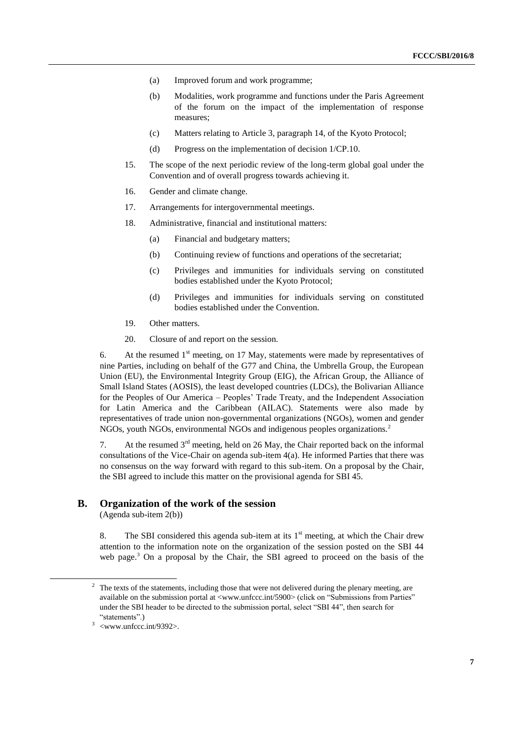- (a) Improved forum and work programme;
- (b) Modalities, work programme and functions under the Paris Agreement of the forum on the impact of the implementation of response measures;
- (c) Matters relating to Article 3, paragraph 14, of the Kyoto Protocol;
- (d) Progress on the implementation of decision 1/CP.10.
- 15. The scope of the next periodic review of the long-term global goal under the Convention and of overall progress towards achieving it.
- 16. Gender and climate change.
- 17. Arrangements for intergovernmental meetings.
- 18. Administrative, financial and institutional matters:
	- (a) Financial and budgetary matters;
	- (b) Continuing review of functions and operations of the secretariat;
	- (c) Privileges and immunities for individuals serving on constituted bodies established under the Kyoto Protocol;
	- (d) Privileges and immunities for individuals serving on constituted bodies established under the Convention.
- 19. Other matters.
- 20. Closure of and report on the session.

6. At the resumed  $1<sup>st</sup>$  meeting, on 17 May, statements were made by representatives of nine Parties, including on behalf of the G77 and China, the Umbrella Group, the European Union (EU), the Environmental Integrity Group (EIG), the African Group, the Alliance of Small Island States (AOSIS), the least developed countries (LDCs), the Bolivarian Alliance for the Peoples of Our America – Peoples' Trade Treaty, and the Independent Association for Latin America and the Caribbean (AILAC). Statements were also made by representatives of trade union non-governmental organizations (NGOs), women and gender NGOs, youth NGOs, environmental NGOs and indigenous peoples organizations.<sup>2</sup>

7. At the resumed  $3<sup>rd</sup>$  meeting, held on 26 May, the Chair reported back on the informal consultations of the Vice-Chair on agenda sub-item 4(a). He informed Parties that there was no consensus on the way forward with regard to this sub-item. On a proposal by the Chair, the SBI agreed to include this matter on the provisional agenda for SBI 45.

#### **B. Organization of the work of the session**

(Agenda sub-item 2(b))

8. The SBI considered this agenda sub-item at its  $1<sup>st</sup>$  meeting, at which the Chair drew attention to the information note on the organization of the session posted on the SBI 44 web page.<sup>3</sup> On a proposal by the Chair, the SBI agreed to proceed on the basis of the

<sup>&</sup>lt;sup>2</sup> The texts of the statements, including those that were not delivered during the plenary meeting, are available on the submission portal at <www.unfccc.int/5900> (click on "Submissions from Parties" under the SBI header to be directed to the submission portal, select "SBI 44", then search for "statements".)

 $3$  <www.unfccc.int/9392>.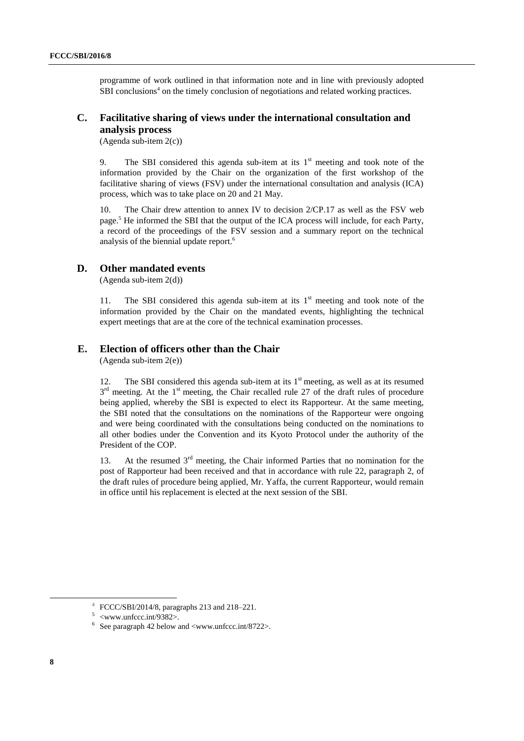programme of work outlined in that information note and in line with previously adopted SBI conclusions<sup>4</sup> on the timely conclusion of negotiations and related working practices.

## **C. Facilitative sharing of views under the international consultation and analysis process**

(Agenda sub-item 2(c))

9. The SBI considered this agenda sub-item at its  $1<sup>st</sup>$  meeting and took note of the information provided by the Chair on the organization of the first workshop of the facilitative sharing of views (FSV) under the international consultation and analysis (ICA) process, which was to take place on 20 and 21 May.

10. The Chair drew attention to annex IV to decision 2/CP.17 as well as the FSV web page.<sup>5</sup> He informed the SBI that the output of the ICA process will include, for each Party, a record of the proceedings of the FSV session and a summary report on the technical analysis of the biennial update report.<sup>6</sup>

## **D. Other mandated events**

(Agenda sub-item 2(d))

11. The SBI considered this agenda sub-item at its  $1<sup>st</sup>$  meeting and took note of the information provided by the Chair on the mandated events, highlighting the technical expert meetings that are at the core of the technical examination processes.

## **E. Election of officers other than the Chair**

(Agenda sub-item 2(e))

12. The SBI considered this agenda sub-item at its  $1<sup>st</sup>$  meeting, as well as at its resumed  $3<sup>rd</sup>$  meeting. At the 1<sup>st</sup> meeting, the Chair recalled rule 27 of the draft rules of procedure being applied, whereby the SBI is expected to elect its Rapporteur. At the same meeting, the SBI noted that the consultations on the nominations of the Rapporteur were ongoing and were being coordinated with the consultations being conducted on the nominations to all other bodies under the Convention and its Kyoto Protocol under the authority of the President of the COP.

13. At the resumed  $3<sup>rd</sup>$  meeting, the Chair informed Parties that no nomination for the post of Rapporteur had been received and that in accordance with rule 22, paragraph 2, of the draft rules of procedure being applied, Mr. Yaffa, the current Rapporteur, would remain in office until his replacement is elected at the next session of the SBI.

1

<sup>4</sup> FCCC/SBI/2014/8, paragraphs 213 and 218–221.

 $5$  <www.unfccc.int/9382>.

 $6$  See paragraph 42 below and  $\langle$ www.unfccc.int/8722>.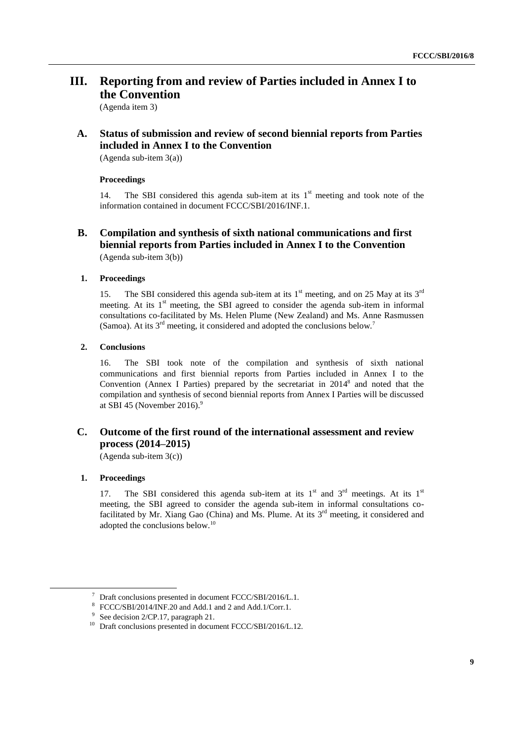# **III. Reporting from and review of Parties included in Annex I to the Convention**

(Agenda item 3)

# **A. Status of submission and review of second biennial reports from Parties included in Annex I to the Convention**

(Agenda sub-item 3(a))

#### **Proceedings**

14. The SBI considered this agenda sub-item at its  $1<sup>st</sup>$  meeting and took note of the information contained in document FCCC/SBI/2016/INF.1.

## **B. Compilation and synthesis of sixth national communications and first biennial reports from Parties included in Annex I to the Convention** (Agenda sub-item 3(b))

### **1. Proceedings**

15. The SBI considered this agenda sub-item at its  $1<sup>st</sup>$  meeting, and on 25 May at its  $3<sup>rd</sup>$ meeting. At its  $1<sup>st</sup>$  meeting, the SBI agreed to consider the agenda sub-item in informal consultations co-facilitated by Ms. Helen Plume (New Zealand) and Ms. Anne Rasmussen (Samoa). At its  $3<sup>rd</sup>$  meeting, it considered and adopted the conclusions below.<sup>7</sup>

### **2. Conclusions**

16. The SBI took note of the compilation and synthesis of sixth national communications and first biennial reports from Parties included in Annex I to the Convention (Annex I Parties) prepared by the secretariat in 2014<sup>8</sup> and noted that the compilation and synthesis of second biennial reports from Annex I Parties will be discussed at SBI 45 (November 2016).<sup>9</sup>

## **C. Outcome of the first round of the international assessment and review process (2014–2015)**

(Agenda sub-item 3(c))

## **1. Proceedings**

-

17. The SBI considered this agenda sub-item at its  $1<sup>st</sup>$  and  $3<sup>rd</sup>$  meetings. At its  $1<sup>st</sup>$ meeting, the SBI agreed to consider the agenda sub-item in informal consultations cofacilitated by Mr. Xiang Gao (China) and Ms. Plume. At its  $3<sup>rd</sup>$  meeting, it considered and adopted the conclusions below.<sup>10</sup>

<sup>7</sup> Draft conclusions presented in document FCCC/SBI/2016/L.1.

<sup>8</sup> FCCC/SBI/2014/INF.20 and Add.1 and 2 and Add.1/Corr.1.

 $9^9$  See decision 2/CP.17, paragraph 21.

<sup>&</sup>lt;sup>10</sup> Draft conclusions presented in document FCCC/SBI/2016/L.12.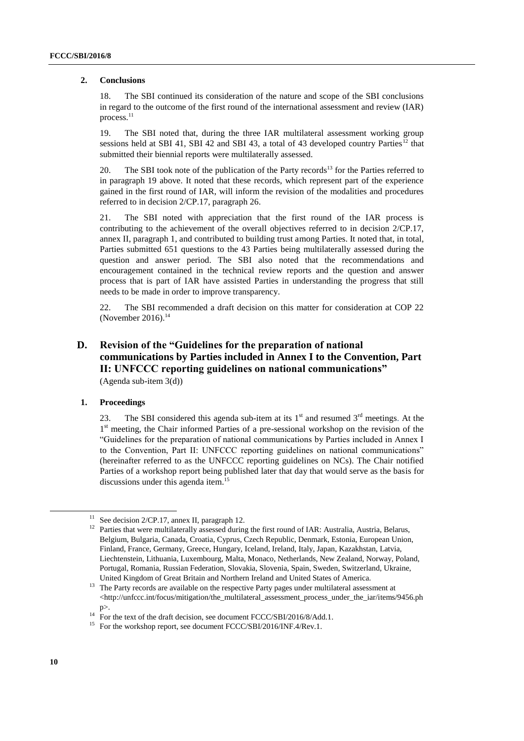#### **2. Conclusions**

18. The SBI continued its consideration of the nature and scope of the SBI conclusions in regard to the outcome of the first round of the international assessment and review (IAR) process.<sup>11</sup>

19. The SBI noted that, during the three IAR multilateral assessment working group sessions held at SBI 41, SBI 42 and SBI 43, a total of 43 developed country Parties<sup>12</sup> that submitted their biennial reports were multilaterally assessed.

20. The SBI took note of the publication of the Party records<sup>13</sup> for the Parties referred to in paragraph 19 above. It noted that these records, which represent part of the experience gained in the first round of IAR, will inform the revision of the modalities and procedures referred to in decision 2/CP.17, paragraph 26.

21. The SBI noted with appreciation that the first round of the IAR process is contributing to the achievement of the overall objectives referred to in decision 2/CP.17, annex II, paragraph 1, and contributed to building trust among Parties. It noted that, in total, Parties submitted 651 questions to the 43 Parties being multilaterally assessed during the question and answer period. The SBI also noted that the recommendations and encouragement contained in the technical review reports and the question and answer process that is part of IAR have assisted Parties in understanding the progress that still needs to be made in order to improve transparency.

22. The SBI recommended a draft decision on this matter for consideration at COP 22 (November 2016). $14$ 

## **D. Revision of the "Guidelines for the preparation of national communications by Parties included in Annex I to the Convention, Part II: UNFCCC reporting guidelines on national communications"** (Agenda sub-item 3(d))

#### **1. Proceedings**

23. The SBI considered this agenda sub-item at its  $1<sup>st</sup>$  and resumed  $3<sup>rd</sup>$  meetings. At the 1<sup>st</sup> meeting, the Chair informed Parties of a pre-sessional workshop on the revision of the "Guidelines for the preparation of national communications by Parties included in Annex I to the Convention, Part II: UNFCCC reporting guidelines on national communications" (hereinafter referred to as the UNFCCC reporting guidelines on NCs). The Chair notified Parties of a workshop report being published later that day that would serve as the basis for discussions under this agenda item. 15

1

See decision 2/CP.17, annex II, paragraph 12.

<sup>&</sup>lt;sup>12</sup> Parties that were multilaterally assessed during the first round of IAR: Australia, Austria, Belarus, Belgium, Bulgaria, Canada, Croatia, Cyprus, Czech Republic, Denmark, Estonia, European Union, Finland, France, Germany, Greece, Hungary, Iceland, Ireland, Italy, Japan, Kazakhstan, Latvia, Liechtenstein, Lithuania, Luxembourg, Malta, Monaco, Netherlands, New Zealand, Norway, Poland, Portugal, Romania, Russian Federation, Slovakia, Slovenia, Spain, Sweden, Switzerland, Ukraine, United Kingdom of Great Britain and Northern Ireland and United States of America.

<sup>&</sup>lt;sup>13</sup> The Party records are available on the respective Party pages under multilateral assessment at <http://unfccc.int/focus/mitigation/the\_multilateral\_assessment\_process\_under\_the\_iar/items/9456.ph p>.

 $14$  For the text of the draft decision, see document FCCC/SBI/2016/8/Add.1.

<sup>&</sup>lt;sup>15</sup> For the workshop report, see document FCCC/SBI/2016/INF.4/Rev.1.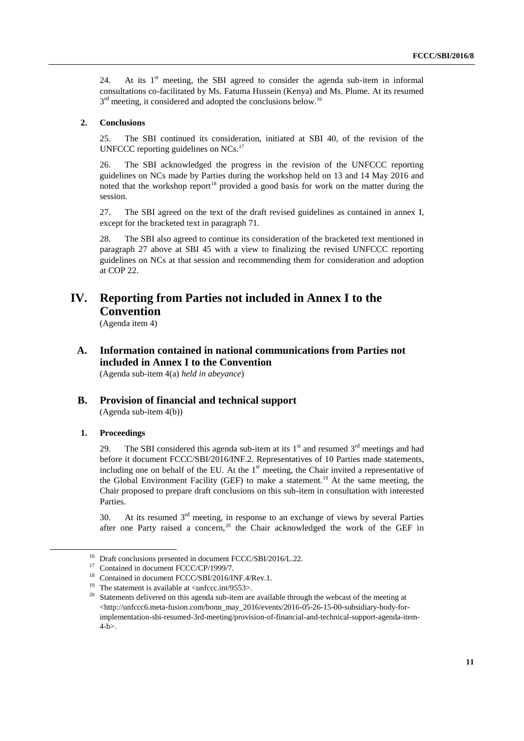24. At its  $1<sup>st</sup>$  meeting, the SBI agreed to consider the agenda sub-item in informal consultations co-facilitated by Ms. Fatuma Hussein (Kenya) and Ms. Plume. At its resumed 3<sup>rd</sup> meeting, it considered and adopted the conclusions below.<sup>16</sup>

#### **2. Conclusions**

25. The SBI continued its consideration, initiated at SBI 40, of the revision of the UNFCCC reporting guidelines on NCs.<sup>17</sup>

26. The SBI acknowledged the progress in the revision of the UNFCCC reporting guidelines on NCs made by Parties during the workshop held on 13 and 14 May 2016 and noted that the workshop report<sup>18</sup> provided a good basis for work on the matter during the session.

27. The SBI agreed on the text of the draft revised guidelines as contained in annex I, except for the bracketed text in paragraph 71.

28. The SBI also agreed to continue its consideration of the bracketed text mentioned in paragraph 27 above at SBI 45 with a view to finalizing the revised UNFCCC reporting guidelines on NCs at that session and recommending them for consideration and adoption at COP 22.

# **IV. Reporting from Parties not included in Annex I to the Convention**

(Agenda item 4)

**A. Information contained in national communications from Parties not included in Annex I to the Convention**

(Agenda sub-item 4(a) *held in abeyance*)

**B. Provision of financial and technical support** (Agenda sub-item 4(b))

#### **1. Proceedings**

-

29. The SBI considered this agenda sub-item at its  $1<sup>st</sup>$  and resumed  $3<sup>rd</sup>$  meetings and had before it document FCCC/SBI/2016/INF.2. Representatives of 10 Parties made statements, including one on behalf of the EU. At the  $1<sup>st</sup>$  meeting, the Chair invited a representative of the Global Environment Facility (GEF) to make a statement.<sup>19</sup> At the same meeting, the Chair proposed to prepare draft conclusions on this sub-item in consultation with interested Parties.

30. At its resumed  $3<sup>rd</sup>$  meeting, in response to an exchange of views by several Parties after one Party raised a concern,<sup>20</sup> the Chair acknowledged the work of the GEF in

<sup>&</sup>lt;sup>16</sup> Draft conclusions presented in document FCCC/SBI/2016/L.22.

<sup>&</sup>lt;sup>17</sup> Contained in document FCCC/CP/1999/7.

<sup>&</sup>lt;sup>18</sup> Contained in document FCCC/SBI/2016/INF.4/Rev.1.

<sup>&</sup>lt;sup>19</sup> The statement is available at  $\langle$ unfccc.int/9553>.

<sup>&</sup>lt;sup>20</sup> Statements delivered on this agenda sub-item are available through the webcast of the meeting at <http://unfccc6.meta-fusion.com/bonn\_may\_2016/events/2016-05-26-15-00-subsidiary-body-forimplementation-sbi-resumed-3rd-meeting/provision-of-financial-and-technical-support-agenda-item-4-b>.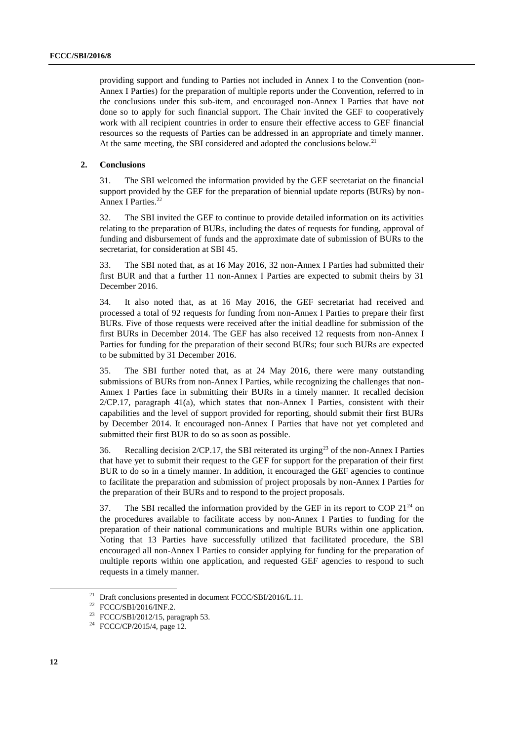providing support and funding to Parties not included in Annex I to the Convention (non-Annex I Parties) for the preparation of multiple reports under the Convention, referred to in the conclusions under this sub-item, and encouraged non-Annex I Parties that have not done so to apply for such financial support. The Chair invited the GEF to cooperatively work with all recipient countries in order to ensure their effective access to GEF financial resources so the requests of Parties can be addressed in an appropriate and timely manner. At the same meeting, the SBI considered and adopted the conclusions below.<sup>21</sup>

#### **2. Conclusions**

31. The SBI welcomed the information provided by the GEF secretariat on the financial support provided by the GEF for the preparation of biennial update reports (BURs) by non-Annex I Parties.<sup>22</sup>

32. The SBI invited the GEF to continue to provide detailed information on its activities relating to the preparation of BURs, including the dates of requests for funding, approval of funding and disbursement of funds and the approximate date of submission of BURs to the secretariat, for consideration at SBI 45.

33. The SBI noted that, as at 16 May 2016, 32 non-Annex I Parties had submitted their first BUR and that a further 11 non-Annex I Parties are expected to submit theirs by 31 December 2016.

34. It also noted that, as at 16 May 2016, the GEF secretariat had received and processed a total of 92 requests for funding from non-Annex I Parties to prepare their first BURs. Five of those requests were received after the initial deadline for submission of the first BURs in December 2014. The GEF has also received 12 requests from non-Annex I Parties for funding for the preparation of their second BURs; four such BURs are expected to be submitted by 31 December 2016.

35. The SBI further noted that, as at 24 May 2016, there were many outstanding submissions of BURs from non-Annex I Parties, while recognizing the challenges that non-Annex I Parties face in submitting their BURs in a timely manner. It recalled decision  $2/CP.17$ , paragraph  $41(a)$ , which states that non-Annex I Parties, consistent with their capabilities and the level of support provided for reporting, should submit their first BURs by December 2014. It encouraged non-Annex I Parties that have not yet completed and submitted their first BUR to do so as soon as possible.

36. Recalling decision  $2/CP.17$ , the SBI reiterated its urging<sup>23</sup> of the non-Annex I Parties that have yet to submit their request to the GEF for support for the preparation of their first BUR to do so in a timely manner. In addition, it encouraged the GEF agencies to continue to facilitate the preparation and submission of project proposals by non-Annex I Parties for the preparation of their BURs and to respond to the project proposals.

37. The SBI recalled the information provided by the GEF in its report to COP  $21^{24}$  on the procedures available to facilitate access by non-Annex I Parties to funding for the preparation of their national communications and multiple BURs within one application. Noting that 13 Parties have successfully utilized that facilitated procedure, the SBI encouraged all non-Annex I Parties to consider applying for funding for the preparation of multiple reports within one application, and requested GEF agencies to respond to such requests in a timely manner.

<sup>&</sup>lt;sup>21</sup> Draft conclusions presented in document FCCC/SBI/2016/L.11.

<sup>22</sup> FCCC/SBI/2016/INF.2.

<sup>23</sup> FCCC/SBI/2012/15, paragraph 53.

<sup>24</sup> FCCC/CP/2015/4, page 12.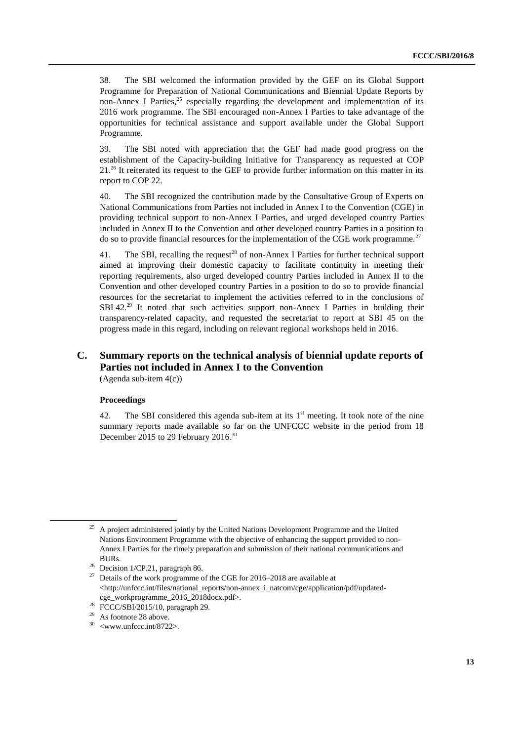38. The SBI welcomed the information provided by the GEF on its Global Support Programme for Preparation of National Communications and Biennial Update Reports by non-Annex I Parties, $25$  especially regarding the development and implementation of its 2016 work programme. The SBI encouraged non-Annex I Parties to take advantage of the opportunities for technical assistance and support available under the Global Support Programme.

39. The SBI noted with appreciation that the GEF had made good progress on the establishment of the Capacity-building Initiative for Transparency as requested at COP  $21<sup>26</sup>$  It reiterated its request to the GEF to provide further information on this matter in its report to COP 22.

40. The SBI recognized the contribution made by the Consultative Group of Experts on National Communications from Parties not included in Annex I to the Convention (CGE) in providing technical support to non-Annex I Parties, and urged developed country Parties included in Annex II to the Convention and other developed country Parties in a position to do so to provide financial resources for the implementation of the CGE work programme.<sup>27</sup>

41. The SBI, recalling the request<sup>28</sup> of non-Annex I Parties for further technical support aimed at improving their domestic capacity to facilitate continuity in meeting their reporting requirements, also urged developed country Parties included in Annex II to the Convention and other developed country Parties in a position to do so to provide financial resources for the secretariat to implement the activities referred to in the conclusions of SBI 42.<sup>29</sup> It noted that such activities support non-Annex I Parties in building their transparency-related capacity, and requested the secretariat to report at SBI 45 on the progress made in this regard, including on relevant regional workshops held in 2016.

# **C. Summary reports on the technical analysis of biennial update reports of Parties not included in Annex I to the Convention**

(Agenda sub-item 4(c))

#### **Proceedings**

-

42. The SBI considered this agenda sub-item at its  $1<sup>st</sup>$  meeting. It took note of the nine summary reports made available so far on the UNFCCC website in the period from 18 December 2015 to 29 February 2016.<sup>30</sup>

<sup>&</sup>lt;sup>25</sup> A project administered jointly by the United Nations Development Programme and the United Nations Environment Programme with the objective of enhancing the support provided to non-Annex I Parties for the timely preparation and submission of their national communications and BURs.

<sup>&</sup>lt;sup>26</sup> Decision 1/CP.21, paragraph 86.

<sup>&</sup>lt;sup>27</sup> Details of the work programme of the CGE for 2016–2018 are available at <http://unfccc.int/files/national\_reports/non-annex\_i\_natcom/cge/application/pdf/updatedcge\_workprogramme\_2016\_2018docx.pdf>.

<sup>&</sup>lt;sup>28</sup> FCCC/SBI/2015/10, paragraph 29.

<sup>&</sup>lt;sup>29</sup> As footnote 28 above.

 $30$  <www.unfccc.int/8722>.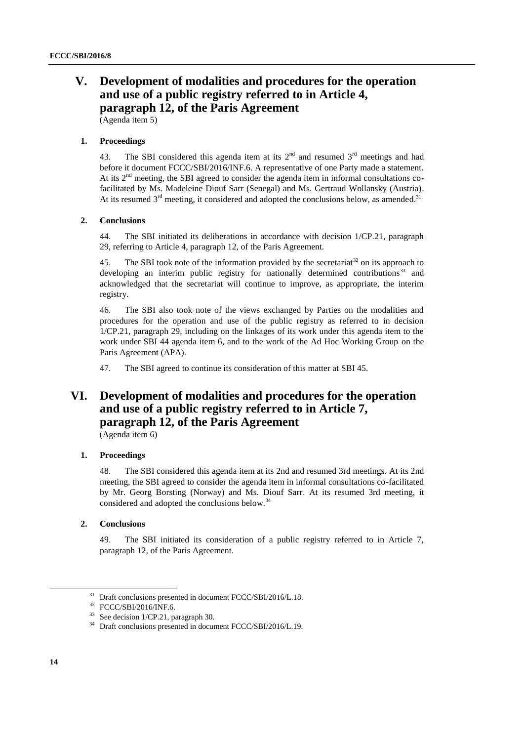# **V. Development of modalities and procedures for the operation and use of a public registry referred to in Article 4, paragraph 12, of the Paris Agreement**

(Agenda item 5)

#### **1. Proceedings**

43. The SBI considered this agenda item at its  $2<sup>nd</sup>$  and resumed  $3<sup>rd</sup>$  meetings and had before it document FCCC/SBI/2016/INF.6. A representative of one Party made a statement. At its 2nd meeting, the SBI agreed to consider the agenda item in informal consultations cofacilitated by Ms. Madeleine Diouf Sarr (Senegal) and Ms. Gertraud Wollansky (Austria). At its resumed 3<sup>rd</sup> meeting, it considered and adopted the conclusions below, as amended.<sup>31</sup>

#### **2. Conclusions**

44. The SBI initiated its deliberations in accordance with decision 1/CP.21, paragraph 29, referring to Article 4, paragraph 12, of the Paris Agreement.

45. The SBI took note of the information provided by the secretariat<sup>32</sup> on its approach to developing an interim public registry for nationally determined contributions<sup>33</sup> and acknowledged that the secretariat will continue to improve, as appropriate, the interim registry.

46. The SBI also took note of the views exchanged by Parties on the modalities and procedures for the operation and use of the public registry as referred to in decision 1/CP.21, paragraph 29, including on the linkages of its work under this agenda item to the work under SBI 44 agenda item 6, and to the work of the Ad Hoc Working Group on the Paris Agreement (APA).

47. The SBI agreed to continue its consideration of this matter at SBI 45.

# **VI. Development of modalities and procedures for the operation and use of a public registry referred to in Article 7, paragraph 12, of the Paris Agreement**

(Agenda item 6)

#### **1. Proceedings**

48. The SBI considered this agenda item at its 2nd and resumed 3rd meetings. At its 2nd meeting, the SBI agreed to consider the agenda item in informal consultations co-facilitated by Mr. Georg Borsting (Norway) and Ms. Diouf Sarr. At its resumed 3rd meeting, it considered and adopted the conclusions below.<sup>34</sup>

#### **2. Conclusions**

49. The SBI initiated its consideration of a public registry referred to in Article 7, paragraph 12, of the Paris Agreement.

 $31$  Draft conclusions presented in document FCCC/SBI/2016/L.18.

<sup>32</sup> FCCC/SBI/2016/INF.6.

<sup>33</sup> See decision 1/CP.21, paragraph 30.

<sup>&</sup>lt;sup>34</sup> Draft conclusions presented in document FCCC/SBI/2016/L.19.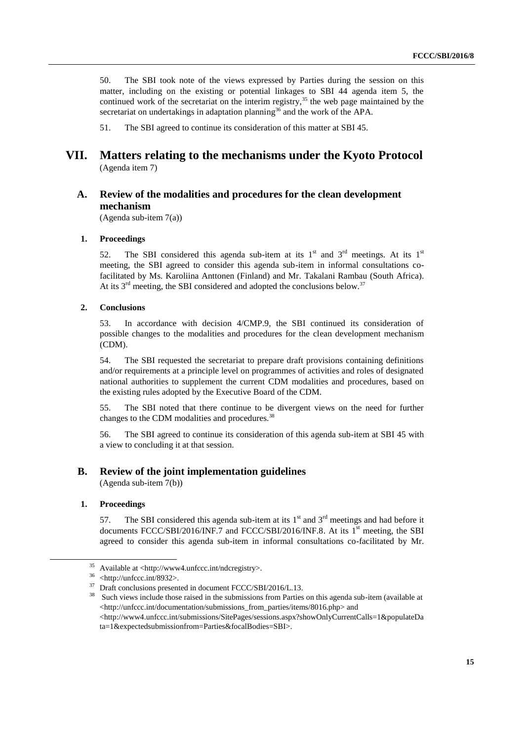50. The SBI took note of the views expressed by Parties during the session on this matter, including on the existing or potential linkages to SBI 44 agenda item 5, the continued work of the secretariat on the interim registry,<sup>35</sup> the web page maintained by the secretariat on undertakings in adaptation planning<sup>36</sup> and the work of the APA.

51. The SBI agreed to continue its consideration of this matter at SBI 45.

## **VII. Matters relating to the mechanisms under the Kyoto Protocol** (Agenda item 7)

## **A. Review of the modalities and procedures for the clean development mechanism**

(Agenda sub-item 7(a))

#### **1. Proceedings**

52. The SBI considered this agenda sub-item at its  $1<sup>st</sup>$  and  $3<sup>rd</sup>$  meetings. At its  $1<sup>st</sup>$ meeting, the SBI agreed to consider this agenda sub-item in informal consultations cofacilitated by Ms. Karoliina Anttonen (Finland) and Mr. Takalani Rambau (South Africa). At its  $3<sup>rd</sup>$  meeting, the SBI considered and adopted the conclusions below.<sup>37</sup>

#### **2. Conclusions**

53. In accordance with decision 4/CMP.9, the SBI continued its consideration of possible changes to the modalities and procedures for the clean development mechanism (CDM).

54. The SBI requested the secretariat to prepare draft provisions containing definitions and/or requirements at a principle level on programmes of activities and roles of designated national authorities to supplement the current CDM modalities and procedures, based on the existing rules adopted by the Executive Board of the CDM.

55. The SBI noted that there continue to be divergent views on the need for further changes to the CDM modalities and procedures.<sup>38</sup>

56. The SBI agreed to continue its consideration of this agenda sub-item at SBI 45 with a view to concluding it at that session.

## **B. Review of the joint implementation guidelines**

(Agenda sub-item 7(b))

#### **1. Proceedings**

-

57. The SBI considered this agenda sub-item at its  $1<sup>st</sup>$  and  $3<sup>rd</sup>$  meetings and had before it documents FCCC/SBI/2016/INF.7 and FCCC/SBI/2016/INF.8. At its 1<sup>st</sup> meeting, the SBI agreed to consider this agenda sub-item in informal consultations co-facilitated by Mr.

 $35$  Available at <http://www4.unfccc.int/ndcregistry>.

 $36$  <http://unfccc.int/8932>.

<sup>&</sup>lt;sup>37</sup> Draft conclusions presented in document FCCC/SBI/2016/L.13.

<sup>&</sup>lt;sup>38</sup> Such views include those raised in the submissions from Parties on this agenda sub-item (available at <http://unfccc.int/documentation/submissions\_from\_parties/items/8016.php> and <http://www4.unfccc.int/submissions/SitePages/sessions.aspx?showOnlyCurrentCalls=1&populateDa ta=1&expectedsubmissionfrom=Parties&focalBodies=SBI>.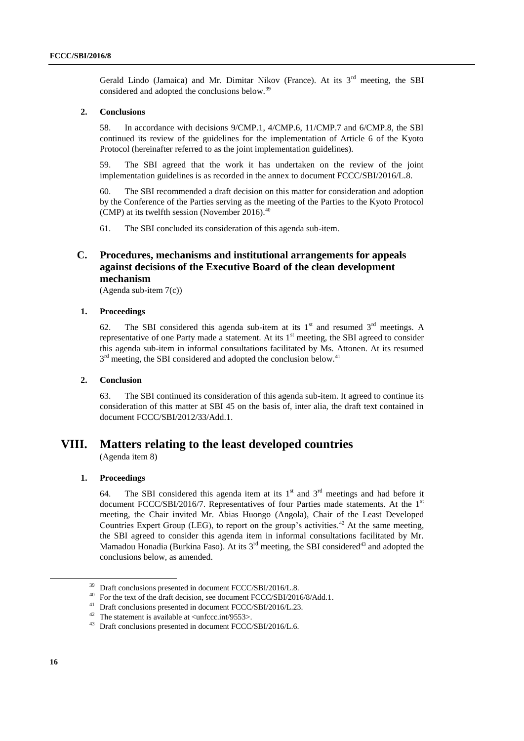Gerald Lindo (Jamaica) and Mr. Dimitar Nikov (France). At its  $3<sup>rd</sup>$  meeting, the SBI considered and adopted the conclusions below.<sup>39</sup>

#### **2. Conclusions**

58. In accordance with decisions 9/CMP.1, 4/CMP.6, 11/CMP.7 and 6/CMP.8, the SBI continued its review of the guidelines for the implementation of Article 6 of the Kyoto Protocol (hereinafter referred to as the joint implementation guidelines).

59. The SBI agreed that the work it has undertaken on the review of the joint implementation guidelines is as recorded in the annex to document FCCC/SBI/2016/L.8.

60. The SBI recommended a draft decision on this matter for consideration and adoption by the Conference of the Parties serving as the meeting of the Parties to the Kyoto Protocol (CMP) at its twelfth session (November 2016). $40$ 

61. The SBI concluded its consideration of this agenda sub-item.

# **C. Procedures, mechanisms and institutional arrangements for appeals against decisions of the Executive Board of the clean development mechanism**

(Agenda sub-item 7(c))

#### **1. Proceedings**

62. The SBI considered this agenda sub-item at its  $1<sup>st</sup>$  and resumed  $3<sup>rd</sup>$  meetings. A representative of one Party made a statement. At its  $1<sup>st</sup>$  meeting, the SBI agreed to consider this agenda sub-item in informal consultations facilitated by Ms. Attonen. At its resumed 3<sup>rd</sup> meeting, the SBI considered and adopted the conclusion below.<sup>41</sup>

#### **2. Conclusion**

63. The SBI continued its consideration of this agenda sub-item. It agreed to continue its consideration of this matter at SBI 45 on the basis of, inter alia, the draft text contained in document FCCC/SBI/2012/33/Add.1.

# **VIII. Matters relating to the least developed countries**

(Agenda item 8)

#### **1. Proceedings**

64. The SBI considered this agenda item at its  $1<sup>st</sup>$  and  $3<sup>rd</sup>$  meetings and had before it document FCCC/SBI/2016/7. Representatives of four Parties made statements. At the 1<sup>st</sup> meeting, the Chair invited Mr. Abias Huongo (Angola), Chair of the Least Developed Countries Expert Group (LEG), to report on the group's activities.<sup>42</sup> At the same meeting, the SBI agreed to consider this agenda item in informal consultations facilitated by Mr. Mamadou Honadia (Burkina Faso). At its  $3<sup>rd</sup>$  meeting, the SBI considered<sup>43</sup> and adopted the conclusions below, as amended.

<sup>&</sup>lt;sup>39</sup> Draft conclusions presented in document FCCC/SBI/2016/L.8.

<sup>&</sup>lt;sup>40</sup> For the text of the draft decision, see document FCCC/SBI/2016/8/Add.1.

<sup>41</sup> Draft conclusions presented in document FCCC/SBI/2016/L.23.

<sup>&</sup>lt;sup>42</sup> The statement is available at  $\langle$ unfccc.int/9553>.

<sup>43</sup> Draft conclusions presented in document FCCC/SBI/2016/L.6.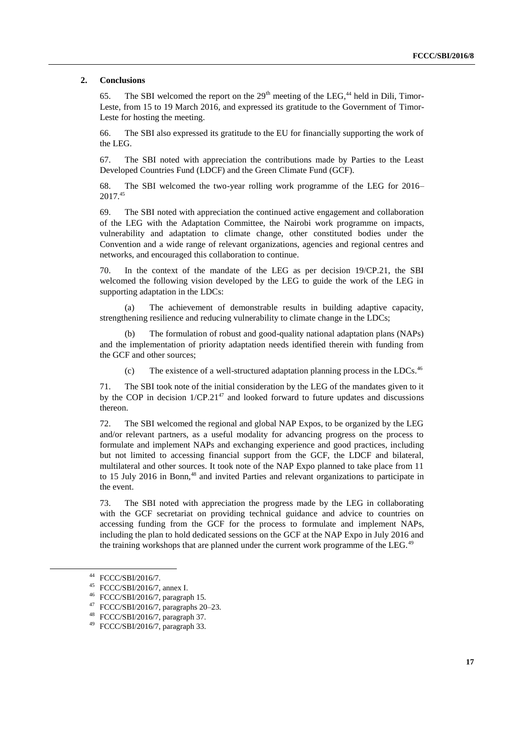#### **2. Conclusions**

65. The SBI welcomed the report on the  $29<sup>th</sup>$  meeting of the LEG.<sup>44</sup> held in Dili. Timor-Leste, from 15 to 19 March 2016, and expressed its gratitude to the Government of Timor-Leste for hosting the meeting.

66. The SBI also expressed its gratitude to the EU for financially supporting the work of the LEG.

67. The SBI noted with appreciation the contributions made by Parties to the Least Developed Countries Fund (LDCF) and the Green Climate Fund (GCF).

68. The SBI welcomed the two-year rolling work programme of the LEG for 2016– 2017.<sup>45</sup>

69. The SBI noted with appreciation the continued active engagement and collaboration of the LEG with the Adaptation Committee, the Nairobi work programme on impacts, vulnerability and adaptation to climate change, other constituted bodies under the Convention and a wide range of relevant organizations, agencies and regional centres and networks, and encouraged this collaboration to continue.

70. In the context of the mandate of the LEG as per decision 19/CP.21, the SBI welcomed the following vision developed by the LEG to guide the work of the LEG in supporting adaptation in the LDCs:

(a) The achievement of demonstrable results in building adaptive capacity, strengthening resilience and reducing vulnerability to climate change in the LDCs;

The formulation of robust and good-quality national adaptation plans (NAPs) and the implementation of priority adaptation needs identified therein with funding from the GCF and other sources;

(c) The existence of a well-structured adaptation planning process in the LDCs.<sup>46</sup>

71. The SBI took note of the initial consideration by the LEG of the mandates given to it by the COP in decision  $1/CP.21<sup>47</sup>$  and looked forward to future updates and discussions thereon.

72. The SBI welcomed the regional and global NAP Expos, to be organized by the LEG and/or relevant partners, as a useful modality for advancing progress on the process to formulate and implement NAPs and exchanging experience and good practices, including but not limited to accessing financial support from the GCF, the LDCF and bilateral, multilateral and other sources. It took note of the NAP Expo planned to take place from 11 to 15 July 2016 in Bonn,<sup>48</sup> and invited Parties and relevant organizations to participate in the event.

73. The SBI noted with appreciation the progress made by the LEG in collaborating with the GCF secretariat on providing technical guidance and advice to countries on accessing funding from the GCF for the process to formulate and implement NAPs, including the plan to hold dedicated sessions on the GCF at the NAP Expo in July 2016 and the training workshops that are planned under the current work programme of the LEG.<sup>49</sup>

1

<sup>44</sup> FCCC/SBI/2016/7.

<sup>45</sup> FCCC/SBI/2016/7, annex I.

<sup>46</sup> FCCC/SBI/2016/7, paragraph 15.

<sup>47</sup> FCCC/SBI/2016/7, paragraphs 20–23.

<sup>48</sup> FCCC/SBI/2016/7, paragraph 37.

<sup>49</sup> FCCC/SBI/2016/7, paragraph 33.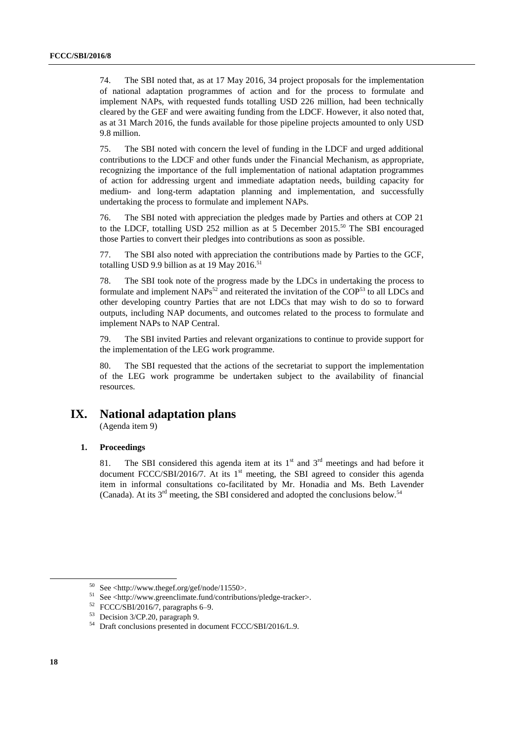74. The SBI noted that, as at 17 May 2016, 34 project proposals for the implementation of national adaptation programmes of action and for the process to formulate and implement NAPs, with requested funds totalling USD 226 million, had been technically cleared by the GEF and were awaiting funding from the LDCF. However, it also noted that, as at 31 March 2016, the funds available for those pipeline projects amounted to only USD 9.8 million.

75. The SBI noted with concern the level of funding in the LDCF and urged additional contributions to the LDCF and other funds under the Financial Mechanism, as appropriate, recognizing the importance of the full implementation of national adaptation programmes of action for addressing urgent and immediate adaptation needs, building capacity for medium- and long-term adaptation planning and implementation, and successfully undertaking the process to formulate and implement NAPs.

76. The SBI noted with appreciation the pledges made by Parties and others at COP 21 to the LDCF, totalling USD 252 million as at 5 December 2015.<sup>50</sup> The SBI encouraged those Parties to convert their pledges into contributions as soon as possible.

77. The SBI also noted with appreciation the contributions made by Parties to the GCF, totalling USD 9.9 billion as at 19 May 2016.<sup>51</sup>

78. The SBI took note of the progress made by the LDCs in undertaking the process to formulate and implement  $NAPs<sup>52</sup>$  and reiterated the invitation of the COP<sup>53</sup> to all LDCs and other developing country Parties that are not LDCs that may wish to do so to forward outputs, including NAP documents, and outcomes related to the process to formulate and implement NAPs to NAP Central.

79. The SBI invited Parties and relevant organizations to continue to provide support for the implementation of the LEG work programme.

80. The SBI requested that the actions of the secretariat to support the implementation of the LEG work programme be undertaken subject to the availability of financial resources.

# **IX. National adaptation plans**

(Agenda item 9)

#### **1. Proceedings**

81. The SBI considered this agenda item at its  $1<sup>st</sup>$  and  $3<sup>rd</sup>$  meetings and had before it document FCCC/SBI/2016/7. At its  $1<sup>st</sup>$  meeting, the SBI agreed to consider this agenda item in informal consultations co-facilitated by Mr. Honadia and Ms. Beth Lavender (Canada). At its 3rd meeting, the SBI considered and adopted the conclusions below.<sup>54</sup>

 $50$  See <http://www.thegef.org/gef/node/11550>.

<sup>51</sup> See <http://www.greenclimate.fund/contributions/pledge-tracker>.

 $52$  FCCC/SBI/2016/7, paragraphs 6–9.

<sup>53</sup> Decision 3/CP.20, paragraph 9.

<sup>54</sup> Draft conclusions presented in document FCCC/SBI/2016/L.9.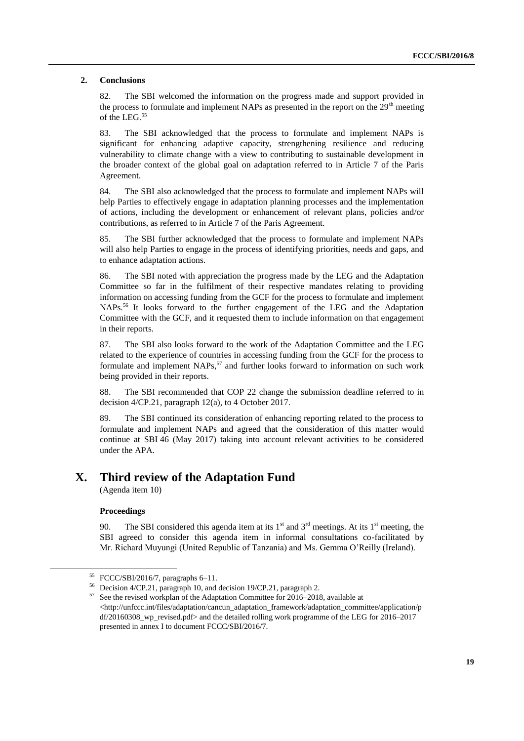#### **2. Conclusions**

82. The SBI welcomed the information on the progress made and support provided in the process to formulate and implement NAPs as presented in the report on the  $29<sup>th</sup>$  meeting of the LEG.<sup>55</sup>

83. The SBI acknowledged that the process to formulate and implement NAPs is significant for enhancing adaptive capacity, strengthening resilience and reducing vulnerability to climate change with a view to contributing to sustainable development in the broader context of the global goal on adaptation referred to in Article 7 of the Paris Agreement.

84. The SBI also acknowledged that the process to formulate and implement NAPs will help Parties to effectively engage in adaptation planning processes and the implementation of actions, including the development or enhancement of relevant plans, policies and/or contributions, as referred to in Article 7 of the Paris Agreement.

85. The SBI further acknowledged that the process to formulate and implement NAPs will also help Parties to engage in the process of identifying priorities, needs and gaps, and to enhance adaptation actions.

86. The SBI noted with appreciation the progress made by the LEG and the Adaptation Committee so far in the fulfilment of their respective mandates relating to providing information on accessing funding from the GCF for the process to formulate and implement NAPs.<sup>56</sup> It looks forward to the further engagement of the LEG and the Adaptation Committee with the GCF, and it requested them to include information on that engagement in their reports.

87. The SBI also looks forward to the work of the Adaptation Committee and the LEG related to the experience of countries in accessing funding from the GCF for the process to formulate and implement NAPs,<sup>57</sup> and further looks forward to information on such work being provided in their reports.

88. The SBI recommended that COP 22 change the submission deadline referred to in decision 4/CP.21, paragraph 12(a), to 4 October 2017.

89. The SBI continued its consideration of enhancing reporting related to the process to formulate and implement NAPs and agreed that the consideration of this matter would continue at SBI 46 (May 2017) taking into account relevant activities to be considered under the APA.

# **X. Third review of the Adaptation Fund**

(Agenda item 10)

#### **Proceedings**

1

90. The SBI considered this agenda item at its  $1<sup>st</sup>$  and  $3<sup>rd</sup>$  meetings. At its  $1<sup>st</sup>$  meeting, the SBI agreed to consider this agenda item in informal consultations co-facilitated by Mr. Richard Muyungi (United Republic of Tanzania) and Ms. Gemma O'Reilly (Ireland).

<sup>55</sup> FCCC/SBI/2016/7, paragraphs 6–11.

<sup>56</sup> Decision 4/CP.21, paragraph 10, and decision 19/CP.21, paragraph 2.

<sup>57</sup> See the revised workplan of the Adaptation Committee for 2016–2018, available at <http://unfccc.int/files/adaptation/cancun\_adaptation\_framework/adaptation\_committee/application/p df/20160308\_wp\_revised.pdf> and the detailed rolling work programme of the LEG for 2016–2017 presented in annex I to document FCCC/SBI/2016/7.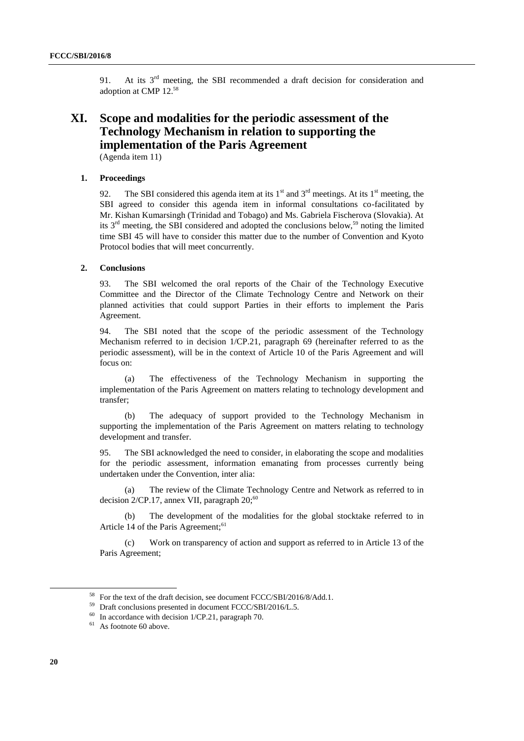91. At its  $3<sup>rd</sup>$  meeting, the SBI recommended a draft decision for consideration and adoption at CMP 12.<sup>58</sup>

# **XI. Scope and modalities for the periodic assessment of the Technology Mechanism in relation to supporting the implementation of the Paris Agreement**

(Agenda item 11)

#### **1. Proceedings**

92. The SBI considered this agenda item at its  $1<sup>st</sup>$  and  $3<sup>rd</sup>$  meetings. At its  $1<sup>st</sup>$  meeting, the SBI agreed to consider this agenda item in informal consultations co-facilitated by Mr. Kishan Kumarsingh (Trinidad and Tobago) and Ms. Gabriela Fischerova (Slovakia). At its  $3<sup>rd</sup>$  meeting, the SBI considered and adopted the conclusions below,<sup>59</sup> noting the limited time SBI 45 will have to consider this matter due to the number of Convention and Kyoto Protocol bodies that will meet concurrently.

#### **2. Conclusions**

93. The SBI welcomed the oral reports of the Chair of the Technology Executive Committee and the Director of the Climate Technology Centre and Network on their planned activities that could support Parties in their efforts to implement the Paris Agreement.

94. The SBI noted that the scope of the periodic assessment of the Technology Mechanism referred to in decision 1/CP.21, paragraph 69 (hereinafter referred to as the periodic assessment), will be in the context of Article 10 of the Paris Agreement and will focus on:

(a) The effectiveness of the Technology Mechanism in supporting the implementation of the Paris Agreement on matters relating to technology development and transfer;

(b) The adequacy of support provided to the Technology Mechanism in supporting the implementation of the Paris Agreement on matters relating to technology development and transfer.

95. The SBI acknowledged the need to consider, in elaborating the scope and modalities for the periodic assessment, information emanating from processes currently being undertaken under the Convention, inter alia:

(a) The review of the Climate Technology Centre and Network as referred to in decision  $2/CP.17$ , annex VII, paragraph  $20;^{60}$ 

(b) The development of the modalities for the global stocktake referred to in Article 14 of the Paris Agreement;<sup>61</sup>

(c) Work on transparency of action and support as referred to in Article 13 of the Paris Agreement;

<sup>&</sup>lt;sup>58</sup> For the text of the draft decision, see document FCCC/SBI/2016/8/Add.1.

<sup>59</sup> Draft conclusions presented in document FCCC/SBI/2016/L.5.

 $60$  In accordance with decision 1/CP.21, paragraph 70.

 $61$  As footnote 60 above.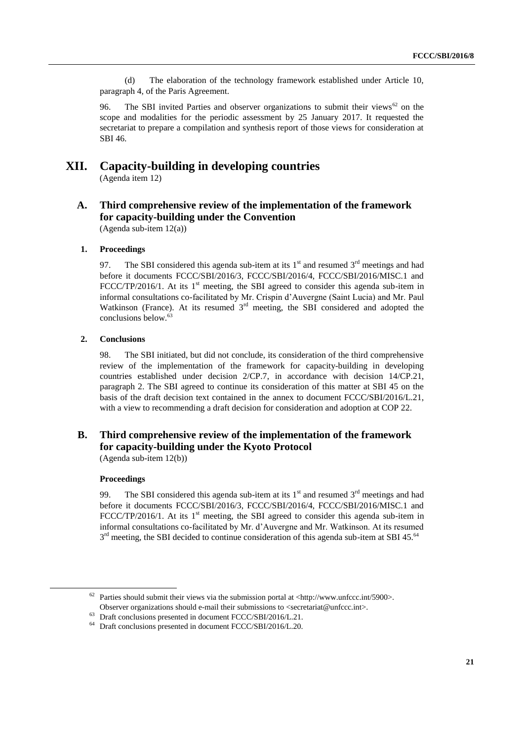(d) The elaboration of the technology framework established under Article 10, paragraph 4, of the Paris Agreement.

96. The SBI invited Parties and observer organizations to submit their views<sup>62</sup> on the scope and modalities for the periodic assessment by 25 January 2017. It requested the secretariat to prepare a compilation and synthesis report of those views for consideration at SBI 46.

## **XII. Capacity-building in developing countries** (Agenda item 12)

# **A. Third comprehensive review of the implementation of the framework for capacity-building under the Convention**

(Agenda sub-item 12(a))

#### **1. Proceedings**

97. The SBI considered this agenda sub-item at its  $1<sup>st</sup>$  and resumed  $3<sup>rd</sup>$  meetings and had before it documents FCCC/SBI/2016/3, FCCC/SBI/2016/4, FCCC/SBI/2016/MISC.1 and FCCC/TP/2016/1. At its  $1<sup>st</sup>$  meeting, the SBI agreed to consider this agenda sub-item in informal consultations co-facilitated by Mr. Crispin d'Auvergne (Saint Lucia) and Mr. Paul Watkinson (France). At its resumed  $3<sup>rd</sup>$  meeting, the SBI considered and adopted the conclusions below.<sup>63</sup>

#### **2. Conclusions**

98. The SBI initiated, but did not conclude, its consideration of the third comprehensive review of the implementation of the framework for capacity-building in developing countries established under decision 2/CP.7, in accordance with decision 14/CP.21, paragraph 2. The SBI agreed to continue its consideration of this matter at SBI 45 on the basis of the draft decision text contained in the annex to document FCCC/SBI/2016/L.21, with a view to recommending a draft decision for consideration and adoption at COP 22.

# **B. Third comprehensive review of the implementation of the framework for capacity-building under the Kyoto Protocol**

(Agenda sub-item 12(b))

## **Proceedings**

-

99. The SBI considered this agenda sub-item at its  $1<sup>st</sup>$  and resumed  $3<sup>rd</sup>$  meetings and had before it documents FCCC/SBI/2016/3, FCCC/SBI/2016/4, FCCC/SBI/2016/MISC.1 and FCCC/TP/2016/1. At its  $1<sup>st</sup>$  meeting, the SBI agreed to consider this agenda sub-item in informal consultations co-facilitated by Mr. d'Auvergne and Mr. Watkinson. At its resumed  $3<sup>rd</sup>$  meeting, the SBI decided to continue consideration of this agenda sub-item at SBI 45.<sup>64</sup>

 $62$  Parties should submit their views via the submission portal at <http://www.unfccc.int/5900>. Observer organizations should e-mail their submissions to <secretariat@unfccc.int>.

<sup>63</sup> Draft conclusions presented in document FCCC/SBI/2016/L.21.

<sup>&</sup>lt;sup>64</sup> Draft conclusions presented in document FCCC/SBI/2016/L.20.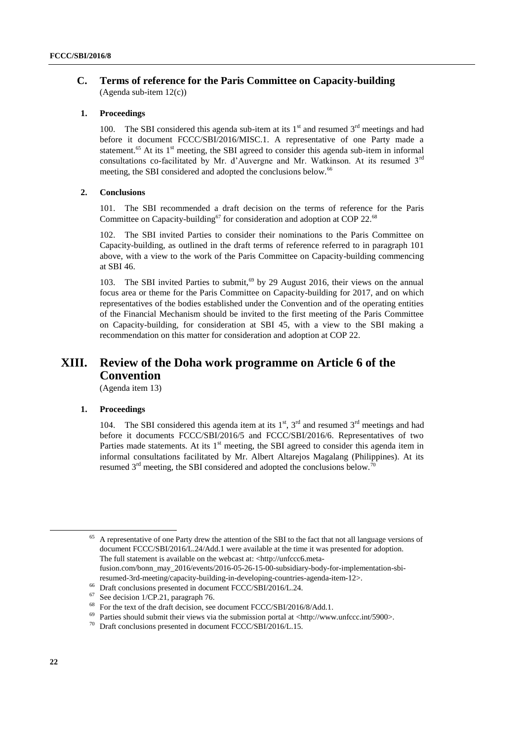## **C. Terms of reference for the Paris Committee on Capacity-building** (Agenda sub-item 12(c))

#### **1. Proceedings**

100. The SBI considered this agenda sub-item at its  $1<sup>st</sup>$  and resumed  $3<sup>rd</sup>$  meetings and had before it document FCCC/SBI/2016/MISC.1. A representative of one Party made a statement.<sup>65</sup> At its  $1<sup>st</sup>$  meeting, the SBI agreed to consider this agenda sub-item in informal consultations co-facilitated by Mr. d'Auvergne and Mr. Watkinson. At its resumed  $3<sup>rd</sup>$ meeting, the SBI considered and adopted the conclusions below.<sup>66</sup>

#### **2. Conclusions**

101. The SBI recommended a draft decision on the terms of reference for the Paris Committee on Capacity-building<sup>67</sup> for consideration and adoption at COP 22.<sup>68</sup>

102. The SBI invited Parties to consider their nominations to the Paris Committee on Capacity-building, as outlined in the draft terms of reference referred to in paragraph 101 above, with a view to the work of the Paris Committee on Capacity-building commencing at SBI 46.

103. The SBI invited Parties to submit,<sup>69</sup> by 29 August 2016, their views on the annual focus area or theme for the Paris Committee on Capacity-building for 2017, and on which representatives of the bodies established under the Convention and of the operating entities of the Financial Mechanism should be invited to the first meeting of the Paris Committee on Capacity-building, for consideration at SBI 45, with a view to the SBI making a recommendation on this matter for consideration and adoption at COP 22.

# **XIII. Review of the Doha work programme on Article 6 of the Convention**

(Agenda item 13)

### **1. Proceedings**

104. The SBI considered this agenda item at its  $1<sup>st</sup>$ ,  $3<sup>rd</sup>$  and resumed  $3<sup>rd</sup>$  meetings and had before it documents FCCC/SBI/2016/5 and FCCC/SBI/2016/6. Representatives of two Parties made statements. At its  $1<sup>st</sup>$  meeting, the SBI agreed to consider this agenda item in informal consultations facilitated by Mr. Albert Altarejos Magalang (Philippines). At its resumed  $3<sup>rd</sup>$  meeting, the SBI considered and adopted the conclusions below.<sup>70</sup>

<sup>65</sup> A representative of one Party drew the attention of the SBI to the fact that not all language versions of document FCCC/SBI/2016/L.24/Add.1 were available at the time it was presented for adoption. The full statement is available on the webcast at: <http://unfccc6.metafusion.com/bonn\_may\_2016/events/2016-05-26-15-00-subsidiary-body-for-implementation-sbiresumed-3rd-meeting/capacity-building-in-developing-countries-agenda-item-12>.

<sup>&</sup>lt;sup>66</sup> Draft conclusions presented in document FCCC/SBI/2016/L.24.<br><sup>67</sup> See docision 1/CB 21, persented  $76$ 

 $^{67}$  See decision 1/CP.21, paragraph 76.<br> $^{68}$  For the text of the draft decision, see

For the text of the draft decision, see document FCCC/SBI/2016/8/Add.1.

 $^{69}$  Parties should submit their views via the submission portal at <http://www.unfccc.int/5900>.

<sup>70</sup> Draft conclusions presented in document FCCC/SBI/2016/L.15.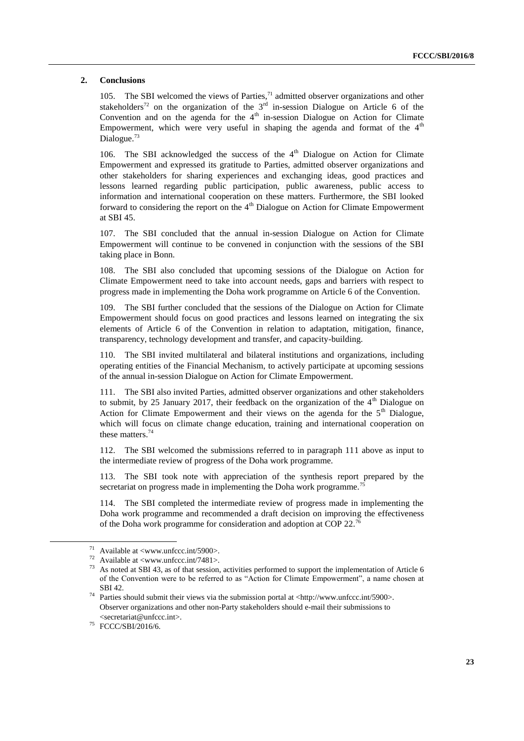#### **2. Conclusions**

105. The SBI welcomed the views of Parties,  $^{71}$  admitted observer organizations and other stakeholders<sup>72</sup> on the organization of the  $3<sup>rd</sup>$  in-session Dialogue on Article 6 of the Convention and on the agenda for the  $4<sup>th</sup>$  in-session Dialogue on Action for Climate Empowerment, which were very useful in shaping the agenda and format of the  $4<sup>th</sup>$ Dialogue.<sup>73</sup>

106. The SBI acknowledged the success of the  $4<sup>th</sup>$  Dialogue on Action for Climate Empowerment and expressed its gratitude to Parties, admitted observer organizations and other stakeholders for sharing experiences and exchanging ideas, good practices and lessons learned regarding public participation, public awareness, public access to information and international cooperation on these matters. Furthermore, the SBI looked forward to considering the report on the  $4<sup>th</sup>$  Dialogue on Action for Climate Empowerment at SBI 45.

107. The SBI concluded that the annual in-session Dialogue on Action for Climate Empowerment will continue to be convened in conjunction with the sessions of the SBI taking place in Bonn.

108. The SBI also concluded that upcoming sessions of the Dialogue on Action for Climate Empowerment need to take into account needs, gaps and barriers with respect to progress made in implementing the Doha work programme on Article 6 of the Convention.

109. The SBI further concluded that the sessions of the Dialogue on Action for Climate Empowerment should focus on good practices and lessons learned on integrating the six elements of Article 6 of the Convention in relation to adaptation, mitigation, finance, transparency, technology development and transfer, and capacity-building.

110. The SBI invited multilateral and bilateral institutions and organizations, including operating entities of the Financial Mechanism, to actively participate at upcoming sessions of the annual in-session Dialogue on Action for Climate Empowerment.

111. The SBI also invited Parties, admitted observer organizations and other stakeholders to submit, by 25 January 2017, their feedback on the organization of the  $4<sup>th</sup>$  Dialogue on Action for Climate Empowerment and their views on the agenda for the  $5<sup>th</sup>$  Dialogue, which will focus on climate change education, training and international cooperation on these matters.<sup>74</sup>

112. The SBI welcomed the submissions referred to in paragraph 111 above as input to the intermediate review of progress of the Doha work programme.

113. The SBI took note with appreciation of the synthesis report prepared by the secretariat on progress made in implementing the Doha work programme.<sup>75</sup>

114. The SBI completed the intermediate review of progress made in implementing the Doha work programme and recommended a draft decision on improving the effectiveness of the Doha work programme for consideration and adoption at COP 22.<sup>76</sup>

 $\overline{a}$ 

<sup>&</sup>lt;sup>71</sup> Available at <www.unfccc.int/5900>.

 $^{72}$  Available at <www.unfccc.int/7481>.

As noted at SBI 43, as of that session, activities performed to support the implementation of Article 6 of the Convention were to be referred to as "Action for Climate Empowerment", a name chosen at SBI 42.

<sup>74</sup> Parties should submit their views via the submission portal at <http://www.unfccc.int/5900>. Observer organizations and other non-Party stakeholders should e-mail their submissions to <secretariat@unfccc.int>.

<sup>75</sup> FCCC/SBI/2016/6.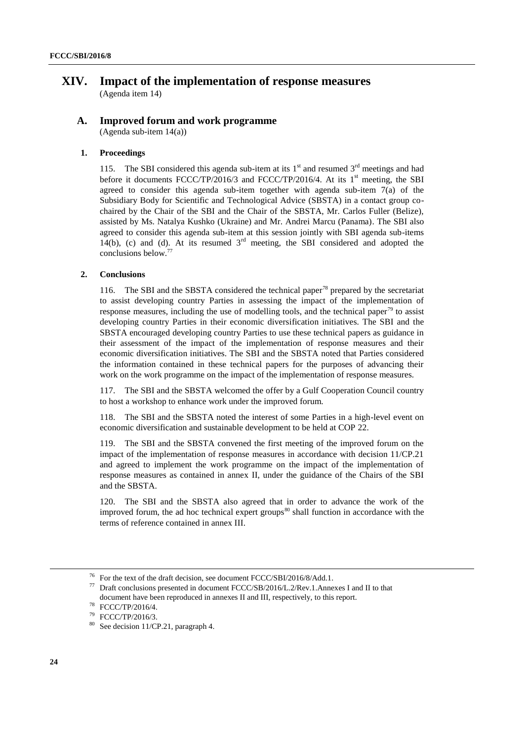## **XIV. Impact of the implementation of response measures** (Agenda item 14)

#### **A. Improved forum and work programme** (Agenda sub-item 14(a))

# **1. Proceedings**

115. The SBI considered this agenda sub-item at its  $1<sup>st</sup>$  and resumed  $3<sup>rd</sup>$  meetings and had before it documents FCCC/TP/2016/3 and FCCC/TP/2016/4. At its  $1<sup>st</sup>$  meeting, the SBI agreed to consider this agenda sub-item together with agenda sub-item 7(a) of the Subsidiary Body for Scientific and Technological Advice (SBSTA) in a contact group cochaired by the Chair of the SBI and the Chair of the SBSTA, Mr. Carlos Fuller (Belize), assisted by Ms. Natalya Kushko (Ukraine) and Mr. Andrei Marcu (Panama). The SBI also agreed to consider this agenda sub-item at this session jointly with SBI agenda sub-items  $14(b)$ , (c) and (d). At its resumed  $3<sup>rd</sup>$  meeting, the SBI considered and adopted the conclusions below.<sup>77</sup>

#### **2. Conclusions**

116. The SBI and the SBSTA considered the technical paper<sup>78</sup> prepared by the secretariat to assist developing country Parties in assessing the impact of the implementation of response measures, including the use of modelling tools, and the technical paper<sup>79</sup> to assist developing country Parties in their economic diversification initiatives. The SBI and the SBSTA encouraged developing country Parties to use these technical papers as guidance in their assessment of the impact of the implementation of response measures and their economic diversification initiatives. The SBI and the SBSTA noted that Parties considered the information contained in these technical papers for the purposes of advancing their work on the work programme on the impact of the implementation of response measures.

117. The SBI and the SBSTA welcomed the offer by a Gulf Cooperation Council country to host a workshop to enhance work under the improved forum.

118. The SBI and the SBSTA noted the interest of some Parties in a high-level event on economic diversification and sustainable development to be held at COP 22.

119. The SBI and the SBSTA convened the first meeting of the improved forum on the impact of the implementation of response measures in accordance with decision 11/CP.21 and agreed to implement the work programme on the impact of the implementation of response measures as contained in annex II, under the guidance of the Chairs of the SBI and the SBSTA.

120. The SBI and the SBSTA also agreed that in order to advance the work of the improved forum, the ad hoc technical expert groups $80$  shall function in accordance with the terms of reference contained in annex III.

1

<sup>&</sup>lt;sup>76</sup> For the text of the draft decision, see document FCCC/SBI/2016/8/Add.1.<br><sup>77</sup> Pref. conclusions gress attack in document ECCC/SB/2016/L2/Bay 1.4 pro

<sup>77</sup> Draft conclusions presented in document FCCC/SB/2016/L.2/Rev.1.Annexes I and II to that document have been reproduced in annexes II and III, respectively, to this report.

<sup>78</sup> FCCC/TP/2016/4.

<sup>79</sup> FCCC/TP/2016/3.

<sup>&</sup>lt;sup>80</sup> See decision 11/CP.21, paragraph 4.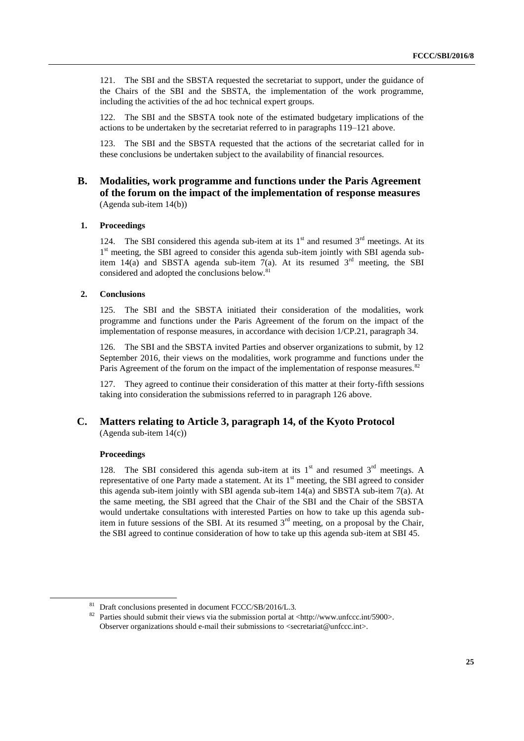121. The SBI and the SBSTA requested the secretariat to support, under the guidance of the Chairs of the SBI and the SBSTA, the implementation of the work programme, including the activities of the ad hoc technical expert groups.

122. The SBI and the SBSTA took note of the estimated budgetary implications of the actions to be undertaken by the secretariat referred to in paragraphs 119–121 above.

123. The SBI and the SBSTA requested that the actions of the secretariat called for in these conclusions be undertaken subject to the availability of financial resources.

## **B. Modalities, work programme and functions under the Paris Agreement of the forum on the impact of the implementation of response measures** (Agenda sub-item 14(b))

#### **1. Proceedings**

124. The SBI considered this agenda sub-item at its  $1<sup>st</sup>$  and resumed  $3<sup>rd</sup>$  meetings. At its 1<sup>st</sup> meeting, the SBI agreed to consider this agenda sub-item jointly with SBI agenda subitem 14(a) and SBSTA agenda sub-item 7(a). At its resumed  $3<sup>rd</sup>$  meeting, the SBI considered and adopted the conclusions below.<sup>81</sup>

#### **2. Conclusions**

125. The SBI and the SBSTA initiated their consideration of the modalities, work programme and functions under the Paris Agreement of the forum on the impact of the implementation of response measures, in accordance with decision 1/CP.21, paragraph 34.

126. The SBI and the SBSTA invited Parties and observer organizations to submit, by 12 September 2016, their views on the modalities, work programme and functions under the Paris Agreement of the forum on the impact of the implementation of response measures.<sup>82</sup>

127. They agreed to continue their consideration of this matter at their forty-fifth sessions taking into consideration the submissions referred to in paragraph 126 above.

## **C. Matters relating to Article 3, paragraph 14, of the Kyoto Protocol** (Agenda sub-item 14(c))

#### **Proceedings**

1

128. The SBI considered this agenda sub-item at its  $1<sup>st</sup>$  and resumed  $3<sup>rd</sup>$  meetings. A representative of one Party made a statement. At its  $1<sup>st</sup>$  meeting, the SBI agreed to consider this agenda sub-item jointly with SBI agenda sub-item  $14(a)$  and SBSTA sub-item  $7(a)$ . At the same meeting, the SBI agreed that the Chair of the SBI and the Chair of the SBSTA would undertake consultations with interested Parties on how to take up this agenda subitem in future sessions of the SBI. At its resumed  $3<sup>rd</sup>$  meeting, on a proposal by the Chair, the SBI agreed to continue consideration of how to take up this agenda sub-item at SBI 45.

<sup>&</sup>lt;sup>81</sup> Draft conclusions presented in document FCCC/SB/2016/L.3.

<sup>&</sup>lt;sup>82</sup> Parties should submit their views via the submission portal at <http://www.unfccc.int/5900>. Observer organizations should e-mail their submissions to <secretariat@unfccc.int>.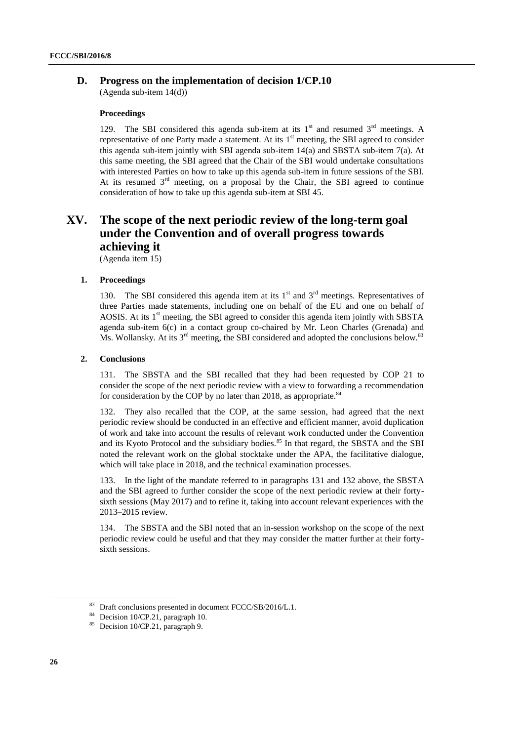## **D. Progress on the implementation of decision 1/CP.10**

(Agenda sub-item 14(d))

#### **Proceedings**

129. The SBI considered this agenda sub-item at its  $1<sup>st</sup>$  and resumed  $3<sup>rd</sup>$  meetings. A representative of one Party made a statement. At its  $1<sup>st</sup>$  meeting, the SBI agreed to consider this agenda sub-item jointly with SBI agenda sub-item 14(a) and SBSTA sub-item 7(a). At this same meeting, the SBI agreed that the Chair of the SBI would undertake consultations with interested Parties on how to take up this agenda sub-item in future sessions of the SBI. At its resumed  $3<sup>rd</sup>$  meeting, on a proposal by the Chair, the SBI agreed to continue consideration of how to take up this agenda sub-item at SBI 45.

# **XV. The scope of the next periodic review of the long-term goal under the Convention and of overall progress towards achieving it**

(Agenda item 15)

#### **1. Proceedings**

130. The SBI considered this agenda item at its  $1<sup>st</sup>$  and  $3<sup>rd</sup>$  meetings. Representatives of three Parties made statements, including one on behalf of the EU and one on behalf of AOSIS. At its  $1<sup>st</sup>$  meeting, the SBI agreed to consider this agenda item jointly with SBSTA agenda sub-item 6(c) in a contact group co-chaired by Mr. Leon Charles (Grenada) and Ms. Wollansky. At its  $3^{rd}$  meeting, the SBI considered and adopted the conclusions below.<sup>83</sup>

#### **2. Conclusions**

131. The SBSTA and the SBI recalled that they had been requested by COP 21 to consider the scope of the next periodic review with a view to forwarding a recommendation for consideration by the COP by no later than 2018, as appropriate.  $84$ 

132. They also recalled that the COP, at the same session, had agreed that the next periodic review should be conducted in an effective and efficient manner, avoid duplication of work and take into account the results of relevant work conducted under the Convention and its Kyoto Protocol and the subsidiary bodies.<sup>85</sup> In that regard, the SBSTA and the SBI noted the relevant work on the global stocktake under the APA, the facilitative dialogue, which will take place in 2018, and the technical examination processes.

133. In the light of the mandate referred to in paragraphs 131 and 132 above, the SBSTA and the SBI agreed to further consider the scope of the next periodic review at their fortysixth sessions (May 2017) and to refine it, taking into account relevant experiences with the 2013–2015 review.

134. The SBSTA and the SBI noted that an in-session workshop on the scope of the next periodic review could be useful and that they may consider the matter further at their fortysixth sessions.

1

<sup>83</sup> Draft conclusions presented in document FCCC/SB/2016/L.1.

<sup>&</sup>lt;sup>84</sup> Decision 10/CP.21, paragraph 10.

<sup>&</sup>lt;sup>85</sup> Decision 10/CP.21, paragraph 9.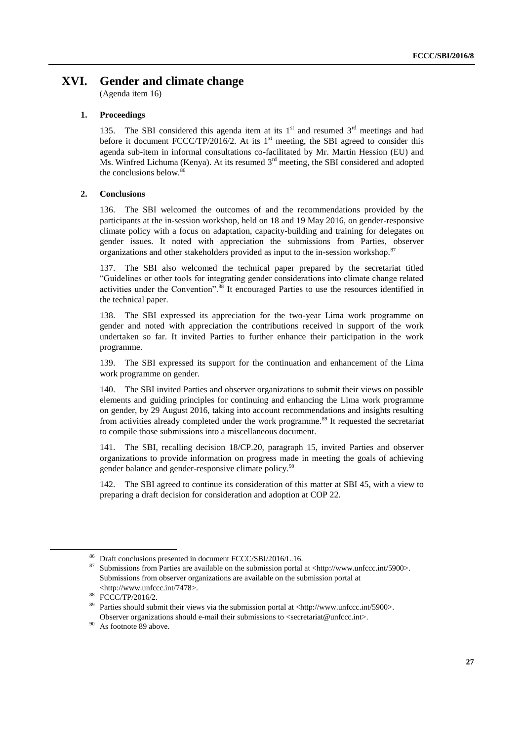# **XVI. Gender and climate change**

(Agenda item 16)

#### **1. Proceedings**

135. The SBI considered this agenda item at its  $1<sup>st</sup>$  and resumed  $3<sup>rd</sup>$  meetings and had before it document FCCC/TP/2016/2. At its  $1<sup>st</sup>$  meeting, the SBI agreed to consider this agenda sub-item in informal consultations co-facilitated by Mr. Martin Hession (EU) and  $\overline{M}$ s. Winfred Lichuma (Kenya). At its resumed  $3<sup>rd</sup>$  meeting, the SBI considered and adopted the conclusions below.<sup>86</sup>

#### **2. Conclusions**

136. The SBI welcomed the outcomes of and the recommendations provided by the participants at the in-session workshop, held on 18 and 19 May 2016, on gender-responsive climate policy with a focus on adaptation, capacity-building and training for delegates on gender issues. It noted with appreciation the submissions from Parties, observer organizations and other stakeholders provided as input to the in-session workshop.<sup>87</sup>

137. The SBI also welcomed the technical paper prepared by the secretariat titled "Guidelines or other tools for integrating gender considerations into climate change related activities under the Convention".<sup>88</sup> It encouraged Parties to use the resources identified in the technical paper.

138. The SBI expressed its appreciation for the two-year Lima work programme on gender and noted with appreciation the contributions received in support of the work undertaken so far. It invited Parties to further enhance their participation in the work programme.

139. The SBI expressed its support for the continuation and enhancement of the Lima work programme on gender.

140. The SBI invited Parties and observer organizations to submit their views on possible elements and guiding principles for continuing and enhancing the Lima work programme on gender, by 29 August 2016, taking into account recommendations and insights resulting from activities already completed under the work programme.<sup>89</sup> It requested the secretariat to compile those submissions into a miscellaneous document.

141. The SBI, recalling decision 18/CP.20, paragraph 15, invited Parties and observer organizations to provide information on progress made in meeting the goals of achieving gender balance and gender-responsive climate policy.<sup>90</sup>

142. The SBI agreed to continue its consideration of this matter at SBI 45, with a view to preparing a draft decision for consideration and adoption at COP 22.

 $^{86}$  Draft conclusions presented in document FCCC/SBI/2016/L.16.

<sup>87</sup> Submissions from Parties are available on the submission portal at <http://www.unfccc.int/5900>. Submissions from observer organizations are available on the submission portal at <http://www.unfccc.int/7478>.

 $^{88}$  FCCC/TP/2016/2.

Parties should submit their views via the submission portal at <http://www.unfccc.int/5900>. Observer organizations should e-mail their submissions to <secretariat@unfccc.int>.

<sup>&</sup>lt;sup>90</sup> As footnote 89 above.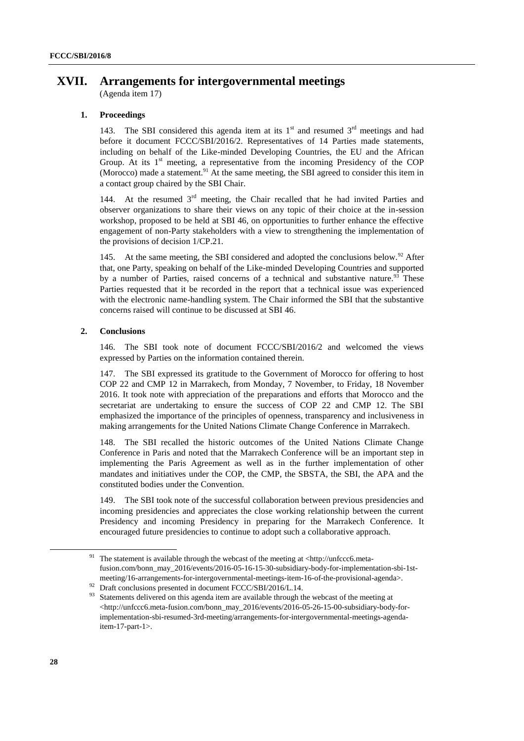# **XVII. Arrangements for intergovernmental meetings**

(Agenda item 17)

### **1. Proceedings**

143. The SBI considered this agenda item at its  $1<sup>st</sup>$  and resumed  $3<sup>rd</sup>$  meetings and had before it document FCCC/SBI/2016/2. Representatives of 14 Parties made statements, including on behalf of the Like-minded Developing Countries, the EU and the African Group. At its  $1<sup>st</sup>$  meeting, a representative from the incoming Presidency of the COP (Morocco) made a statement.<sup>91</sup> At the same meeting, the SBI agreed to consider this item in a contact group chaired by the SBI Chair.

144. At the resumed  $3<sup>rd</sup>$  meeting, the Chair recalled that he had invited Parties and observer organizations to share their views on any topic of their choice at the in-session workshop, proposed to be held at SBI 46, on opportunities to further enhance the effective engagement of non-Party stakeholders with a view to strengthening the implementation of the provisions of decision 1/CP.21.

145. At the same meeting, the SBI considered and adopted the conclusions below.<sup>92</sup> After that, one Party, speaking on behalf of the Like-minded Developing Countries and supported by a number of Parties, raised concerns of a technical and substantive nature.<sup>93</sup> These Parties requested that it be recorded in the report that a technical issue was experienced with the electronic name-handling system. The Chair informed the SBI that the substantive concerns raised will continue to be discussed at SBI 46.

#### **2. Conclusions**

146. The SBI took note of document FCCC/SBI/2016/2 and welcomed the views expressed by Parties on the information contained therein.

147. The SBI expressed its gratitude to the Government of Morocco for offering to host COP 22 and CMP 12 in Marrakech, from Monday, 7 November, to Friday, 18 November 2016. It took note with appreciation of the preparations and efforts that Morocco and the secretariat are undertaking to ensure the success of COP 22 and CMP 12. The SBI emphasized the importance of the principles of openness, transparency and inclusiveness in making arrangements for the United Nations Climate Change Conference in Marrakech.

148. The SBI recalled the historic outcomes of the United Nations Climate Change Conference in Paris and noted that the Marrakech Conference will be an important step in implementing the Paris Agreement as well as in the further implementation of other mandates and initiatives under the COP, the CMP, the SBSTA, the SBI, the APA and the constituted bodies under the Convention.

149. The SBI took note of the successful collaboration between previous presidencies and incoming presidencies and appreciates the close working relationship between the current Presidency and incoming Presidency in preparing for the Marrakech Conference. It encouraged future presidencies to continue to adopt such a collaborative approach.

<sup>&</sup>lt;sup>91</sup> The statement is available through the webcast of the meeting at <http://unfccc6.metafusion.com/bonn\_may\_2016/events/2016-05-16-15-30-subsidiary-body-for-implementation-sbi-1stmeeting/16-arrangements-for-intergovernmental-meetings-item-16-of-the-provisional-agenda>.

<sup>&</sup>lt;sup>92</sup> Draft conclusions presented in document FCCC/SBI/2016/L.14.<br><sup>93</sup> Statements delivered on this agenda item are available through the

Statements delivered on this agenda item are available through the webcast of the meeting at <http://unfccc6.meta-fusion.com/bonn\_may\_2016/events/2016-05-26-15-00-subsidiary-body-forimplementation-sbi-resumed-3rd-meeting/arrangements-for-intergovernmental-meetings-agendaitem-17-part-1>.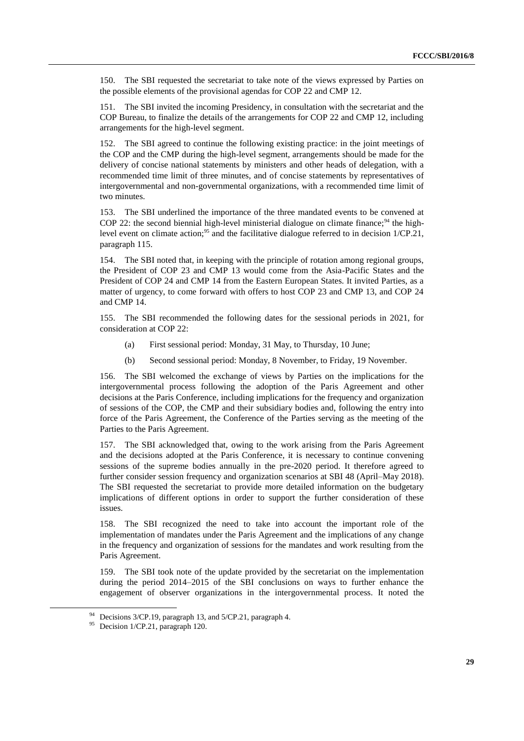150. The SBI requested the secretariat to take note of the views expressed by Parties on the possible elements of the provisional agendas for COP 22 and CMP 12.

151. The SBI invited the incoming Presidency, in consultation with the secretariat and the COP Bureau, to finalize the details of the arrangements for COP 22 and CMP 12, including arrangements for the high-level segment.

152. The SBI agreed to continue the following existing practice: in the joint meetings of the COP and the CMP during the high-level segment, arrangements should be made for the delivery of concise national statements by ministers and other heads of delegation, with a recommended time limit of three minutes, and of concise statements by representatives of intergovernmental and non-governmental organizations, with a recommended time limit of two minutes.

153. The SBI underlined the importance of the three mandated events to be convened at COP 22: the second biennial high-level ministerial dialogue on climate finance;<sup>94</sup> the highlevel event on climate action;<sup>95</sup> and the facilitative dialogue referred to in decision  $1/CP.21$ , paragraph 115.

154. The SBI noted that, in keeping with the principle of rotation among regional groups, the President of COP 23 and CMP 13 would come from the Asia-Pacific States and the President of COP 24 and CMP 14 from the Eastern European States. It invited Parties, as a matter of urgency, to come forward with offers to host COP 23 and CMP 13, and COP 24 and CMP 14.

155. The SBI recommended the following dates for the sessional periods in 2021, for consideration at COP 22:

- (a) First sessional period: Monday, 31 May, to Thursday, 10 June;
- (b) Second sessional period: Monday, 8 November, to Friday, 19 November.

156. The SBI welcomed the exchange of views by Parties on the implications for the intergovernmental process following the adoption of the Paris Agreement and other decisions at the Paris Conference, including implications for the frequency and organization of sessions of the COP, the CMP and their subsidiary bodies and, following the entry into force of the Paris Agreement, the Conference of the Parties serving as the meeting of the Parties to the Paris Agreement.

157. The SBI acknowledged that, owing to the work arising from the Paris Agreement and the decisions adopted at the Paris Conference, it is necessary to continue convening sessions of the supreme bodies annually in the pre-2020 period. It therefore agreed to further consider session frequency and organization scenarios at SBI 48 (April–May 2018). The SBI requested the secretariat to provide more detailed information on the budgetary implications of different options in order to support the further consideration of these issues.

158. The SBI recognized the need to take into account the important role of the implementation of mandates under the Paris Agreement and the implications of any change in the frequency and organization of sessions for the mandates and work resulting from the Paris Agreement.

159. The SBI took note of the update provided by the secretariat on the implementation during the period 2014–2015 of the SBI conclusions on ways to further enhance the engagement of observer organizations in the intergovernmental process. It noted the

<sup>&</sup>lt;sup>94</sup> Decisions 3/CP.19, paragraph 13, and  $5$ /CP.21, paragraph 4.

<sup>&</sup>lt;sup>95</sup> Decision 1/CP.21, paragraph 120.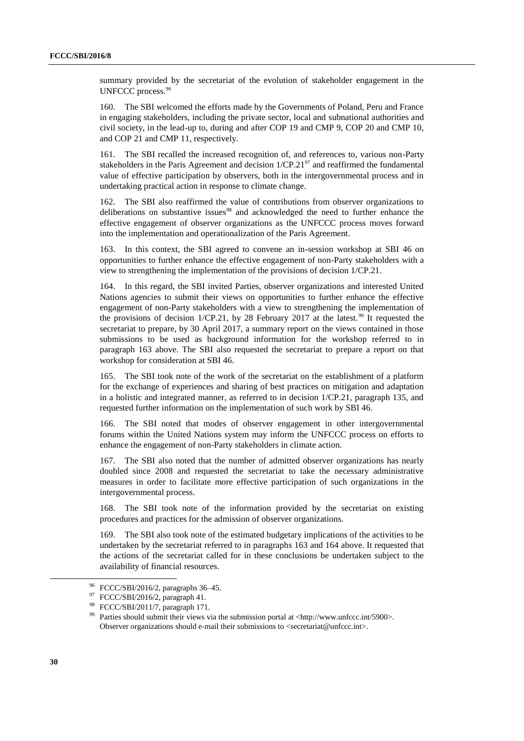summary provided by the secretariat of the evolution of stakeholder engagement in the UNFCCC process.<sup>96</sup>

160. The SBI welcomed the efforts made by the Governments of Poland, Peru and France in engaging stakeholders, including the private sector, local and subnational authorities and civil society, in the lead-up to, during and after COP 19 and CMP 9, COP 20 and CMP 10, and COP 21 and CMP 11, respectively.

161. The SBI recalled the increased recognition of, and references to, various non-Party stakeholders in the Paris Agreement and decision  $1/CP.21<sup>97</sup>$  and reaffirmed the fundamental value of effective participation by observers, both in the intergovernmental process and in undertaking practical action in response to climate change.

162. The SBI also reaffirmed the value of contributions from observer organizations to deliberations on substantive issues<sup>98</sup> and acknowledged the need to further enhance the effective engagement of observer organizations as the UNFCCC process moves forward into the implementation and operationalization of the Paris Agreement.

163. In this context, the SBI agreed to convene an in-session workshop at SBI 46 on opportunities to further enhance the effective engagement of non-Party stakeholders with a view to strengthening the implementation of the provisions of decision 1/CP.21.

164. In this regard, the SBI invited Parties, observer organizations and interested United Nations agencies to submit their views on opportunities to further enhance the effective engagement of non-Party stakeholders with a view to strengthening the implementation of the provisions of decision  $1/CP.21$ , by 28 February 2017 at the latest.<sup>99</sup> It requested the secretariat to prepare, by 30 April 2017, a summary report on the views contained in those submissions to be used as background information for the workshop referred to in paragraph 163 above. The SBI also requested the secretariat to prepare a report on that workshop for consideration at SBI 46.

165. The SBI took note of the work of the secretariat on the establishment of a platform for the exchange of experiences and sharing of best practices on mitigation and adaptation in a holistic and integrated manner, as referred to in decision 1/CP.21, paragraph 135, and requested further information on the implementation of such work by SBI 46.

166. The SBI noted that modes of observer engagement in other intergovernmental forums within the United Nations system may inform the UNFCCC process on efforts to enhance the engagement of non-Party stakeholders in climate action.

167. The SBI also noted that the number of admitted observer organizations has nearly doubled since 2008 and requested the secretariat to take the necessary administrative measures in order to facilitate more effective participation of such organizations in the intergovernmental process.

168. The SBI took note of the information provided by the secretariat on existing procedures and practices for the admission of observer organizations.

169. The SBI also took note of the estimated budgetary implications of the activities to be undertaken by the secretariat referred to in paragraphs 163 and 164 above. It requested that the actions of the secretariat called for in these conclusions be undertaken subject to the availability of financial resources.

 $^{96}$  FCCC/SBI/2016/2, paragraphs 36–45.

FCCC/SBI/2016/2, paragraph 41.

<sup>98</sup> FCCC/SBI/2011/7, paragraph 171.

Parties should submit their views via the submission portal at <http://www.unfccc.int/5900>. Observer organizations should e-mail their submissions to <secretariat@unfccc.int>.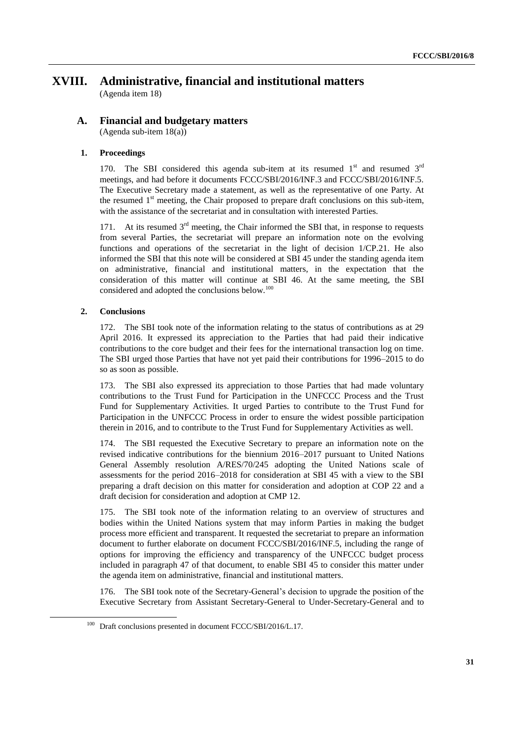# **XVIII. Administrative, financial and institutional matters**

(Agenda item 18)

### **A. Financial and budgetary matters** (Agenda sub-item 18(a))

## **1. Proceedings**

170. The SBI considered this agenda sub-item at its resumed  $1<sup>st</sup>$  and resumed  $3<sup>rd</sup>$ meetings, and had before it documents FCCC/SBI/2016/INF.3 and FCCC/SBI/2016/INF.5. The Executive Secretary made a statement, as well as the representative of one Party. At the resumed  $1<sup>st</sup>$  meeting, the Chair proposed to prepare draft conclusions on this sub-item, with the assistance of the secretariat and in consultation with interested Parties.

171. At its resumed  $3<sup>rd</sup>$  meeting, the Chair informed the SBI that, in response to requests from several Parties, the secretariat will prepare an information note on the evolving functions and operations of the secretariat in the light of decision 1/CP.21. He also informed the SBI that this note will be considered at SBI 45 under the standing agenda item on administrative, financial and institutional matters, in the expectation that the consideration of this matter will continue at SBI 46. At the same meeting, the SBI considered and adopted the conclusions below.<sup>100</sup>

### **2. Conclusions**

-

172. The SBI took note of the information relating to the status of contributions as at 29 April 2016. It expressed its appreciation to the Parties that had paid their indicative contributions to the core budget and their fees for the international transaction log on time. The SBI urged those Parties that have not yet paid their contributions for 1996–2015 to do so as soon as possible.

173. The SBI also expressed its appreciation to those Parties that had made voluntary contributions to the Trust Fund for Participation in the UNFCCC Process and the Trust Fund for Supplementary Activities. It urged Parties to contribute to the Trust Fund for Participation in the UNFCCC Process in order to ensure the widest possible participation therein in 2016, and to contribute to the Trust Fund for Supplementary Activities as well.

174. The SBI requested the Executive Secretary to prepare an information note on the revised indicative contributions for the biennium 2016–2017 pursuant to United Nations General Assembly resolution A/RES/70/245 adopting the United Nations scale of assessments for the period 2016–2018 for consideration at SBI 45 with a view to the SBI preparing a draft decision on this matter for consideration and adoption at COP 22 and a draft decision for consideration and adoption at CMP 12.

175. The SBI took note of the information relating to an overview of structures and bodies within the United Nations system that may inform Parties in making the budget process more efficient and transparent. It requested the secretariat to prepare an information document to further elaborate on document FCCC/SBI/2016/INF.5, including the range of options for improving the efficiency and transparency of the UNFCCC budget process included in paragraph 47 of that document, to enable SBI 45 to consider this matter under the agenda item on administrative, financial and institutional matters.

176. The SBI took note of the Secretary-General's decision to upgrade the position of the Executive Secretary from Assistant Secretary-General to Under-Secretary-General and to

<sup>&</sup>lt;sup>100</sup> Draft conclusions presented in document FCCC/SBI/2016/L.17.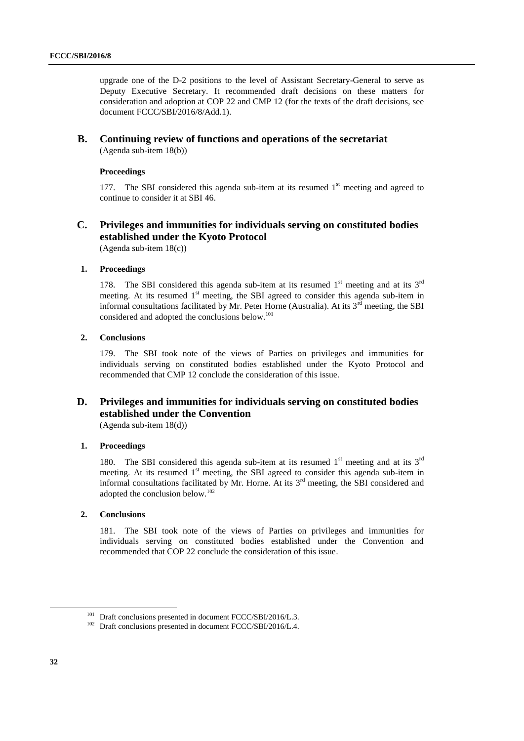upgrade one of the D-2 positions to the level of Assistant Secretary-General to serve as Deputy Executive Secretary. It recommended draft decisions on these matters for consideration and adoption at COP 22 and CMP 12 (for the texts of the draft decisions, see document FCCC/SBI/2016/8/Add.1).

#### **B. Continuing review of functions and operations of the secretariat** (Agenda sub-item 18(b))

#### **Proceedings**

177. The SBI considered this agenda sub-item at its resumed  $1<sup>st</sup>$  meeting and agreed to continue to consider it at SBI 46.

# **C. Privileges and immunities for individuals serving on constituted bodies established under the Kyoto Protocol**

(Agenda sub-item 18(c))

## **1. Proceedings**

178. The SBI considered this agenda sub-item at its resumed  $1<sup>st</sup>$  meeting and at its  $3<sup>rd</sup>$ meeting. At its resumed 1<sup>st</sup> meeting, the SBI agreed to consider this agenda sub-item in informal consultations facilitated by Mr. Peter Horne (Australia). At its  $3^{rd}$  meeting, the SBI considered and adopted the conclusions below.<sup>101</sup>

#### **2. Conclusions**

179. The SBI took note of the views of Parties on privileges and immunities for individuals serving on constituted bodies established under the Kyoto Protocol and recommended that CMP 12 conclude the consideration of this issue.

# **D. Privileges and immunities for individuals serving on constituted bodies established under the Convention**

(Agenda sub-item 18(d))

## **1. Proceedings**

180. The SBI considered this agenda sub-item at its resumed  $1<sup>st</sup>$  meeting and at its  $3<sup>rd</sup>$ meeting. At its resumed 1<sup>st</sup> meeting, the SBI agreed to consider this agenda sub-item in informal consultations facilitated by Mr. Horne. At its  $3<sup>rd</sup>$  meeting, the SBI considered and adopted the conclusion below.<sup>102</sup>

#### **2. Conclusions**

181. The SBI took note of the views of Parties on privileges and immunities for individuals serving on constituted bodies established under the Convention and recommended that COP 22 conclude the consideration of this issue.

 $101$  Draft conclusions presented in document FCCC/SBI/2016/L.3.

<sup>&</sup>lt;sup>102</sup> Draft conclusions presented in document FCCC/SBI/2016/L.4.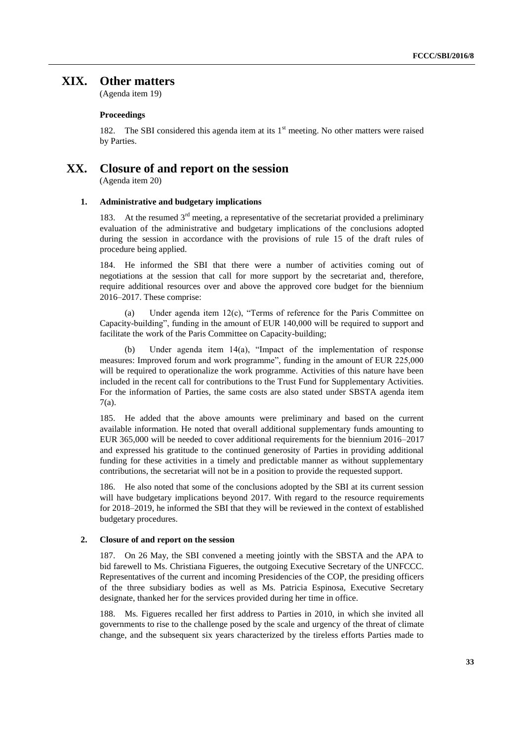# **XIX. Other matters**

(Agenda item 19)

#### **Proceedings**

182. The SBI considered this agenda item at its  $1<sup>st</sup>$  meeting. No other matters were raised by Parties.

# **XX. Closure of and report on the session**

(Agenda item 20)

#### **1. Administrative and budgetary implications**

183. At the resumed  $3<sup>rd</sup>$  meeting, a representative of the secretariat provided a preliminary evaluation of the administrative and budgetary implications of the conclusions adopted during the session in accordance with the provisions of rule 15 of the draft rules of procedure being applied.

184. He informed the SBI that there were a number of activities coming out of negotiations at the session that call for more support by the secretariat and, therefore, require additional resources over and above the approved core budget for the biennium 2016–2017. These comprise:

(a) Under agenda item 12(c), "Terms of reference for the Paris Committee on Capacity-building", funding in the amount of EUR 140,000 will be required to support and facilitate the work of the Paris Committee on Capacity-building;

Under agenda item  $14(a)$ , "Impact of the implementation of response measures: Improved forum and work programme", funding in the amount of EUR 225,000 will be required to operationalize the work programme. Activities of this nature have been included in the recent call for contributions to the Trust Fund for Supplementary Activities. For the information of Parties, the same costs are also stated under SBSTA agenda item 7(a).

185. He added that the above amounts were preliminary and based on the current available information. He noted that overall additional supplementary funds amounting to EUR 365,000 will be needed to cover additional requirements for the biennium 2016–2017 and expressed his gratitude to the continued generosity of Parties in providing additional funding for these activities in a timely and predictable manner as without supplementary contributions, the secretariat will not be in a position to provide the requested support.

186. He also noted that some of the conclusions adopted by the SBI at its current session will have budgetary implications beyond 2017. With regard to the resource requirements for 2018–2019, he informed the SBI that they will be reviewed in the context of established budgetary procedures.

#### **2. Closure of and report on the session**

187. On 26 May, the SBI convened a meeting jointly with the SBSTA and the APA to bid farewell to Ms. Christiana Figueres, the outgoing Executive Secretary of the UNFCCC. Representatives of the current and incoming Presidencies of the COP, the presiding officers of the three subsidiary bodies as well as Ms. Patricia Espinosa, Executive Secretary designate, thanked her for the services provided during her time in office.

188. Ms. Figueres recalled her first address to Parties in 2010, in which she invited all governments to rise to the challenge posed by the scale and urgency of the threat of climate change, and the subsequent six years characterized by the tireless efforts Parties made to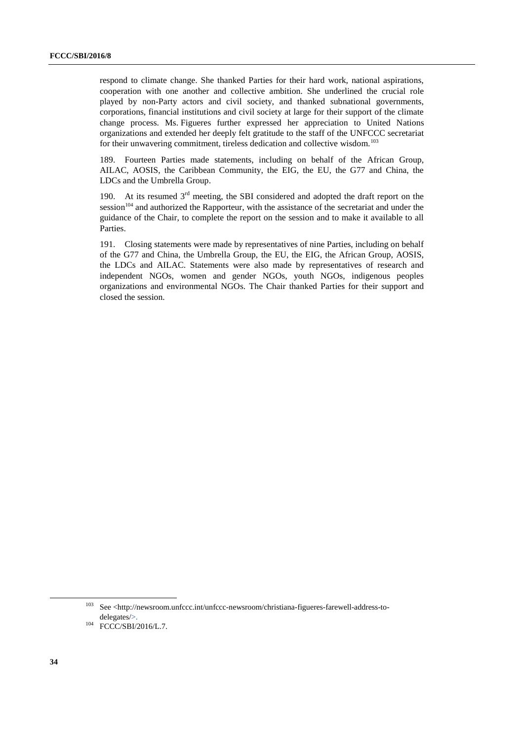respond to climate change. She thanked Parties for their hard work, national aspirations, cooperation with one another and collective ambition. She underlined the crucial role played by non-Party actors and civil society, and thanked subnational governments, corporations, financial institutions and civil society at large for their support of the climate change process. Ms. Figueres further expressed her appreciation to United Nations organizations and extended her deeply felt gratitude to the staff of the UNFCCC secretariat for their unwavering commitment, tireless dedication and collective wisdom.<sup>103</sup>

189. Fourteen Parties made statements, including on behalf of the African Group, AILAC, AOSIS, the Caribbean Community, the EIG, the EU, the G77 and China, the LDCs and the Umbrella Group.

190. At its resumed  $3<sup>rd</sup>$  meeting, the SBI considered and adopted the draft report on the session<sup>104</sup> and authorized the Rapporteur, with the assistance of the secretariat and under the guidance of the Chair, to complete the report on the session and to make it available to all Parties.

191. Closing statements were made by representatives of nine Parties, including on behalf of the G77 and China, the Umbrella Group, the EU, the EIG, the African Group, AOSIS, the LDCs and AILAC. Statements were also made by representatives of research and independent NGOs, women and gender NGOs, youth NGOs, indigenous peoples organizations and environmental NGOs. The Chair thanked Parties for their support and closed the session.

1

<sup>103</sup> See <http://newsroom.unfccc.int/unfccc-newsroom/christiana-figueres-farewell-address-todelegates/>.

<sup>&</sup>lt;sup>104</sup> FCCC/SBI/2016/L.7.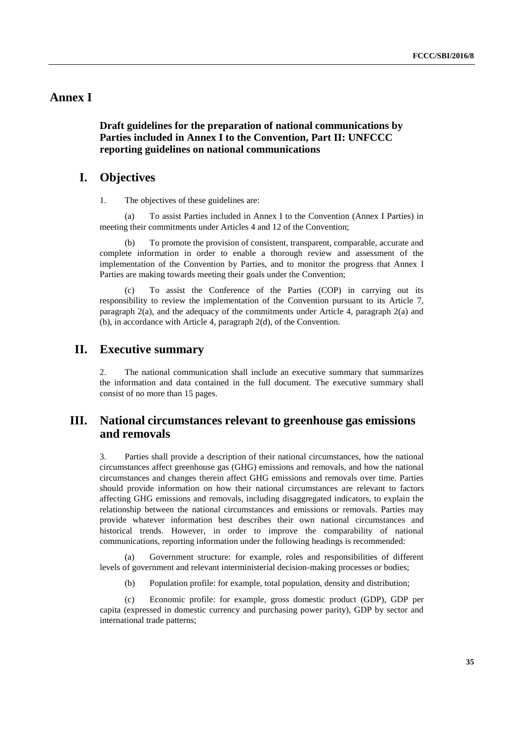# **Annex I**

## **Draft guidelines for the preparation of national communications by Parties included in Annex I to the Convention, Part II: UNFCCC reporting guidelines on national communications**

## **I. Objectives**

1. The objectives of these guidelines are:

(a) To assist Parties included in Annex I to the Convention (Annex I Parties) in meeting their commitments under Articles 4 and 12 of the Convention;

(b) To promote the provision of consistent, transparent, comparable, accurate and complete information in order to enable a thorough review and assessment of the implementation of the Convention by Parties, and to monitor the progress that Annex I Parties are making towards meeting their goals under the Convention;

To assist the Conference of the Parties (COP) in carrying out its responsibility to review the implementation of the Convention pursuant to its Article 7, paragraph 2(a), and the adequacy of the commitments under Article 4, paragraph 2(a) and (b), in accordance with Article 4, paragraph 2(d), of the Convention.

## **II. Executive summary**

2. The national communication shall include an executive summary that summarizes the information and data contained in the full document. The executive summary shall consist of no more than 15 pages.

# **III. National circumstances relevant to greenhouse gas emissions and removals**

3. Parties shall provide a description of their national circumstances, how the national circumstances affect greenhouse gas (GHG) emissions and removals, and how the national circumstances and changes therein affect GHG emissions and removals over time. Parties should provide information on how their national circumstances are relevant to factors affecting GHG emissions and removals, including disaggregated indicators, to explain the relationship between the national circumstances and emissions or removals. Parties may provide whatever information best describes their own national circumstances and historical trends. However, in order to improve the comparability of national communications, reporting information under the following headings is recommended:

(a) Government structure: for example, roles and responsibilities of different levels of government and relevant interministerial decision-making processes or bodies;

(b) Population profile: for example, total population, density and distribution;

(c) Economic profile: for example, gross domestic product (GDP), GDP per capita (expressed in domestic currency and purchasing power parity), GDP by sector and international trade patterns;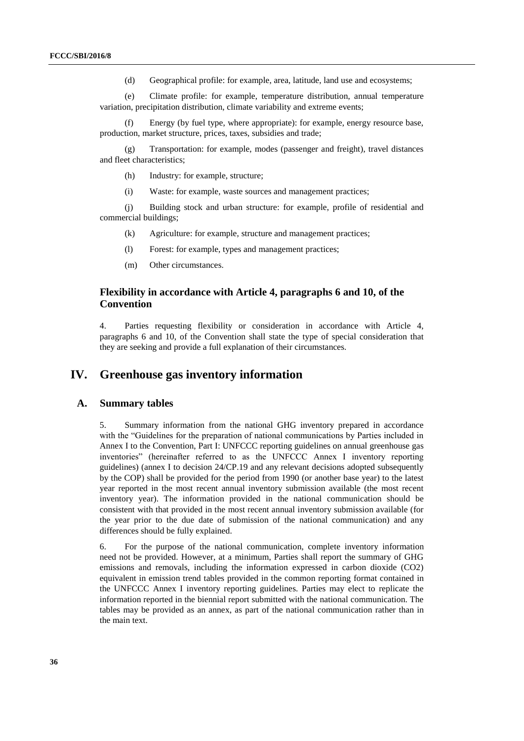(d) Geographical profile: for example, area, latitude, land use and ecosystems;

(e) Climate profile: for example, temperature distribution, annual temperature variation, precipitation distribution, climate variability and extreme events;

(f) Energy (by fuel type, where appropriate): for example, energy resource base, production, market structure, prices, taxes, subsidies and trade;

(g) Transportation: for example, modes (passenger and freight), travel distances and fleet characteristics;

- (h) Industry: for example, structure;
- (i) Waste: for example, waste sources and management practices;

(j) Building stock and urban structure: for example, profile of residential and commercial buildings;

- (k) Agriculture: for example, structure and management practices;
- (l) Forest: for example, types and management practices;
- (m) Other circumstances.

## **Flexibility in accordance with Article 4, paragraphs 6 and 10, of the Convention**

4. Parties requesting flexibility or consideration in accordance with Article 4, paragraphs 6 and 10, of the Convention shall state the type of special consideration that they are seeking and provide a full explanation of their circumstances.

# **IV. Greenhouse gas inventory information**

## **A. Summary tables**

5. Summary information from the national GHG inventory prepared in accordance with the "Guidelines for the preparation of national communications by Parties included in Annex I to the Convention, Part I: UNFCCC reporting guidelines on annual greenhouse gas inventories" (hereinafter referred to as the UNFCCC Annex I inventory reporting guidelines) (annex I to decision 24/CP.19 and any relevant decisions adopted subsequently by the COP) shall be provided for the period from 1990 (or another base year) to the latest year reported in the most recent annual inventory submission available (the most recent inventory year). The information provided in the national communication should be consistent with that provided in the most recent annual inventory submission available (for the year prior to the due date of submission of the national communication) and any differences should be fully explained.

6. For the purpose of the national communication, complete inventory information need not be provided. However, at a minimum, Parties shall report the summary of GHG emissions and removals, including the information expressed in carbon dioxide (CO2) equivalent in emission trend tables provided in the common reporting format contained in the UNFCCC Annex I inventory reporting guidelines. Parties may elect to replicate the information reported in the biennial report submitted with the national communication. The tables may be provided as an annex, as part of the national communication rather than in the main text.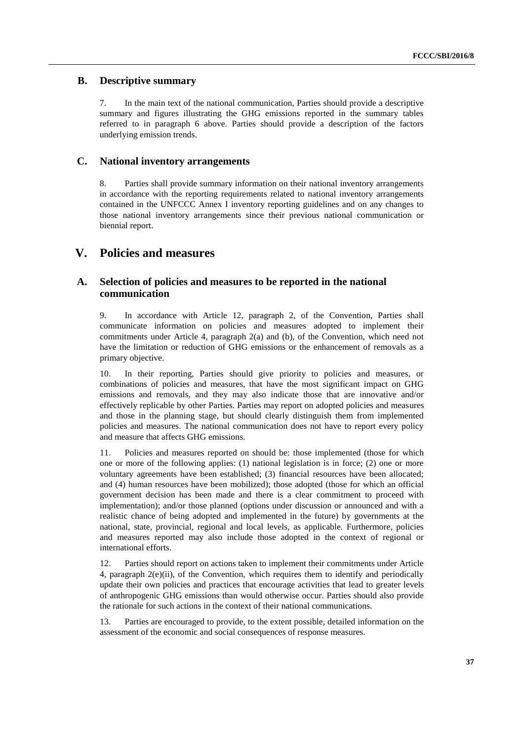## **B. Descriptive summary**

7. In the main text of the national communication, Parties should provide a descriptive summary and figures illustrating the GHG emissions reported in the summary tables referred to in paragraph 6 above. Parties should provide a description of the factors underlying emission trends.

## **C. National inventory arrangements**

8. Parties shall provide summary information on their national inventory arrangements in accordance with the reporting requirements related to national inventory arrangements contained in the UNFCCC Annex I inventory reporting guidelines and on any changes to those national inventory arrangements since their previous national communication or biennial report.

# **V. Policies and measures**

## **A. Selection of policies and measures to be reported in the national communication**

9. In accordance with Article 12, paragraph 2, of the Convention, Parties shall communicate information on policies and measures adopted to implement their commitments under Article 4, paragraph 2(a) and (b), of the Convention, which need not have the limitation or reduction of GHG emissions or the enhancement of removals as a primary objective.

10. In their reporting, Parties should give priority to policies and measures, or combinations of policies and measures, that have the most significant impact on GHG emissions and removals, and they may also indicate those that are innovative and/or effectively replicable by other Parties. Parties may report on adopted policies and measures and those in the planning stage, but should clearly distinguish them from implemented policies and measures. The national communication does not have to report every policy and measure that affects GHG emissions.

11. Policies and measures reported on should be: those implemented (those for which one or more of the following applies: (1) national legislation is in force; (2) one or more voluntary agreements have been established; (3) financial resources have been allocated; and (4) human resources have been mobilized); those adopted (those for which an official government decision has been made and there is a clear commitment to proceed with implementation); and/or those planned (options under discussion or announced and with a realistic chance of being adopted and implemented in the future) by governments at the national, state, provincial, regional and local levels, as applicable. Furthermore, policies and measures reported may also include those adopted in the context of regional or international efforts.

12. Parties should report on actions taken to implement their commitments under Article 4, paragraph  $2(e)$ (ii), of the Convention, which requires them to identify and periodically update their own policies and practices that encourage activities that lead to greater levels of anthropogenic GHG emissions than would otherwise occur. Parties should also provide the rationale for such actions in the context of their national communications.

13. Parties are encouraged to provide, to the extent possible, detailed information on the assessment of the economic and social consequences of response measures.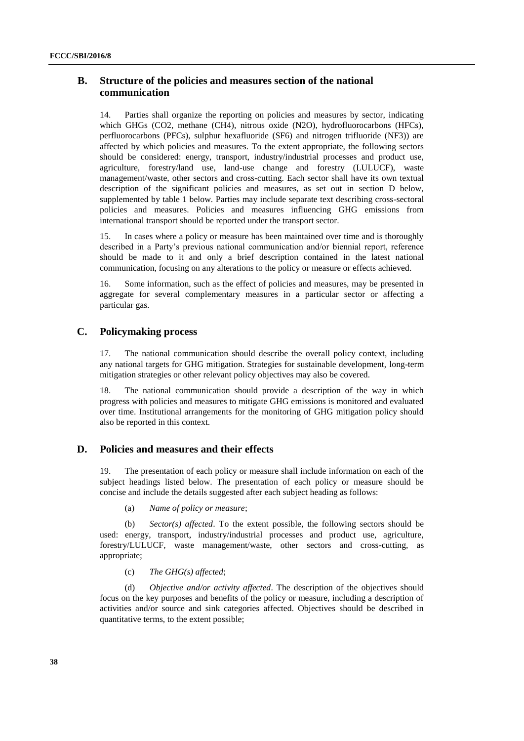## **B. Structure of the policies and measures section of the national communication**

14. Parties shall organize the reporting on policies and measures by sector, indicating which GHGs (CO2, methane (CH4), nitrous oxide (N2O), hydrofluorocarbons (HFCs), perfluorocarbons (PFCs), sulphur hexafluoride (SF6) and nitrogen trifluoride (NF3)) are affected by which policies and measures. To the extent appropriate, the following sectors should be considered: energy, transport, industry/industrial processes and product use, agriculture, forestry/land use, land-use change and forestry (LULUCF), waste management/waste, other sectors and cross-cutting. Each sector shall have its own textual description of the significant policies and measures, as set out in section D below, supplemented by table 1 below. Parties may include separate text describing cross-sectoral policies and measures. Policies and measures influencing GHG emissions from international transport should be reported under the transport sector.

15. In cases where a policy or measure has been maintained over time and is thoroughly described in a Party's previous national communication and/or biennial report, reference should be made to it and only a brief description contained in the latest national communication, focusing on any alterations to the policy or measure or effects achieved.

16. Some information, such as the effect of policies and measures, may be presented in aggregate for several complementary measures in a particular sector or affecting a particular gas.

## **C. Policymaking process**

17. The national communication should describe the overall policy context, including any national targets for GHG mitigation. Strategies for sustainable development, long-term mitigation strategies or other relevant policy objectives may also be covered.

18. The national communication should provide a description of the way in which progress with policies and measures to mitigate GHG emissions is monitored and evaluated over time. Institutional arrangements for the monitoring of GHG mitigation policy should also be reported in this context.

#### **D. Policies and measures and their effects**

19. The presentation of each policy or measure shall include information on each of the subject headings listed below. The presentation of each policy or measure should be concise and include the details suggested after each subject heading as follows:

(a) *Name of policy or measure*;

(b) *Sector(s) affected*. To the extent possible, the following sectors should be used: energy, transport, industry/industrial processes and product use, agriculture, forestry/LULUCF, waste management/waste, other sectors and cross-cutting, as appropriate;

(c) *The GHG(s) affected*;

(d) *Objective and/or activity affected*. The description of the objectives should focus on the key purposes and benefits of the policy or measure, including a description of activities and/or source and sink categories affected. Objectives should be described in quantitative terms, to the extent possible;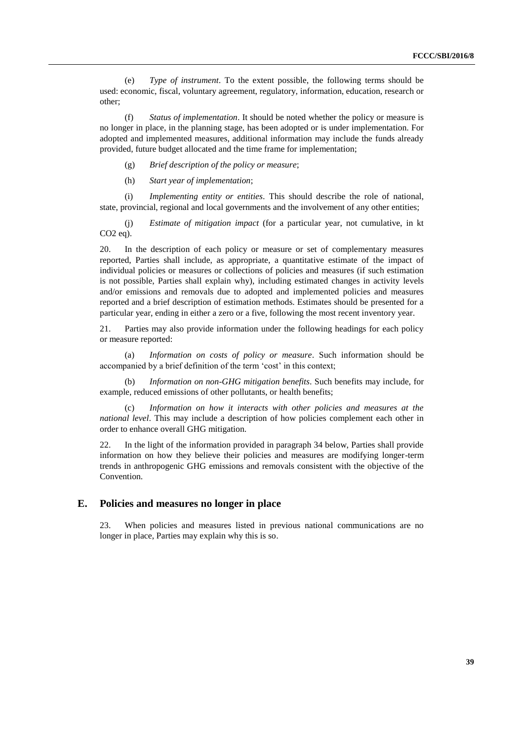(e) *Type of instrument*. To the extent possible, the following terms should be used: economic, fiscal, voluntary agreement, regulatory, information, education, research or other;

(f) *Status of implementation*. It should be noted whether the policy or measure is no longer in place, in the planning stage, has been adopted or is under implementation. For adopted and implemented measures, additional information may include the funds already provided, future budget allocated and the time frame for implementation;

(g) *Brief description of the policy or measure*;

(h) *Start year of implementation*;

(i) *Implementing entity or entities*. This should describe the role of national, state, provincial, regional and local governments and the involvement of any other entities;

(j) *Estimate of mitigation impact* (for a particular year, not cumulative, in kt CO2 eq).

20. In the description of each policy or measure or set of complementary measures reported, Parties shall include, as appropriate, a quantitative estimate of the impact of individual policies or measures or collections of policies and measures (if such estimation is not possible, Parties shall explain why), including estimated changes in activity levels and/or emissions and removals due to adopted and implemented policies and measures reported and a brief description of estimation methods. Estimates should be presented for a particular year, ending in either a zero or a five, following the most recent inventory year.

21. Parties may also provide information under the following headings for each policy or measure reported:

(a) *Information on costs of policy or measure*. Such information should be accompanied by a brief definition of the term 'cost' in this context;

(b) *Information on non-GHG mitigation benefits*. Such benefits may include, for example, reduced emissions of other pollutants, or health benefits;

(c) *Information on how it interacts with other policies and measures at the national level*. This may include a description of how policies complement each other in order to enhance overall GHG mitigation.

22. In the light of the information provided in paragraph 34 below, Parties shall provide information on how they believe their policies and measures are modifying longer-term trends in anthropogenic GHG emissions and removals consistent with the objective of the Convention.

#### **E. Policies and measures no longer in place**

23. When policies and measures listed in previous national communications are no longer in place, Parties may explain why this is so.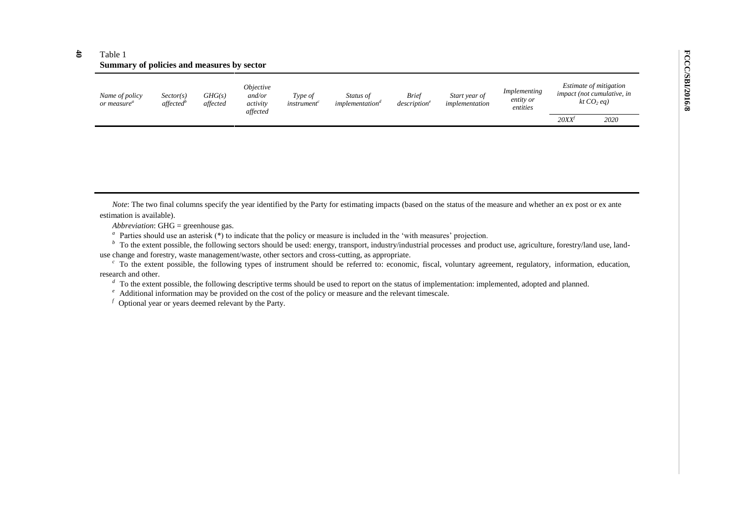#### **40** Table 1 **Summary of policies and measures by sector**

| 20XX'<br>2020 | Name of policy<br>or measure" | Sector(s)<br>affected <sup>b</sup> | GHG(s)<br>affected | <i><b>Objective</b></i><br>and/or<br>activity<br>affected | Type of<br><i>instrument</i> | <i>Status of</i><br><i>implementation</i> " | <b>Brief</b><br>description <sup>e</sup> | Start year of<br>implementation | Implementing<br>entity or<br>entities | Estimate of mitigation<br><i>impact</i> (not cumulative, in<br>kt $CO2$ eg) |
|---------------|-------------------------------|------------------------------------|--------------------|-----------------------------------------------------------|------------------------------|---------------------------------------------|------------------------------------------|---------------------------------|---------------------------------------|-----------------------------------------------------------------------------|
|               |                               |                                    |                    |                                                           |                              |                                             |                                          |                                 |                                       |                                                                             |

*Note*: The two final columns specify the year identified by the Party for estimating impacts (based on the status of the measure and whether an ex post or ex ante estimation is available).

*Abbreviation*: GHG = greenhouse gas.

<sup>*a*</sup> Parties should use an asterisk  $(*)$  to indicate that the policy or measure is included in the 'with measures' projection.

<sup>*b*</sup> To the extent possible, the following sectors should be used: energy, transport, industry/industrial processes and product use, agriculture, forestry/land use, landuse change and forestry, waste management/waste, other sectors and cross-cutting, as appropriate.

<sup>c</sup> To the extent possible, the following types of instrument should be referred to: economic, fiscal, voluntary agreement, regulatory, information, education, research and other.

<sup>*d*</sup> To the extent possible, the following descriptive terms should be used to report on the status of implementation: implemented, adopted and planned.

<sup>e</sup> Additional information may be provided on the cost of the policy or measure and the relevant timescale.

 $f$  Optional year or years deemed relevant by the Party.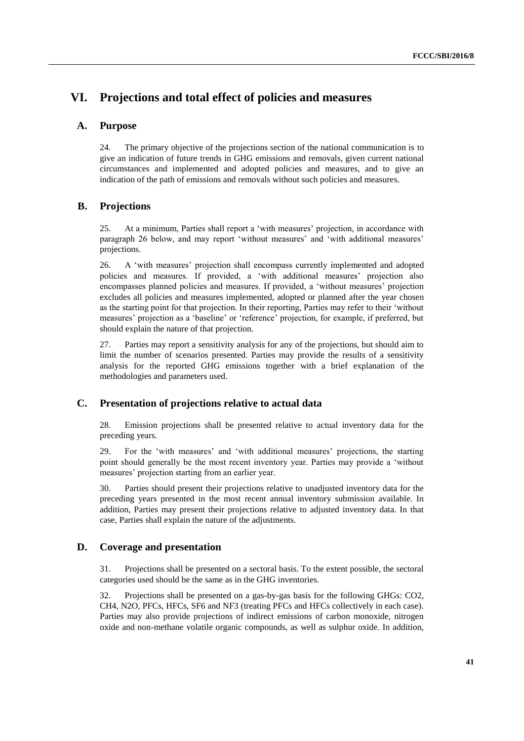# **VI. Projections and total effect of policies and measures**

### **A. Purpose**

24. The primary objective of the projections section of the national communication is to give an indication of future trends in GHG emissions and removals, given current national circumstances and implemented and adopted policies and measures, and to give an indication of the path of emissions and removals without such policies and measures.

### **B. Projections**

25. At a minimum, Parties shall report a 'with measures' projection, in accordance with paragraph 26 below, and may report 'without measures' and 'with additional measures' projections.

26. A 'with measures' projection shall encompass currently implemented and adopted policies and measures. If provided, a 'with additional measures' projection also encompasses planned policies and measures. If provided, a 'without measures' projection excludes all policies and measures implemented, adopted or planned after the year chosen as the starting point for that projection. In their reporting, Parties may refer to their 'without measures' projection as a 'baseline' or 'reference' projection, for example, if preferred, but should explain the nature of that projection.

27. Parties may report a sensitivity analysis for any of the projections, but should aim to limit the number of scenarios presented. Parties may provide the results of a sensitivity analysis for the reported GHG emissions together with a brief explanation of the methodologies and parameters used.

#### **C. Presentation of projections relative to actual data**

28. Emission projections shall be presented relative to actual inventory data for the preceding years.

29. For the 'with measures' and 'with additional measures' projections, the starting point should generally be the most recent inventory year. Parties may provide a 'without measures' projection starting from an earlier year.

30. Parties should present their projections relative to unadjusted inventory data for the preceding years presented in the most recent annual inventory submission available. In addition, Parties may present their projections relative to adjusted inventory data. In that case, Parties shall explain the nature of the adjustments.

## **D. Coverage and presentation**

31. Projections shall be presented on a sectoral basis. To the extent possible, the sectoral categories used should be the same as in the GHG inventories.

32. Projections shall be presented on a gas-by-gas basis for the following GHGs: CO2, CH4, N2O, PFCs, HFCs, SF6 and NF3 (treating PFCs and HFCs collectively in each case). Parties may also provide projections of indirect emissions of carbon monoxide, nitrogen oxide and non-methane volatile organic compounds, as well as sulphur oxide. In addition,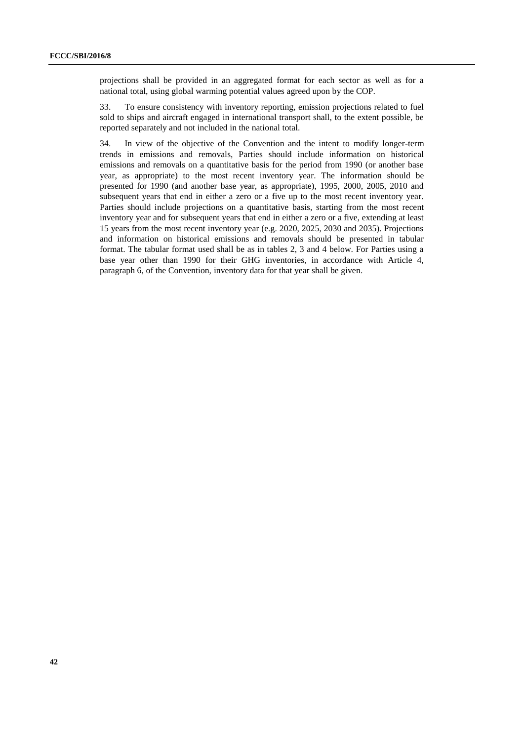projections shall be provided in an aggregated format for each sector as well as for a national total, using global warming potential values agreed upon by the COP.

33. To ensure consistency with inventory reporting, emission projections related to fuel sold to ships and aircraft engaged in international transport shall, to the extent possible, be reported separately and not included in the national total.

34. In view of the objective of the Convention and the intent to modify longer-term trends in emissions and removals, Parties should include information on historical emissions and removals on a quantitative basis for the period from 1990 (or another base year, as appropriate) to the most recent inventory year. The information should be presented for 1990 (and another base year, as appropriate), 1995, 2000, 2005, 2010 and subsequent years that end in either a zero or a five up to the most recent inventory year. Parties should include projections on a quantitative basis, starting from the most recent inventory year and for subsequent years that end in either a zero or a five, extending at least 15 years from the most recent inventory year (e.g. 2020, 2025, 2030 and 2035). Projections and information on historical emissions and removals should be presented in tabular format. The tabular format used shall be as in tables 2, 3 and 4 below. For Parties using a base year other than 1990 for their GHG inventories, in accordance with Article 4, paragraph 6, of the Convention, inventory data for that year shall be given.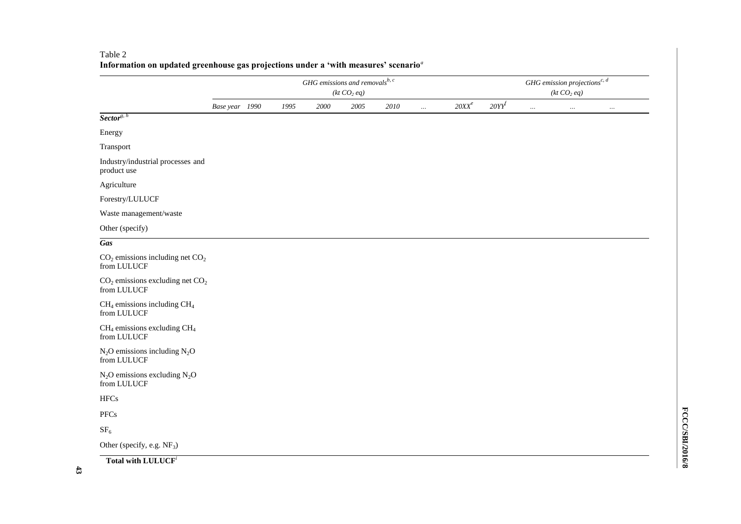|                                                    | GHG emissions and removals $^{b, c}$<br>(kt CO <sub>2</sub> eq) |  |      |          |          |          |          |          |          | GHG emission projections<br>$\real^{c,\,d}$<br>(kt CO <sub>2</sub> eq) |          |          |  |
|----------------------------------------------------|-----------------------------------------------------------------|--|------|----------|----------|----------|----------|----------|----------|------------------------------------------------------------------------|----------|----------|--|
|                                                    | Base year 1990                                                  |  | 1995 | $2000\,$ | $2005\,$ | $2010\,$ | $\ldots$ | $20XX^e$ | $20YY^f$ | $\ldots$                                                               | $\ldots$ | $\ldots$ |  |
| $Sector^{g, h}$                                    |                                                                 |  |      |          |          |          |          |          |          |                                                                        |          |          |  |
| Energy                                             |                                                                 |  |      |          |          |          |          |          |          |                                                                        |          |          |  |
| Transport                                          |                                                                 |  |      |          |          |          |          |          |          |                                                                        |          |          |  |
| Industry/industrial processes and<br>product use   |                                                                 |  |      |          |          |          |          |          |          |                                                                        |          |          |  |
| Agriculture                                        |                                                                 |  |      |          |          |          |          |          |          |                                                                        |          |          |  |
| Forestry/LULUCF                                    |                                                                 |  |      |          |          |          |          |          |          |                                                                        |          |          |  |
| Waste management/waste                             |                                                                 |  |      |          |          |          |          |          |          |                                                                        |          |          |  |
| Other (specify)                                    |                                                                 |  |      |          |          |          |          |          |          |                                                                        |          |          |  |
| Gas                                                |                                                                 |  |      |          |          |          |          |          |          |                                                                        |          |          |  |
| $CO2$ emissions including net $CO2$<br>from LULUCF |                                                                 |  |      |          |          |          |          |          |          |                                                                        |          |          |  |
| $CO2$ emissions excluding net $CO2$<br>from LULUCF |                                                                 |  |      |          |          |          |          |          |          |                                                                        |          |          |  |
| $CH_4$ emissions including $CH_4$<br>from LULUCF   |                                                                 |  |      |          |          |          |          |          |          |                                                                        |          |          |  |
| $CH_4$ emissions excluding $CH_4$<br>from LULUCF   |                                                                 |  |      |          |          |          |          |          |          |                                                                        |          |          |  |
| $N_2O$ emissions including $N_2O$<br>from LULUCF   |                                                                 |  |      |          |          |          |          |          |          |                                                                        |          |          |  |
| $N_2O$ emissions excluding $N_2O$<br>from LULUCF   |                                                                 |  |      |          |          |          |          |          |          |                                                                        |          |          |  |
| ${\rm HFCs}$                                       |                                                                 |  |      |          |          |          |          |          |          |                                                                        |          |          |  |
| PFCs                                               |                                                                 |  |      |          |          |          |          |          |          |                                                                        |          |          |  |
| SF <sub>6</sub>                                    |                                                                 |  |      |          |          |          |          |          |          |                                                                        |          |          |  |
| Other (specify, e.g. NF <sub>3</sub> )             |                                                                 |  |      |          |          |          |          |          |          |                                                                        |          |          |  |

#### Table 2 **Information on updated greenhouse gas projections under a 'with measures' scenario***<sup>a</sup>*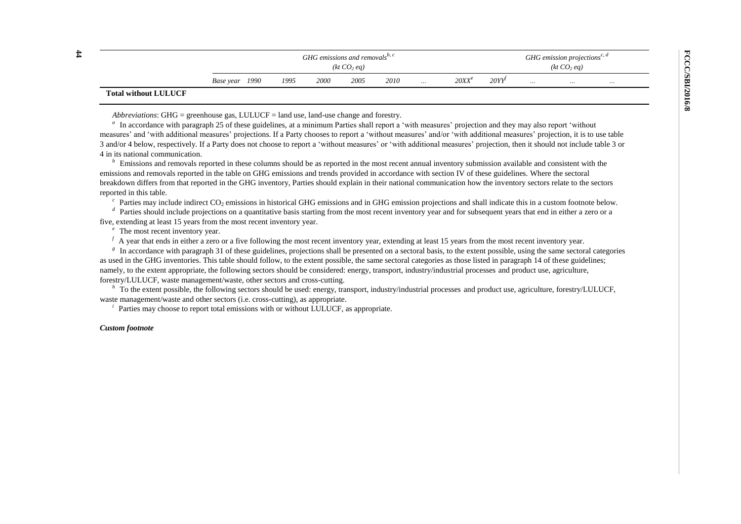| $\sharp$ |                             |           | GHG emissions and removals <sup><math>v, c</math></sup> |      |                         |      |      |          |          |      |          | GHG emission projections <sup>c, d</sup><br>(kt CO <sub>2</sub> eq) |          |  |  |  |
|----------|-----------------------------|-----------|---------------------------------------------------------|------|-------------------------|------|------|----------|----------|------|----------|---------------------------------------------------------------------|----------|--|--|--|
|          |                             |           |                                                         |      | (kt CO <sub>2</sub> eq) |      |      |          |          |      |          |                                                                     |          |  |  |  |
|          |                             | Base year | 1990                                                    | 1995 | 2000                    | 2005 | 2010 | $\cdots$ | $20XX^e$ | 20YY | $\cdots$ | $\cdots$                                                            | $\cdots$ |  |  |  |
|          | <b>Total without LULUCF</b> |           |                                                         |      |                         |      |      |          |          |      |          |                                                                     |          |  |  |  |

*Abbreviations*: GHG = greenhouse gas, LULUCF = land use, land-use change and forestry.

<sup>*a*</sup> In accordance with paragraph 25 of these guidelines, at a minimum Parties shall report a 'with measures' projection and they may also report 'without measures' and 'with additional measures' projections. If a Party chooses to report a 'without measures' and/or 'with additional measures' projection, it is to use table 3 and/or 4 below, respectively. If a Party does not choose to report a 'without measures' or 'with additional measures' projection, then it should not include table 3 or 4 in its national communication.

*<sup>b</sup>*Emissions and removals reported in these columns should be as reported in the most recent annual inventory submission available and consistent with the emissions and removals reported in the table on GHG emissions and trends provided in accordance with section IV of these guidelines. Where the sectoral breakdown differs from that reported in the GHG inventory, Parties should explain in their national communication how the inventory sectors relate to the sectors reported in this table.

 $c$  Parties may include indirect CO<sub>2</sub> emissions in historical GHG emissions and in GHG emission projections and shall indicate this in a custom footnote below.

Parties should include projections on a quantitative basis starting from the most recent inventory year and for subsequent years that end in either a zero or a five, extending at least 15 years from the most recent inventory year.

*e* The most recent inventory year.

 $f_A$  year that ends in either a zero or a five following the most recent inventory year, extending at least 15 years from the most recent inventory year.

<sup>g</sup>In accordance with paragraph 31 of these guidelines, projections shall be presented on a sectoral basis, to the extent possible, using the same sectoral categories as used in the GHG inventories. This table should follow, to the extent possible, the same sectoral categories as those listed in paragraph 14 of these guidelines; namely, to the extent appropriate, the following sectors should be considered: energy, transport, industry/industrial processes and product use, agriculture, forestry/LULUCF, waste management/waste, other sectors and cross-cutting.

*h* To the extent possible, the following sectors should be used: energy, transport, industry/industrial processes and product use, agriculture, forestry/LULUCF, waste management/waste and other sectors (i.e. cross-cutting), as appropriate.

Parties may choose to report total emissions with or without LULUCF, as appropriate.

#### *Custom footnote*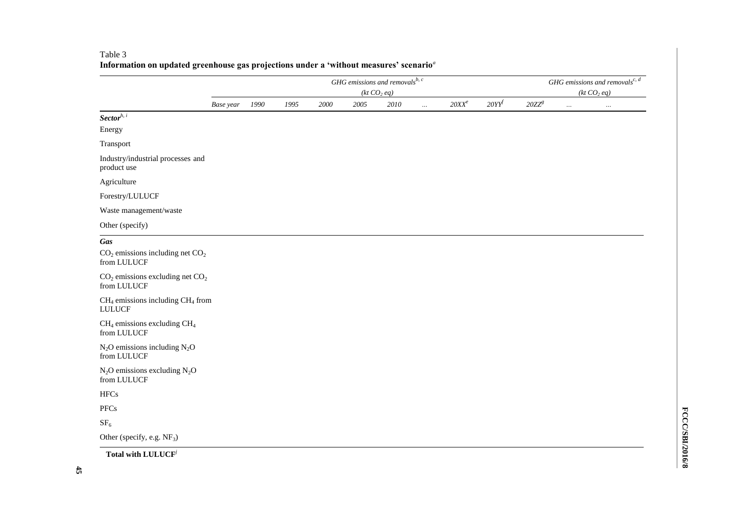|                                                           |           |      |      |      |      | GHG emissions and removals $^{b, c}$ |          |          |      |          |          | GHG emissions and removals <sup>c, <math>d</math></sup> |
|-----------------------------------------------------------|-----------|------|------|------|------|--------------------------------------|----------|----------|------|----------|----------|---------------------------------------------------------|
|                                                           |           |      |      |      |      | (kt CO <sub>2</sub> eq)              |          |          |      |          |          | (kt CO <sub>2</sub> eq)                                 |
|                                                           | Base year | 1990 | 1995 | 2000 | 2005 | 2010                                 | $\cdots$ | $20XX^e$ | 20YY | $20ZZ^g$ | $\ldots$ | $\ldots$                                                |
| $Sector^{h, i}$                                           |           |      |      |      |      |                                      |          |          |      |          |          |                                                         |
| Energy                                                    |           |      |      |      |      |                                      |          |          |      |          |          |                                                         |
| Transport                                                 |           |      |      |      |      |                                      |          |          |      |          |          |                                                         |
| Industry/industrial processes and<br>product use          |           |      |      |      |      |                                      |          |          |      |          |          |                                                         |
| Agriculture                                               |           |      |      |      |      |                                      |          |          |      |          |          |                                                         |
| Forestry/LULUCF                                           |           |      |      |      |      |                                      |          |          |      |          |          |                                                         |
| Waste management/waste                                    |           |      |      |      |      |                                      |          |          |      |          |          |                                                         |
| Other (specify)                                           |           |      |      |      |      |                                      |          |          |      |          |          |                                                         |
| Gas<br>$CO2$ emissions including net $CO2$<br>from LULUCF |           |      |      |      |      |                                      |          |          |      |          |          |                                                         |
| $CO2$ emissions excluding net $CO2$<br>from LULUCF        |           |      |      |      |      |                                      |          |          |      |          |          |                                                         |
| $CH4$ emissions including $CH4$ from<br><b>LULUCF</b>     |           |      |      |      |      |                                      |          |          |      |          |          |                                                         |
| $CH4$ emissions excluding $CH4$<br>from LULUCF            |           |      |      |      |      |                                      |          |          |      |          |          |                                                         |
| $N_2O$ emissions including $N_2O$<br>from LULUCF          |           |      |      |      |      |                                      |          |          |      |          |          |                                                         |
| $N_2O$ emissions excluding $N_2O$<br>from LULUCF          |           |      |      |      |      |                                      |          |          |      |          |          |                                                         |
| <b>HFCs</b>                                               |           |      |      |      |      |                                      |          |          |      |          |          |                                                         |
| <b>PFCs</b>                                               |           |      |      |      |      |                                      |          |          |      |          |          |                                                         |
| SF <sub>6</sub>                                           |           |      |      |      |      |                                      |          |          |      |          |          |                                                         |
| Other (specify, e.g. NF <sub>3</sub> )                    |           |      |      |      |      |                                      |          |          |      |          |          |                                                         |

## Table 3 **Information on updated greenhouse gas projections under a 'without measures' scenario***<sup>a</sup>*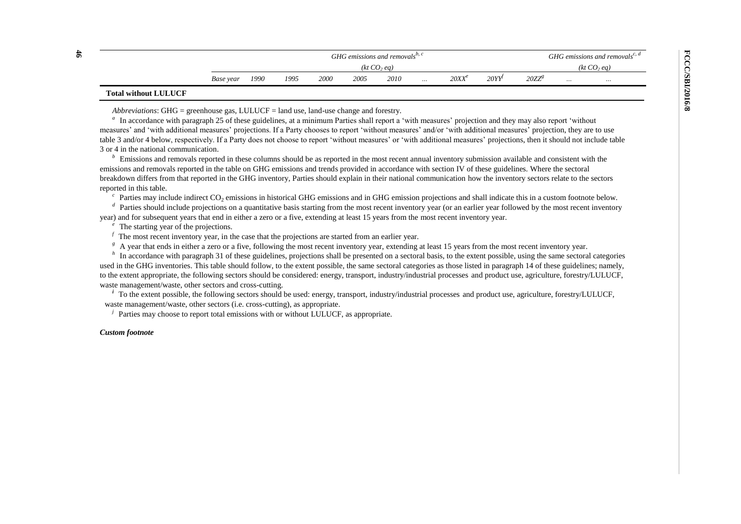| $\sharp$ |                             |           | GHG emissions and removals <sup>0, c</sup> |      |      |      |                         |          |          |      |          |          | GHG emissions and removals <sup>c, a</sup> |  |
|----------|-----------------------------|-----------|--------------------------------------------|------|------|------|-------------------------|----------|----------|------|----------|----------|--------------------------------------------|--|
|          |                             |           |                                            |      |      |      | (kt CO <sub>2</sub> eq) |          |          |      |          |          |                                            |  |
|          |                             | Base year | 1990                                       | 1995 | 2000 | 2005 | 2010                    | $\cdots$ | $20XX^e$ | 20YY | $20ZZ^8$ | $\cdots$ | $\cdots$                                   |  |
|          | <b>Total without LULUCF</b> |           |                                            |      |      |      |                         |          |          |      |          |          |                                            |  |

*Abbreviations*: GHG = greenhouse gas, LULUCF = land use, land-use change and forestry.

<sup>*a*</sup> In accordance with paragraph 25 of these guidelines, at a minimum Parties shall report a 'with measures' projection and they may also report 'without measures' and 'with additional measures' projections. If a Party chooses to report 'without measures' and/or 'with additional measures' projection, they are to use table 3 and/or 4 below, respectively. If a Party does not choose to report 'without measures' or 'with additional measures' projections, then it should not include table 3 or 4 in the national communication.

<sup>*b*</sup> Emissions and removals reported in these columns should be as reported in the most recent annual inventory submission available and consistent with the emissions and removals reported in the table on GHG emissions and trends provided in accordance with section IV of these guidelines. Where the sectoral breakdown differs from that reported in the GHG inventory, Parties should explain in their national communication how the inventory sectors relate to the sectors reported in this table.

 $c$  Parties may include indirect CO<sub>2</sub> emissions in historical GHG emissions and in GHG emission projections and shall indicate this in a custom footnote below.

<sup>*d*</sup> Parties should include projections on a quantitative basis starting from the most recent inventory year (or an earlier year followed by the most recent inventory year) and for subsequent years that end in either a zero or a five, extending at least 15 years from the most recent inventory year.

<sup>*e*</sup> The starting year of the projections.

 $f$  The most recent inventory year, in the case that the projections are started from an earlier year.

<sup>g</sup> A year that ends in either a zero or a five, following the most recent inventory year, extending at least 15 years from the most recent inventory year.

*h* In accordance with paragraph 31 of these guidelines, projections shall be presented on a sectoral basis, to the extent possible, using the same sectoral categories used in the GHG inventories. This table should follow, to the extent possible, the same sectoral categories as those listed in paragraph 14 of these guidelines; namely, to the extent appropriate, the following sectors should be considered: energy, transport, industry/industrial processes and product use, agriculture, forestry/LULUCF, waste management/waste, other sectors and cross-cutting.

<sup>*i*</sup> To the extent possible, the following sectors should be used: energy, transport, industry/industrial processes and product use, agriculture, forestry/LULUCF, waste management/waste, other sectors (i.e. cross-cutting), as appropriate.

Parties may choose to report total emissions with or without LULUCF, as appropriate.

#### *Custom footnote*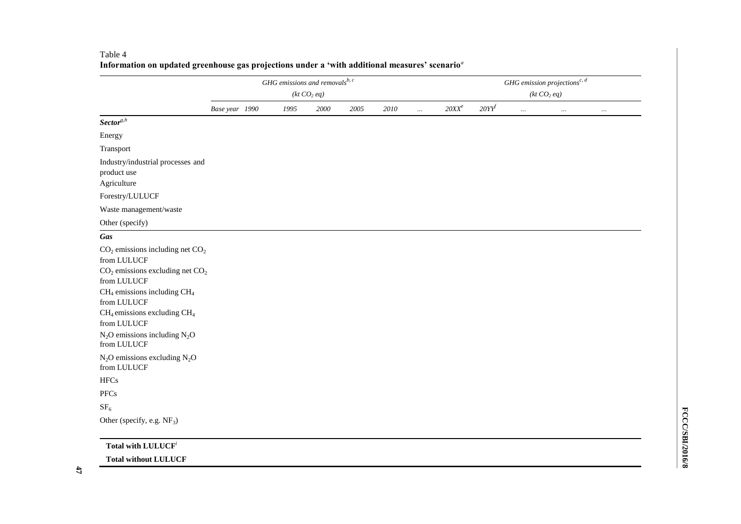|                                                                                                                                                                                                                                                                      |                | GHG emissions and removals $^{b, c}$ | (kt $CO2$ eq) |      |          |          |          |          | (kt CO <sub>2</sub> eq) | GHG emission projections <sup>c, <math>d</math></sup> |          |
|----------------------------------------------------------------------------------------------------------------------------------------------------------------------------------------------------------------------------------------------------------------------|----------------|--------------------------------------|---------------|------|----------|----------|----------|----------|-------------------------|-------------------------------------------------------|----------|
|                                                                                                                                                                                                                                                                      | Base year 1990 | 1995                                 | 2000          | 2005 | $2010\,$ | $\ldots$ | $20XX^e$ | $20YY^f$ | $\ldots$                | $\ldots$                                              | $\cdots$ |
| $Sector^{g,h}$                                                                                                                                                                                                                                                       |                |                                      |               |      |          |          |          |          |                         |                                                       |          |
| Energy                                                                                                                                                                                                                                                               |                |                                      |               |      |          |          |          |          |                         |                                                       |          |
| Transport                                                                                                                                                                                                                                                            |                |                                      |               |      |          |          |          |          |                         |                                                       |          |
| Industry/industrial processes and<br>product use<br>Agriculture                                                                                                                                                                                                      |                |                                      |               |      |          |          |          |          |                         |                                                       |          |
| Forestry/LULUCF                                                                                                                                                                                                                                                      |                |                                      |               |      |          |          |          |          |                         |                                                       |          |
| Waste management/waste                                                                                                                                                                                                                                               |                |                                      |               |      |          |          |          |          |                         |                                                       |          |
| Other (specify)                                                                                                                                                                                                                                                      |                |                                      |               |      |          |          |          |          |                         |                                                       |          |
| Gas                                                                                                                                                                                                                                                                  |                |                                      |               |      |          |          |          |          |                         |                                                       |          |
| $CO2$ emissions including net $CO2$<br>from LULUCF<br>$CO2$ emissions excluding net $CO2$<br>from LULUCF<br>$CH_4$ emissions including $CH_4$<br>from LULUCF<br>$CH_4$ emissions excluding $CH_4$<br>from LULUCF<br>$N_2O$ emissions including $N_2O$<br>from LULUCF |                |                                      |               |      |          |          |          |          |                         |                                                       |          |
| $N_2O$ emissions excluding $N_2O$<br>from LULUCF                                                                                                                                                                                                                     |                |                                      |               |      |          |          |          |          |                         |                                                       |          |
| <b>HFCs</b>                                                                                                                                                                                                                                                          |                |                                      |               |      |          |          |          |          |                         |                                                       |          |
| PFCs                                                                                                                                                                                                                                                                 |                |                                      |               |      |          |          |          |          |                         |                                                       |          |
| $\rm SF_6$                                                                                                                                                                                                                                                           |                |                                      |               |      |          |          |          |          |                         |                                                       |          |
| Other (specify, e.g. NF <sub>3</sub> )                                                                                                                                                                                                                               |                |                                      |               |      |          |          |          |          |                         |                                                       |          |
| Total with LULUCF <sup>i</sup>                                                                                                                                                                                                                                       |                |                                      |               |      |          |          |          |          |                         |                                                       |          |
| <b>Total without LULUCF</b>                                                                                                                                                                                                                                          |                |                                      |               |      |          |          |          |          |                         |                                                       |          |

#### Table 4 **Information on updated greenhouse gas projections under a 'with additional measures' scenario***<sup>a</sup>*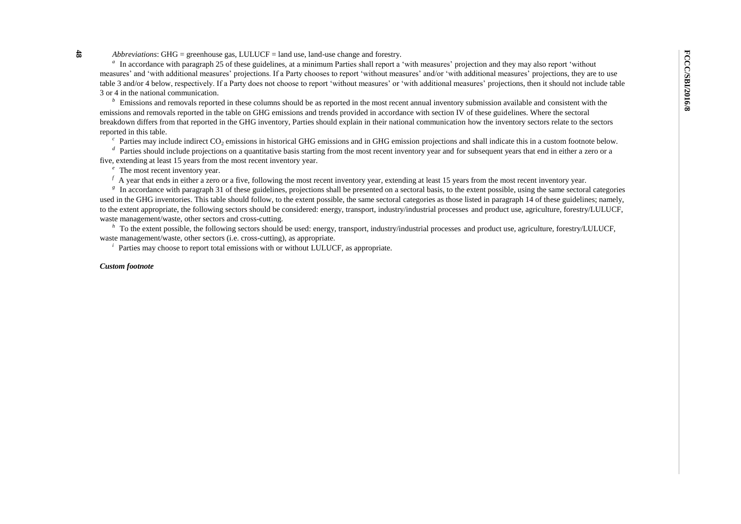**48** *Abbreviations*: GHG = greenhouse gas, LULUCF = land use, land-use change and forestry.

<sup>*a*</sup> In accordance with paragraph 25 of these guidelines, at a minimum Parties shall report a 'with measures' projection and they may also report 'without measures' and 'with additional measures' projections. If a Party chooses to report 'without measures' and/or 'with additional measures' projections, they are to use table 3 and/or 4 below, respectively. If a Party does not choose to report 'without measures' or 'with additional measures' projections, then it should not include table 3 or 4 in the national communication.

*<sup>b</sup>*Emissions and removals reported in these columns should be as reported in the most recent annual inventory submission available and consistent with the emissions and removals reported in the table on GHG emissions and trends provided in accordance with section IV of these guidelines. Where the sectoral breakdown differs from that reported in the GHG inventory, Parties should explain in their national communication how the inventory sectors relate to the sectors reported in this table.

<sup>c</sup> Parties may include indirect CO<sub>2</sub> emissions in historical GHG emissions and in GHG emission projections and shall indicate this in a custom footnote below.

<sup>*d*</sup> Parties should include projections on a quantitative basis starting from the most recent inventory year and for subsequent years that end in either a zero or a five, extending at least 15 years from the most recent inventory year.

The most recent inventory year.

<sup>*f*</sup> A year that ends in either a zero or a five, following the most recent inventory year, extending at least 15 years from the most recent inventory year.

<sup>*g*</sup> In accordance with paragraph 31 of these guidelines, projections shall be presented on a sectoral basis, to the extent possible, using the same sectoral categories used in the GHG inventories. This table should follow, to the extent possible, the same sectoral categories as those listed in paragraph 14 of these guidelines; namely, to the extent appropriate, the following sectors should be considered: energy, transport, industry/industrial processes and product use, agriculture, forestry/LULUCF, waste management/waste, other sectors and cross-cutting.

To the extent possible, the following sectors should be used: energy, transport, industry/industrial processes and product use, agriculture, forestry/LULUCF, waste management/waste, other sectors (i.e. cross-cutting), as appropriate.

 *Parties may choose to report total emissions with or without LULUCF, as appropriate.* 

#### *Custom footnote*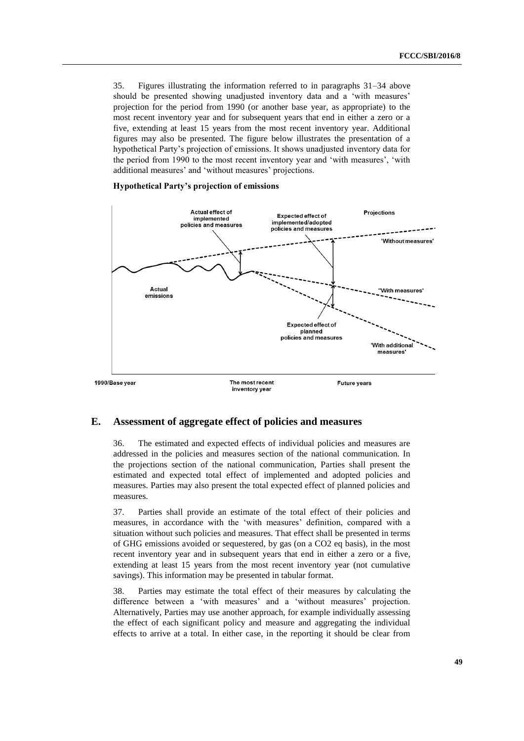35. Figures illustrating the information referred to in paragraphs 31–34 above should be presented showing unadjusted inventory data and a 'with measures' projection for the period from 1990 (or another base year, as appropriate) to the most recent inventory year and for subsequent years that end in either a zero or a five, extending at least 15 years from the most recent inventory year. Additional figures may also be presented. The figure below illustrates the presentation of a hypothetical Party's projection of emissions. It shows unadjusted inventory data for the period from 1990 to the most recent inventory year and 'with measures', 'with additional measures' and 'without measures' projections.

#### **Hypothetical Party's projection of emissions**



#### **E. Assessment of aggregate effect of policies and measures**

36. The estimated and expected effects of individual policies and measures are addressed in the policies and measures section of the national communication. In the projections section of the national communication, Parties shall present the estimated and expected total effect of implemented and adopted policies and measures. Parties may also present the total expected effect of planned policies and measures.

37. Parties shall provide an estimate of the total effect of their policies and measures, in accordance with the 'with measures' definition, compared with a situation without such policies and measures. That effect shall be presented in terms of GHG emissions avoided or sequestered, by gas (on a CO2 eq basis), in the most recent inventory year and in subsequent years that end in either a zero or a five, extending at least 15 years from the most recent inventory year (not cumulative savings). This information may be presented in tabular format.

38. Parties may estimate the total effect of their measures by calculating the difference between a 'with measures' and a 'without measures' projection. Alternatively, Parties may use another approach, for example individually assessing the effect of each significant policy and measure and aggregating the individual effects to arrive at a total. In either case, in the reporting it should be clear from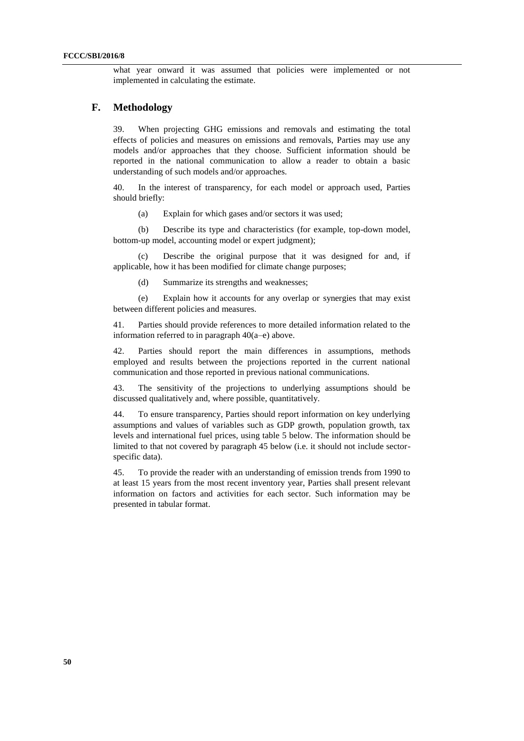what year onward it was assumed that policies were implemented or not implemented in calculating the estimate.

### **F. Methodology**

39. When projecting GHG emissions and removals and estimating the total effects of policies and measures on emissions and removals, Parties may use any models and/or approaches that they choose. Sufficient information should be reported in the national communication to allow a reader to obtain a basic understanding of such models and/or approaches.

40. In the interest of transparency, for each model or approach used, Parties should briefly:

(a) Explain for which gases and/or sectors it was used;

(b) Describe its type and characteristics (for example, top-down model, bottom-up model, accounting model or expert judgment);

(c) Describe the original purpose that it was designed for and, if applicable, how it has been modified for climate change purposes;

(d) Summarize its strengths and weaknesses;

(e) Explain how it accounts for any overlap or synergies that may exist between different policies and measures.

41. Parties should provide references to more detailed information related to the information referred to in paragraph 40(a–e) above.

42. Parties should report the main differences in assumptions, methods employed and results between the projections reported in the current national communication and those reported in previous national communications.

43. The sensitivity of the projections to underlying assumptions should be discussed qualitatively and, where possible, quantitatively.

44. To ensure transparency, Parties should report information on key underlying assumptions and values of variables such as GDP growth, population growth, tax levels and international fuel prices, using table 5 below. The information should be limited to that not covered by paragraph 45 below (i.e. it should not include sectorspecific data).

45. To provide the reader with an understanding of emission trends from 1990 to at least 15 years from the most recent inventory year, Parties shall present relevant information on factors and activities for each sector. Such information may be presented in tabular format.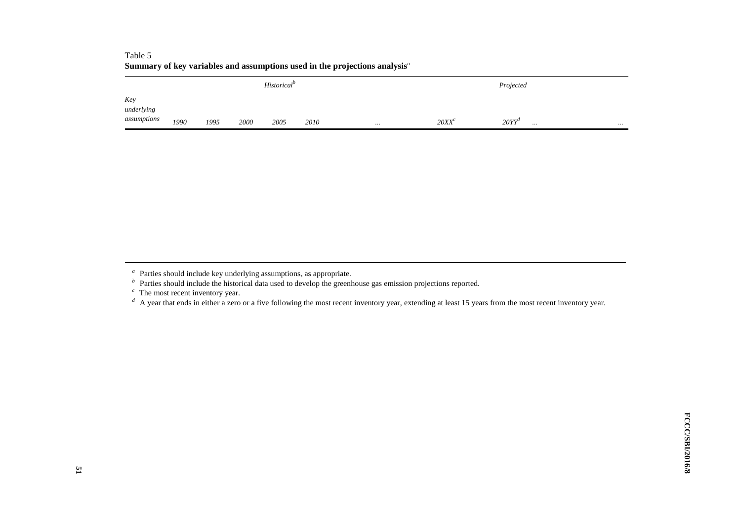|                                  | Summary of key variables and assumptions used in the projections analysis $a$ |      |      |      |      |          |          |                               |          |  |  |  |  |  |  |
|----------------------------------|-------------------------------------------------------------------------------|------|------|------|------|----------|----------|-------------------------------|----------|--|--|--|--|--|--|
|                                  | <b>Historical<sup>p</sup></b><br>Projected                                    |      |      |      |      |          |          |                               |          |  |  |  |  |  |  |
| Key<br>underlying<br>assumptions | 1990                                                                          | 1995 | 2000 | 2005 | 2010 | $\cdots$ | $20XX^c$ | 20YY''<br>$\cdot \cdot \cdot$ | $\cdots$ |  |  |  |  |  |  |

# Table 5

- <sup>c</sup> The most recent inventory year.
- <sup>d</sup> A year that ends in either a zero or a five following the most recent inventory year, extending at least 15 years from the most recent inventory year.

<sup>&</sup>lt;sup>a</sup> Parties should include key underlying assumptions, as appropriate.

<sup>&</sup>lt;sup>*b*</sup> Parties should include the historical data used to develop the greenhouse gas emission projections reported.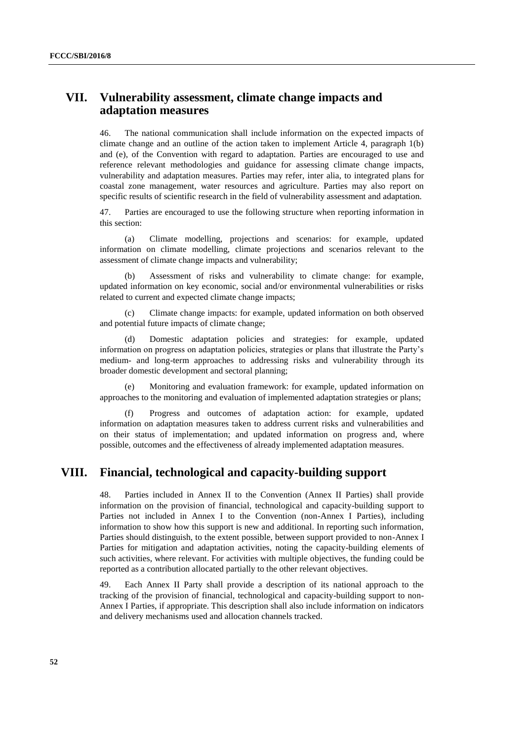# **VII. Vulnerability assessment, climate change impacts and adaptation measures**

46. The national communication shall include information on the expected impacts of climate change and an outline of the action taken to implement Article 4, paragraph 1(b) and (e), of the Convention with regard to adaptation. Parties are encouraged to use and reference relevant methodologies and guidance for assessing climate change impacts, vulnerability and adaptation measures. Parties may refer, inter alia, to integrated plans for coastal zone management, water resources and agriculture. Parties may also report on specific results of scientific research in the field of vulnerability assessment and adaptation.

47. Parties are encouraged to use the following structure when reporting information in this section:

(a) Climate modelling, projections and scenarios: for example, updated information on climate modelling, climate projections and scenarios relevant to the assessment of climate change impacts and vulnerability;

Assessment of risks and vulnerability to climate change: for example, updated information on key economic, social and/or environmental vulnerabilities or risks related to current and expected climate change impacts;

Climate change impacts: for example, updated information on both observed and potential future impacts of climate change;

(d) Domestic adaptation policies and strategies: for example, updated information on progress on adaptation policies, strategies or plans that illustrate the Party's medium- and long-term approaches to addressing risks and vulnerability through its broader domestic development and sectoral planning;

(e) Monitoring and evaluation framework: for example, updated information on approaches to the monitoring and evaluation of implemented adaptation strategies or plans;

(f) Progress and outcomes of adaptation action: for example, updated information on adaptation measures taken to address current risks and vulnerabilities and on their status of implementation; and updated information on progress and, where possible, outcomes and the effectiveness of already implemented adaptation measures.

## **VIII. Financial, technological and capacity-building support**

48. Parties included in Annex II to the Convention (Annex II Parties) shall provide information on the provision of financial, technological and capacity-building support to Parties not included in Annex I to the Convention (non-Annex I Parties), including information to show how this support is new and additional. In reporting such information, Parties should distinguish, to the extent possible, between support provided to non-Annex I Parties for mitigation and adaptation activities, noting the capacity-building elements of such activities, where relevant. For activities with multiple objectives, the funding could be reported as a contribution allocated partially to the other relevant objectives.

49. Each Annex II Party shall provide a description of its national approach to the tracking of the provision of financial, technological and capacity-building support to non-Annex I Parties, if appropriate. This description shall also include information on indicators and delivery mechanisms used and allocation channels tracked.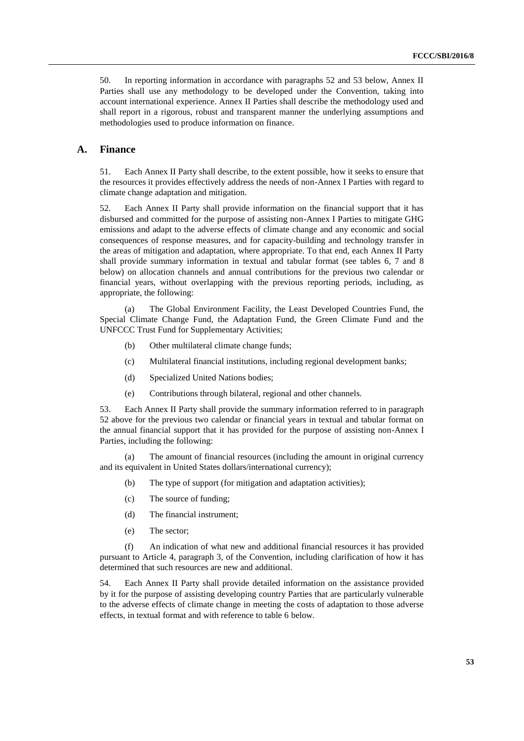50. In reporting information in accordance with paragraphs 52 and 53 below, Annex II Parties shall use any methodology to be developed under the Convention, taking into account international experience. Annex II Parties shall describe the methodology used and shall report in a rigorous, robust and transparent manner the underlying assumptions and methodologies used to produce information on finance.

## **A. Finance**

51. Each Annex II Party shall describe, to the extent possible, how it seeks to ensure that the resources it provides effectively address the needs of non-Annex I Parties with regard to climate change adaptation and mitigation.

52. Each Annex II Party shall provide information on the financial support that it has disbursed and committed for the purpose of assisting non-Annex I Parties to mitigate GHG emissions and adapt to the adverse effects of climate change and any economic and social consequences of response measures, and for capacity-building and technology transfer in the areas of mitigation and adaptation, where appropriate. To that end, each Annex II Party shall provide summary information in textual and tabular format (see tables 6, 7 and 8 below) on allocation channels and annual contributions for the previous two calendar or financial years, without overlapping with the previous reporting periods, including, as appropriate, the following:

(a) The Global Environment Facility, the Least Developed Countries Fund, the Special Climate Change Fund, the Adaptation Fund, the Green Climate Fund and the UNFCCC Trust Fund for Supplementary Activities;

- (b) Other multilateral climate change funds;
- (c) Multilateral financial institutions, including regional development banks;
- (d) Specialized United Nations bodies;
- (e) Contributions through bilateral, regional and other channels.

53. Each Annex II Party shall provide the summary information referred to in paragraph 52 above for the previous two calendar or financial years in textual and tabular format on the annual financial support that it has provided for the purpose of assisting non-Annex I Parties, including the following:

(a) The amount of financial resources (including the amount in original currency and its equivalent in United States dollars/international currency);

- (b) The type of support (for mitigation and adaptation activities);
- (c) The source of funding;
- (d) The financial instrument;
- (e) The sector;

(f) An indication of what new and additional financial resources it has provided pursuant to Article 4, paragraph 3, of the Convention, including clarification of how it has determined that such resources are new and additional.

54. Each Annex II Party shall provide detailed information on the assistance provided by it for the purpose of assisting developing country Parties that are particularly vulnerable to the adverse effects of climate change in meeting the costs of adaptation to those adverse effects, in textual format and with reference to table 6 below.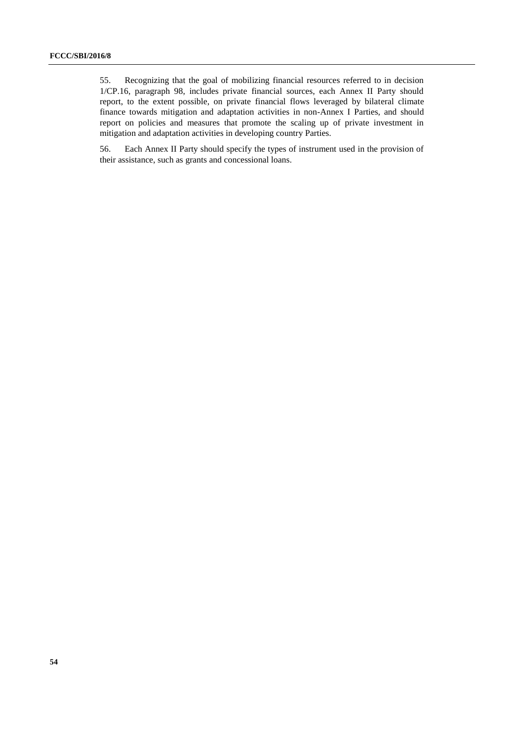55. Recognizing that the goal of mobilizing financial resources referred to in decision 1/CP.16, paragraph 98, includes private financial sources, each Annex II Party should report, to the extent possible, on private financial flows leveraged by bilateral climate finance towards mitigation and adaptation activities in non-Annex I Parties, and should report on policies and measures that promote the scaling up of private investment in mitigation and adaptation activities in developing country Parties.

56. Each Annex II Party should specify the types of instrument used in the provision of their assistance, such as grants and concessional loans.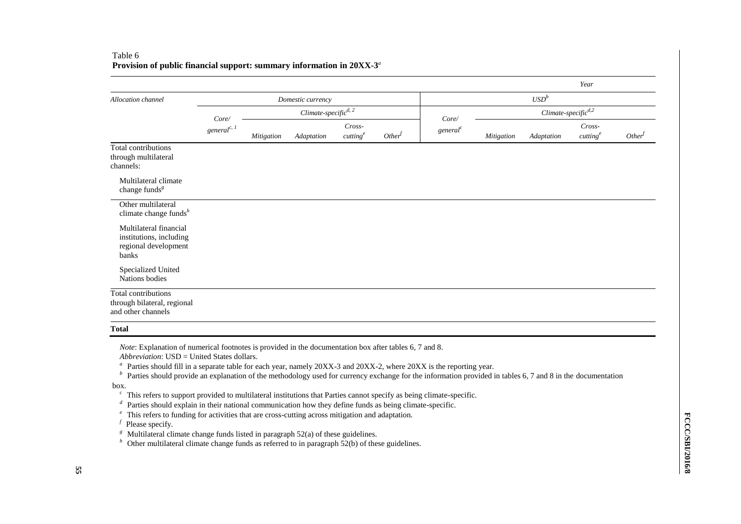|                                                                                    |                   |            |                                    |                                |                    |                               |            |                          | Year                           |           |
|------------------------------------------------------------------------------------|-------------------|------------|------------------------------------|--------------------------------|--------------------|-------------------------------|------------|--------------------------|--------------------------------|-----------|
| Allocation channel                                                                 |                   |            | Domestic currency                  |                                |                    |                               |            | $\mathit{USD}^b$         |                                |           |
|                                                                                    | Core/             |            | $Climate-specific$ <sup>d, 2</sup> |                                |                    |                               |            | $Climate-specific^{d,2}$ |                                |           |
|                                                                                    | general $^{c, l}$ | Mitigation | Adaptation                         | Cross-<br>cutting <sup>e</sup> | Other <sup>f</sup> | Core/<br>general <sup>c</sup> | Mitigation | Adaptation               | Cross-<br>cutting <sup>e</sup> | $Other^f$ |
| Total contributions<br>through multilateral<br>channels:                           |                   |            |                                    |                                |                    |                               |            |                          |                                |           |
| Multilateral climate<br>change funds <sup><math>g</math></sup>                     |                   |            |                                    |                                |                    |                               |            |                          |                                |           |
| Other multilateral<br>climate change funds $^h$                                    |                   |            |                                    |                                |                    |                               |            |                          |                                |           |
| Multilateral financial<br>institutions, including<br>regional development<br>banks |                   |            |                                    |                                |                    |                               |            |                          |                                |           |
| Specialized United<br>Nations bodies                                               |                   |            |                                    |                                |                    |                               |            |                          |                                |           |
| Total contributions<br>through bilateral, regional<br>and other channels           |                   |            |                                    |                                |                    |                               |            |                          |                                |           |

#### Table 6 **Provision of public financial support: summary information in 20XX-3** *a*

**Total**

*Note*: Explanation of numerical footnotes is provided in the documentation box after tables 6, 7 and 8.

*Abbreviation*: USD = United States dollars.

<sup>a</sup> Parties should fill in a separate table for each year, namely 20XX-3 and 20XX-2, where 20XX is the reporting year.

*b* Parties should provide an explanation of the methodology used for currency exchange for the information provided in tables 6, 7 and 8 in the documentation

box.

<sup>c</sup> This refers to support provided to multilateral institutions that Parties cannot specify as being climate-specific.

- *d* Parties should explain in their national communication how they define funds as being climate-specific.
- <sup>e</sup> This refers to funding for activities that are cross-cutting across mitigation and adaptation.

<sup>*f*</sup> Please specify.

<sup>g</sup>Multilateral climate change funds listed in paragraph 52(a) of these guidelines.<br>
<sup>*h*</sup> Other multilateral climate change funds as referred to in paragraph 52(b) of the

Other multilateral climate change funds as referred to in paragraph  $\frac{6}{2}$ (b) of these guidelines.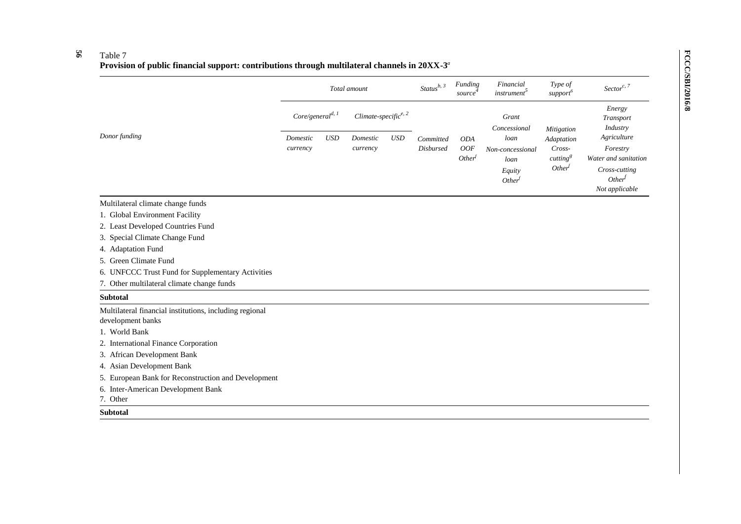#### **56** Table 7

#### **Provision of public financial support: contributions through multilateral channels in 20XX-3** *a*

|                                                                              |                              |            | Total amount                |            | $Status^{b, 3}$               | Funding<br>source                              | Financial<br><i>instrument</i> <sup>5</sup>                      | Type of<br>support <sup>6</sup>                                                  | Sector <sup>c, <math>7</math></sup>                                                                      |
|------------------------------------------------------------------------------|------------------------------|------------|-----------------------------|------------|-------------------------------|------------------------------------------------|------------------------------------------------------------------|----------------------------------------------------------------------------------|----------------------------------------------------------------------------------------------------------|
|                                                                              | Core/general <sup>d, 1</sup> |            | Climate-specific $e^{e, 2}$ |            |                               |                                                | Grant<br>Concessional                                            |                                                                                  | Energy<br>Transport<br>Industry                                                                          |
| Donor funding                                                                | Domestic<br>currency         | <b>USD</b> | Domestic<br>currency        | <b>USD</b> | Committed<br><b>Disbursed</b> | <b>ODA</b><br><b>OOF</b><br>Other <sup>f</sup> | loan<br>Non-concessional<br>loan<br>Equity<br>Other <sup>f</sup> | Mitigation<br>Adaptation<br>Cross-<br>cutting <sup>g</sup><br>Other <sup>t</sup> | Agriculture<br>Forestry<br>Water and sanitation<br>Cross-cutting<br>Other <sup>f</sup><br>Not applicable |
| Multilateral climate change funds                                            |                              |            |                             |            |                               |                                                |                                                                  |                                                                                  |                                                                                                          |
| 1. Global Environment Facility                                               |                              |            |                             |            |                               |                                                |                                                                  |                                                                                  |                                                                                                          |
| 2. Least Developed Countries Fund                                            |                              |            |                             |            |                               |                                                |                                                                  |                                                                                  |                                                                                                          |
| Special Climate Change Fund<br>3.                                            |                              |            |                             |            |                               |                                                |                                                                  |                                                                                  |                                                                                                          |
| 4. Adaptation Fund                                                           |                              |            |                             |            |                               |                                                |                                                                  |                                                                                  |                                                                                                          |
| Green Climate Fund<br>5.                                                     |                              |            |                             |            |                               |                                                |                                                                  |                                                                                  |                                                                                                          |
| 6. UNFCCC Trust Fund for Supplementary Activities                            |                              |            |                             |            |                               |                                                |                                                                  |                                                                                  |                                                                                                          |
| Other multilateral climate change funds<br>7.                                |                              |            |                             |            |                               |                                                |                                                                  |                                                                                  |                                                                                                          |
| <b>Subtotal</b>                                                              |                              |            |                             |            |                               |                                                |                                                                  |                                                                                  |                                                                                                          |
| Multilateral financial institutions, including regional<br>development banks |                              |            |                             |            |                               |                                                |                                                                  |                                                                                  |                                                                                                          |
| 1. World Bank                                                                |                              |            |                             |            |                               |                                                |                                                                  |                                                                                  |                                                                                                          |
| 2. International Finance Corporation                                         |                              |            |                             |            |                               |                                                |                                                                  |                                                                                  |                                                                                                          |
| 3. African Development Bank                                                  |                              |            |                             |            |                               |                                                |                                                                  |                                                                                  |                                                                                                          |
| 4. Asian Development Bank                                                    |                              |            |                             |            |                               |                                                |                                                                  |                                                                                  |                                                                                                          |
| 5. European Bank for Reconstruction and Development                          |                              |            |                             |            |                               |                                                |                                                                  |                                                                                  |                                                                                                          |
| 6. Inter-American Development Bank<br>7. Other                               |                              |            |                             |            |                               |                                                |                                                                  |                                                                                  |                                                                                                          |
| <b>Subtotal</b>                                                              |                              |            |                             |            |                               |                                                |                                                                  |                                                                                  |                                                                                                          |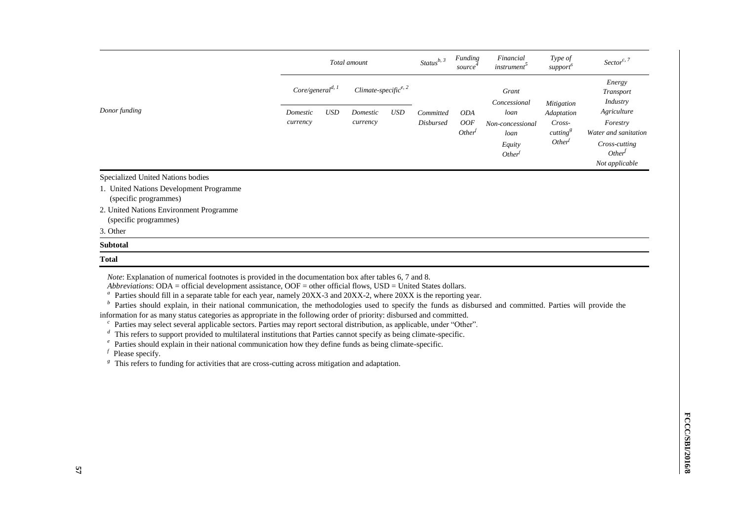|                                                                  |          | Total amount                 |          |                                  | Status $b, 3$    | Funding<br>source                | Financial<br><i>instrument</i>                                                                                 | Type of<br>support <sup>6</sup> | Sector <sup>c, 7</sup>                     |
|------------------------------------------------------------------|----------|------------------------------|----------|----------------------------------|------------------|----------------------------------|----------------------------------------------------------------------------------------------------------------|---------------------------------|--------------------------------------------|
|                                                                  |          | Core/general <sup>d, 1</sup> |          | Climate-specific <sup>e, 2</sup> |                  |                                  | Grant<br>Concessional                                                                                          |                                 | Energy<br><i>Transport</i><br>Industry     |
| Donor funding                                                    | Domestic | <b>USD</b>                   | Domestic | <b>USD</b>                       | Committed        | <b>ODA</b>                       | loan<br>Non-concessional<br>cutting <sup>8</sup><br>loan<br>Other <sup>f</sup><br>Equity<br>Other <sup>f</sup> | <b>Mitigation</b><br>Adaptation | Agriculture                                |
|                                                                  | currency |                              | currency |                                  | <b>Disbursed</b> | <b>OOF</b><br>Other <sup>f</sup> |                                                                                                                | Cross-                          | Forestry                                   |
|                                                                  |          |                              |          |                                  |                  |                                  |                                                                                                                |                                 | Water and sanitation                       |
|                                                                  |          |                              |          |                                  |                  |                                  |                                                                                                                |                                 | Cross-cutting<br>Other <sup><i>J</i></sup> |
|                                                                  |          |                              |          |                                  |                  |                                  |                                                                                                                |                                 | Not applicable                             |
| Specialized United Nations bodies                                |          |                              |          |                                  |                  |                                  |                                                                                                                |                                 |                                            |
| 1. United Nations Development Programme<br>(specific programmes) |          |                              |          |                                  |                  |                                  |                                                                                                                |                                 |                                            |
| 2. United Nations Environment Programme<br>(specific programmes) |          |                              |          |                                  |                  |                                  |                                                                                                                |                                 |                                            |

3. Other

#### **Subtotal**

#### **Total**

*Note*: Explanation of numerical footnotes is provided in the documentation box after tables 6, 7 and 8.

*Abbreviations*: ODA = official development assistance, OOF = other official flows, USD = United States dollars.

<sup>a</sup> Parties should fill in a separate table for each year, namely 20XX-3 and 20XX-2, where 20XX is the reporting year.

<sup>*b*</sup> Parties should explain, in their national communication, the methodologies used to specify the funds as disbursed and committed. Parties will provide the

information for as many status categories as appropriate in the following order of priority: disbursed and committed.

<sup>c</sup> Parties may select several applicable sectors. Parties may report sectoral distribution, as applicable, under "Other".

<sup>*d*</sup> This refers to support provided to multilateral institutions that Parties cannot specify as being climate-specific.

<sup>*e*</sup> Parties should explain in their national communication how they define funds as being climate-specific.

 *Please specify.* 

<sup>g</sup> This refers to funding for activities that are cross-cutting across mitigation and adaptation.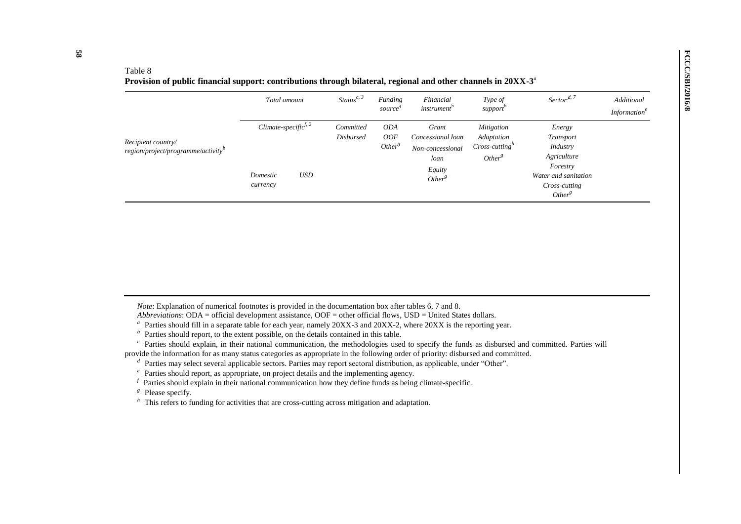#### Table 8

**Provision of public financial support: contributions through bilateral, regional and other channels in 20XX-3** *a*

|                                                                      | Total amount                                     |            | Status <sup>c, 3</sup>        | Funding<br>source <sup>*</sup>                 | Financial<br><i>instrument</i>                                                         | Type of<br>support                                                        | Sector <sup>d, 7</sup>                                                                                                           | Additional<br><i>Information<sup>e</sup></i> |
|----------------------------------------------------------------------|--------------------------------------------------|------------|-------------------------------|------------------------------------------------|----------------------------------------------------------------------------------------|---------------------------------------------------------------------------|----------------------------------------------------------------------------------------------------------------------------------|----------------------------------------------|
| Recipient country/<br>region/project/programme/activity <sup>b</sup> | Climate-specific $ff, 2$<br>Domestic<br>currency | <b>USD</b> | Committed<br><b>Disbursed</b> | <b>ODA</b><br><i>OOF</i><br>Other <sup>g</sup> | Grant<br>Concessional loan<br>Non-concessional<br>loan<br>Equity<br>Other <sup>g</sup> | <b>Mitigation</b><br>Adaptation<br>$Cross-cuttingn$<br>Other <sup>g</sup> | Energy<br><b>Transport</b><br>Industry<br>Agriculture<br>Forestry<br>Water and sanitation<br>Cross-cutting<br>Other <sup>g</sup> |                                              |

*Note*: Explanation of numerical footnotes is provided in the documentation box after tables 6, 7 and 8.

*Abbreviations*: ODA = official development assistance, OOF = other official flows, USD = United States dollars.

<sup>a</sup> Parties should fill in a separate table for each year, namely 20XX-3 and 20XX-2, where 20XX is the reporting year.

 $\bar{p}$  Parties should report, to the extent possible, on the details contained in this table.

<sup>c</sup> Parties should explain, in their national communication, the methodologies used to specify the funds as disbursed and committed. Parties will provide the information for as many status categories as appropriate in the following order of priority: disbursed and committed.

*d* Parties may select several applicable sectors. Parties may report sectoral distribution, as applicable, under "Other".

 $\epsilon$  Parties should report, as appropriate, on project details and the implementing agency.

 $f$  Parties should explain in their national communication how they define funds as being climate-specific.

<sup>*g*</sup> Please specify.

*h* This refers to funding for activities that are cross-cutting across mitigation and adaptation.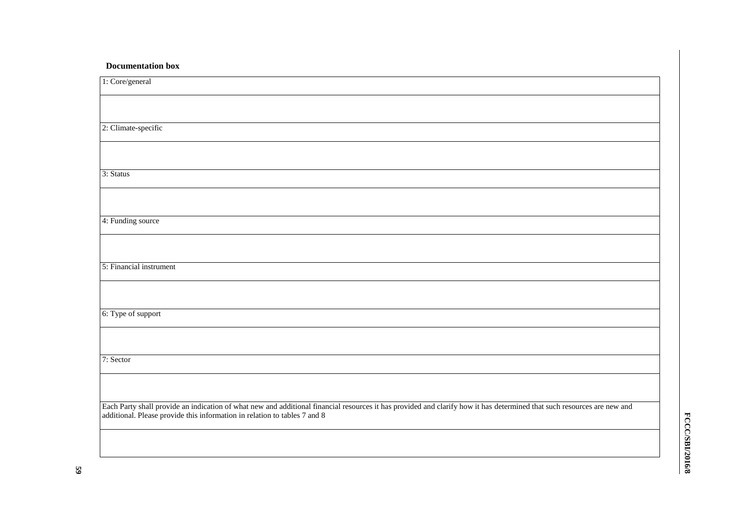## **Documentation box**

| 1: Core/general                                                                                                                                                                                                                                      |
|------------------------------------------------------------------------------------------------------------------------------------------------------------------------------------------------------------------------------------------------------|
|                                                                                                                                                                                                                                                      |
|                                                                                                                                                                                                                                                      |
| 2: Climate-specific                                                                                                                                                                                                                                  |
|                                                                                                                                                                                                                                                      |
|                                                                                                                                                                                                                                                      |
| 3: Status                                                                                                                                                                                                                                            |
|                                                                                                                                                                                                                                                      |
| 4: Funding source                                                                                                                                                                                                                                    |
|                                                                                                                                                                                                                                                      |
| 5: Financial instrument                                                                                                                                                                                                                              |
|                                                                                                                                                                                                                                                      |
| 6: Type of support                                                                                                                                                                                                                                   |
|                                                                                                                                                                                                                                                      |
| 7: Sector                                                                                                                                                                                                                                            |
|                                                                                                                                                                                                                                                      |
| Each Party shall provide an indication of what new and additional financial resources it has provided and clarify how it has determined that such resources are new and<br>additional. Please provide this information in relation to tables 7 and 8 |
|                                                                                                                                                                                                                                                      |
|                                                                                                                                                                                                                                                      |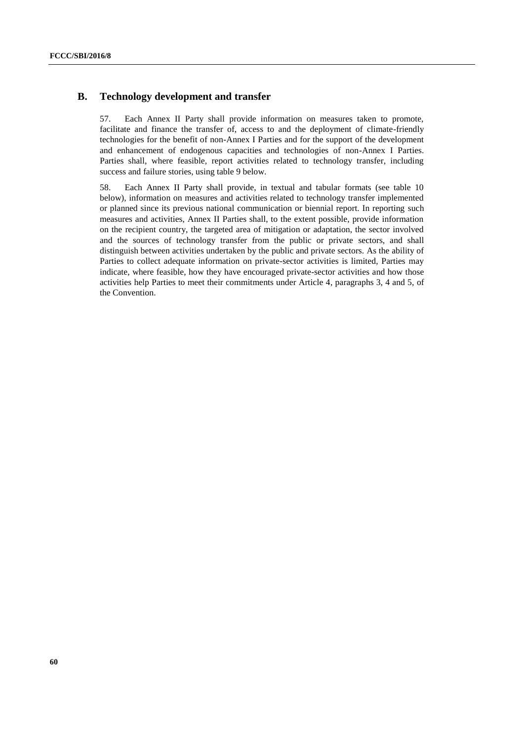## **B. Technology development and transfer**

57. Each Annex II Party shall provide information on measures taken to promote, facilitate and finance the transfer of, access to and the deployment of climate-friendly technologies for the benefit of non-Annex I Parties and for the support of the development and enhancement of endogenous capacities and technologies of non-Annex I Parties. Parties shall, where feasible, report activities related to technology transfer, including success and failure stories, using table 9 below.

58. Each Annex II Party shall provide, in textual and tabular formats (see table 10 below), information on measures and activities related to technology transfer implemented or planned since its previous national communication or biennial report. In reporting such measures and activities, Annex II Parties shall, to the extent possible, provide information on the recipient country, the targeted area of mitigation or adaptation, the sector involved and the sources of technology transfer from the public or private sectors, and shall distinguish between activities undertaken by the public and private sectors. As the ability of Parties to collect adequate information on private-sector activities is limited, Parties may indicate, where feasible, how they have encouraged private-sector activities and how those activities help Parties to meet their commitments under Article 4, paragraphs 3, 4 and 5, of the Convention.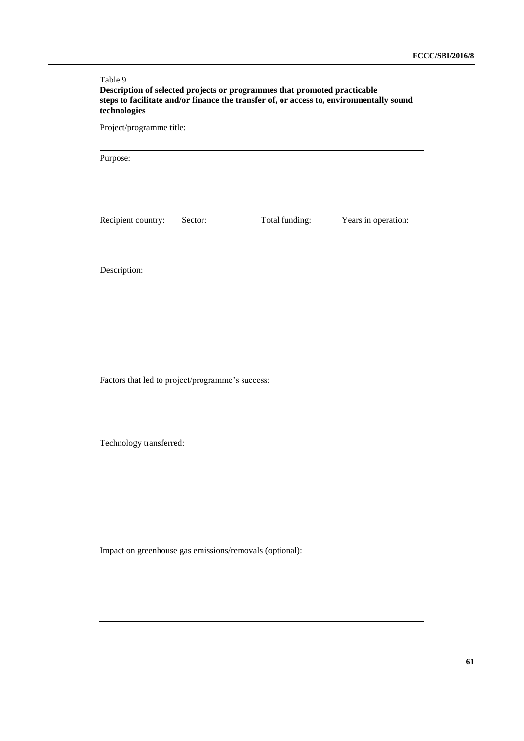#### Table 9 **Description of selected projects or programmes that promoted practicable steps to facilitate and/or finance the transfer of, or access to, environmentally sound technologies**

Project/programme title:

Purpose:

Recipient country: Sector: Total funding: Years in operation:

Description:

Factors that led to project/programme's success:

Technology transferred:

Impact on greenhouse gas emissions/removals (optional):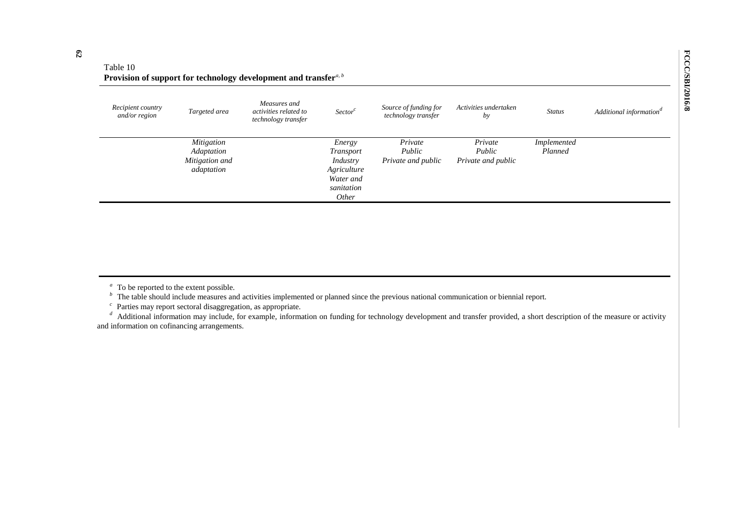| Table 10                                                                                   |
|--------------------------------------------------------------------------------------------|
| Provision of support for technology development and transfer <sup><i>a</i>, <i>b</i></sup> |

| Recipient country<br>and/or region | Targeted area                                            | Measures and<br>activities related to<br>technology transfer | Sector <sup>c</sup>                                                                       | Source of funding for<br>technology transfer | Activities undertaken<br>by             | <b>Status</b>          | Additional information <sup>a</sup> |
|------------------------------------|----------------------------------------------------------|--------------------------------------------------------------|-------------------------------------------------------------------------------------------|----------------------------------------------|-----------------------------------------|------------------------|-------------------------------------|
|                                    | Mitigation<br>Adaptation<br>Mitigation and<br>adaptation |                                                              | Energy<br><i>Transport</i><br>Industry<br>Agriculture<br>Water and<br>sanitation<br>Other | Private<br>Public<br>Private and public      | Private<br>Public<br>Private and public | Implemented<br>Planned |                                     |

*b* The table should include measures and activities implemented or planned since the previous national communication or biennial report.

 $c$  Parties may report sectoral disaggregation, as appropriate.

<sup>d</sup> Additional information may include, for example, information on funding for technology development and transfer provided, a short description of the measure or activity and information on cofinancing arrangements.

<sup>&</sup>lt;sup>a</sup> To be reported to the extent possible.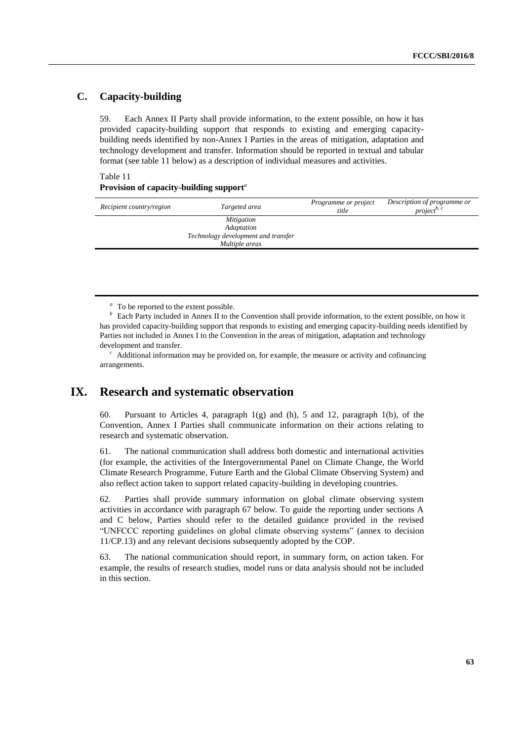## **C. Capacity-building**

59. Each Annex II Party shall provide information, to the extent possible, on how it has provided capacity-building support that responds to existing and emerging capacitybuilding needs identified by non-Annex I Parties in the areas of mitigation, adaptation and technology development and transfer. Information should be reported in textual and tabular format (see table 11 below) as a description of individual measures and activities.

#### Table 11

#### **Provision of capacity-building support***<sup>a</sup>*

| Recipient country/region | Targeted area                       | Programme or project<br>title | Description of programme or<br>project <sup><math>b, c</math></sup> |
|--------------------------|-------------------------------------|-------------------------------|---------------------------------------------------------------------|
|                          | Mitigation                          |                               |                                                                     |
|                          | Adaptation                          |                               |                                                                     |
|                          | Technology development and transfer |                               |                                                                     |
|                          | Multiple areas                      |                               |                                                                     |

*b* Each Party included in Annex II to the Convention shall provide information, to the extent possible, on how it has provided capacity-building support that responds to existing and emerging capacity-building needs identified by Parties not included in Annex I to the Convention in the areas of mitigation, adaptation and technology development and transfer.

<sup>c</sup> Additional information may be provided on, for example, the measure or activity and cofinancing arrangements.

# **IX. Research and systematic observation**

60. Pursuant to Articles 4, paragraph 1(g) and (h), 5 and 12, paragraph 1(b), of the Convention, Annex I Parties shall communicate information on their actions relating to research and systematic observation.

61. The national communication shall address both domestic and international activities (for example, the activities of the Intergovernmental Panel on Climate Change, the World Climate Research Programme, Future Earth and the Global Climate Observing System) and also reflect action taken to support related capacity-building in developing countries.

62. Parties shall provide summary information on global climate observing system activities in accordance with paragraph 67 below. To guide the reporting under sections A and C below, Parties should refer to the detailed guidance provided in the revised "UNFCCC reporting guidelines on global climate observing systems" (annex to decision 11/CP.13) and any relevant decisions subsequently adopted by the COP.

63. The national communication should report, in summary form, on action taken. For example, the results of research studies, model runs or data analysis should not be included in this section.

<sup>&</sup>lt;sup>*a*</sup> To be reported to the extent possible.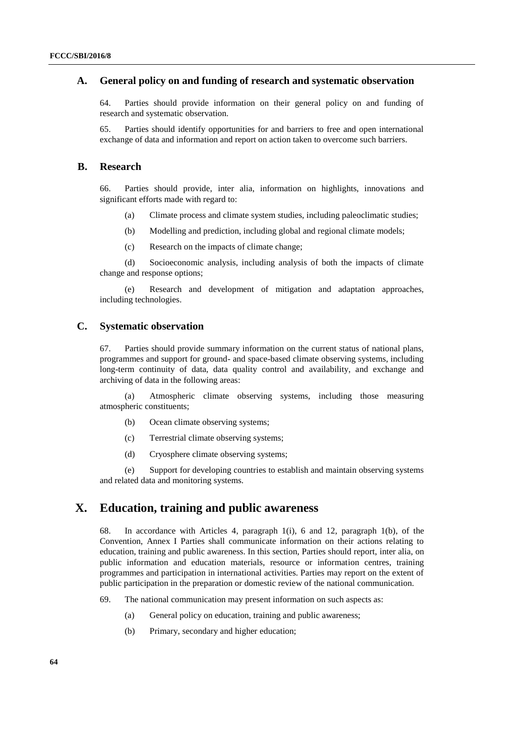## **A. General policy on and funding of research and systematic observation**

64. Parties should provide information on their general policy on and funding of research and systematic observation.

65. Parties should identify opportunities for and barriers to free and open international exchange of data and information and report on action taken to overcome such barriers.

#### **B. Research**

66. Parties should provide, inter alia, information on highlights, innovations and significant efforts made with regard to:

- (a) Climate process and climate system studies, including paleoclimatic studies;
- (b) Modelling and prediction, including global and regional climate models;
- (c) Research on the impacts of climate change;

(d) Socioeconomic analysis, including analysis of both the impacts of climate change and response options;

(e) Research and development of mitigation and adaptation approaches, including technologies.

### **C. Systematic observation**

67. Parties should provide summary information on the current status of national plans, programmes and support for ground- and space-based climate observing systems, including long-term continuity of data, data quality control and availability, and exchange and archiving of data in the following areas:

(a) Atmospheric climate observing systems, including those measuring atmospheric constituents;

- (b) Ocean climate observing systems;
- (c) Terrestrial climate observing systems;
- (d) Cryosphere climate observing systems;

(e) Support for developing countries to establish and maintain observing systems and related data and monitoring systems.

# **X. Education, training and public awareness**

68. In accordance with Articles 4, paragraph 1(i), 6 and 12, paragraph 1(b), of the Convention, Annex I Parties shall communicate information on their actions relating to education, training and public awareness. In this section, Parties should report, inter alia, on public information and education materials, resource or information centres, training programmes and participation in international activities. Parties may report on the extent of public participation in the preparation or domestic review of the national communication.

- 69. The national communication may present information on such aspects as:
	- (a) General policy on education, training and public awareness;
	- (b) Primary, secondary and higher education;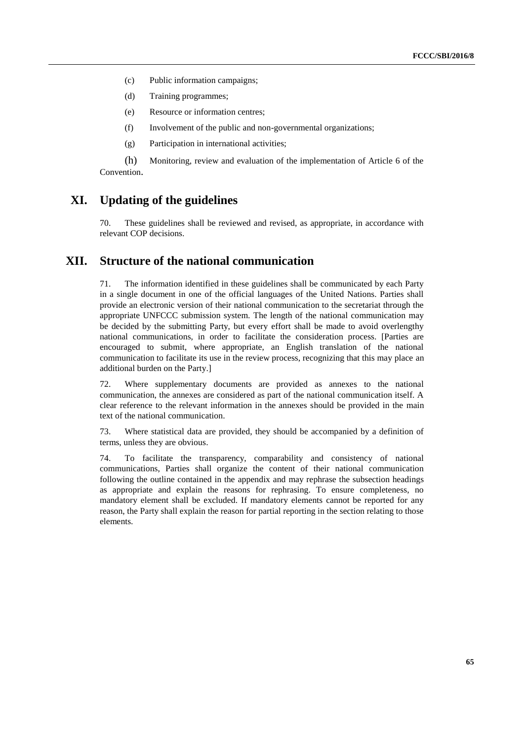- (c) Public information campaigns;
- (d) Training programmes;
- (e) Resource or information centres;
- (f) Involvement of the public and non-governmental organizations;
- (g) Participation in international activities;

(h) Monitoring, review and evaluation of the implementation of Article 6 of the Convention.

# **XI. Updating of the guidelines**

70. These guidelines shall be reviewed and revised, as appropriate, in accordance with relevant COP decisions.

# **XII. Structure of the national communication**

71. The information identified in these guidelines shall be communicated by each Party in a single document in one of the official languages of the United Nations. Parties shall provide an electronic version of their national communication to the secretariat through the appropriate UNFCCC submission system. The length of the national communication may be decided by the submitting Party, but every effort shall be made to avoid overlengthy national communications, in order to facilitate the consideration process. [Parties are encouraged to submit, where appropriate, an English translation of the national communication to facilitate its use in the review process, recognizing that this may place an additional burden on the Party.]

72. Where supplementary documents are provided as annexes to the national communication, the annexes are considered as part of the national communication itself. A clear reference to the relevant information in the annexes should be provided in the main text of the national communication.

73. Where statistical data are provided, they should be accompanied by a definition of terms, unless they are obvious.

74. To facilitate the transparency, comparability and consistency of national communications, Parties shall organize the content of their national communication following the outline contained in the appendix and may rephrase the subsection headings as appropriate and explain the reasons for rephrasing. To ensure completeness, no mandatory element shall be excluded. If mandatory elements cannot be reported for any reason, the Party shall explain the reason for partial reporting in the section relating to those elements.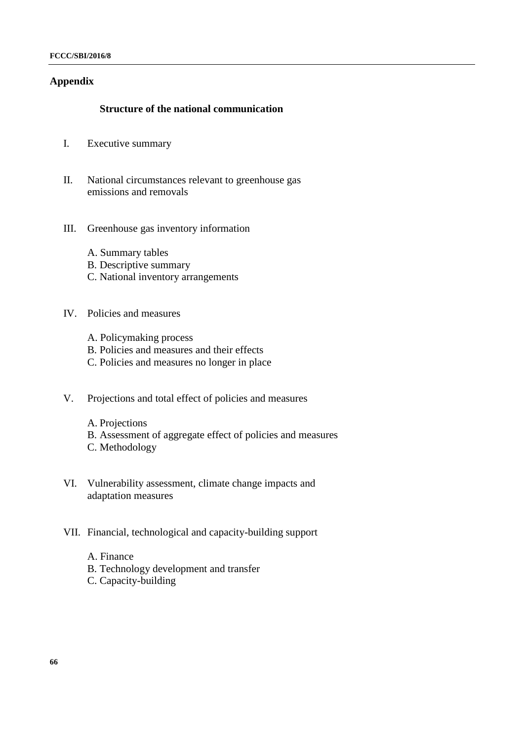## **Appendix**

## **Structure of the national communication**

- I. Executive summary
- II. National circumstances relevant to greenhouse gas emissions and removals
- III. Greenhouse gas inventory information
	- A. Summary tables
	- B. Descriptive summary
	- C. National inventory arrangements

## IV. Policies and measures

- A. Policymaking process
- B. Policies and measures and their effects
- C. Policies and measures no longer in place
- V. Projections and total effect of policies and measures
	- A. Projections
	- B. Assessment of aggregate effect of policies and measures
	- C. Methodology
- VI. Vulnerability assessment, climate change impacts and adaptation measures
- VII. Financial, technological and capacity-building support
	- A. Finance B. Technology development and transfer C. Capacity-building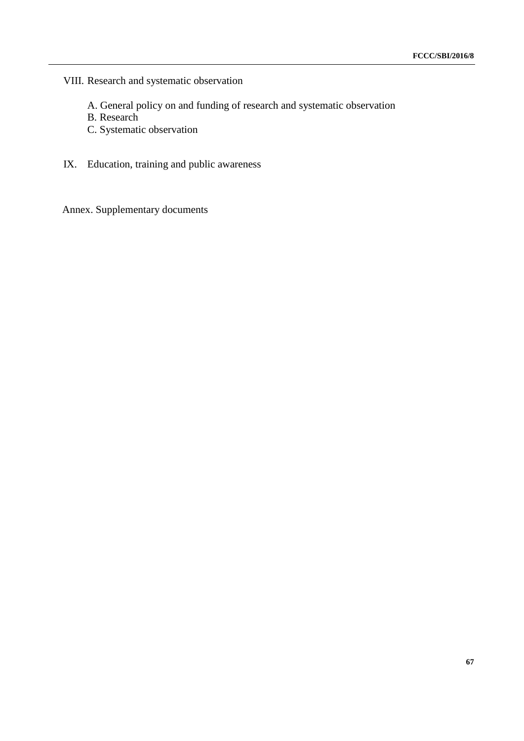VIII. Research and systematic observation

- A. General policy on and funding of research and systematic observation
- B. Research
- C. Systematic observation
- IX. Education, training and public awareness

Annex. Supplementary documents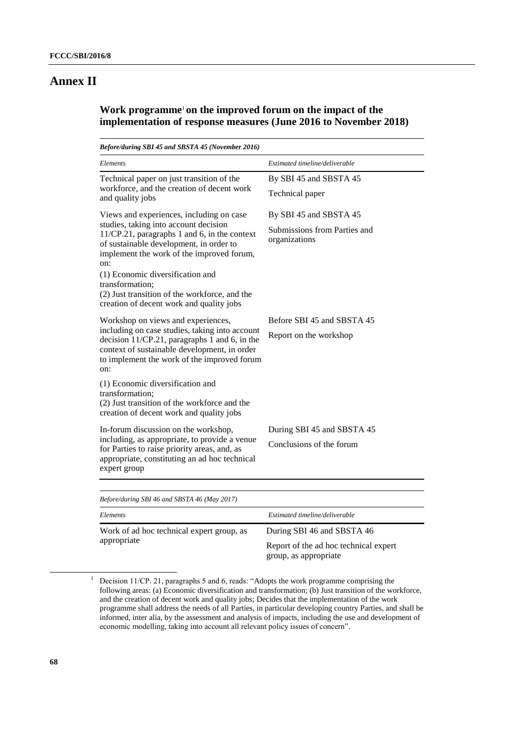# **Annex II**

# **Work programme**<sup>1</sup> **on the improved forum on the impact of the implementation of response measures (June 2016 to November 2018)**

| Estimated timeline/deliverable                                          |  |  |  |
|-------------------------------------------------------------------------|--|--|--|
| By SBI 45 and SBSTA 45<br>Technical paper                               |  |  |  |
| By SBI 45 and SBSTA 45<br>Submissions from Parties and<br>organizations |  |  |  |
|                                                                         |  |  |  |
| Before SBI 45 and SBSTA 45<br>Report on the workshop                    |  |  |  |
|                                                                         |  |  |  |
| During SBI 45 and SBSTA 45<br>Conclusions of the forum                  |  |  |  |
|                                                                         |  |  |  |

| Before/during SBI 40 and SBSIA 40 (May 2017)             |                                                                |  |  |  |
|----------------------------------------------------------|----------------------------------------------------------------|--|--|--|
| Elements                                                 | Estimated timeline/deliverable                                 |  |  |  |
| Work of ad hoc technical expert group, as<br>appropriate | During SBI 46 and SBSTA 46                                     |  |  |  |
|                                                          | Report of the ad hoc technical expert<br>group, as appropriate |  |  |  |

<sup>&</sup>lt;sup>1</sup> Decision 11/CP. 21, paragraphs 5 and 6, reads: "Adopts the work programme comprising the following areas: (a) Economic diversification and transformation; (b) Just transition of the workforce, and the creation of decent work and quality jobs; Decides that the implementation of the work programme shall address the needs of all Parties, in particular developing country Parties, and shall be informed, inter alia, by the assessment and analysis of impacts, including the use and development of economic modelling, taking into account all relevant policy issues of concern".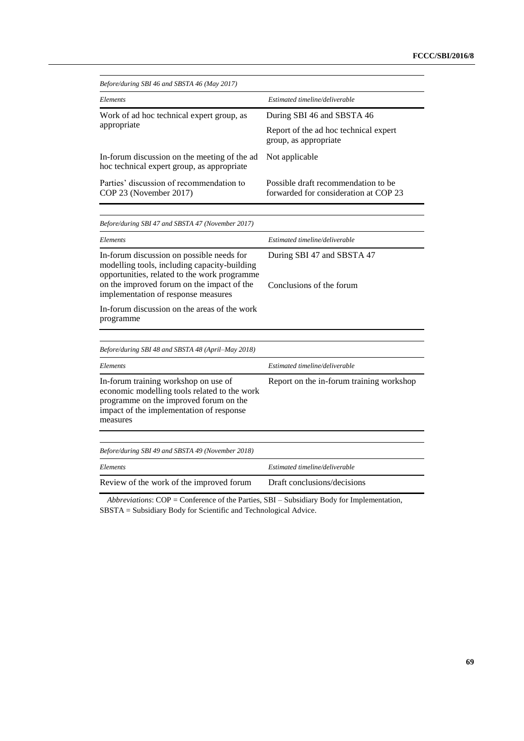| Before/during SBI 46 and SBSTA 46 (May 2017)                                                                                                                                           |                                                                              |  |  |  |  |
|----------------------------------------------------------------------------------------------------------------------------------------------------------------------------------------|------------------------------------------------------------------------------|--|--|--|--|
| Elements                                                                                                                                                                               | Estimated timeline/deliverable                                               |  |  |  |  |
| Work of ad hoc technical expert group, as                                                                                                                                              | During SBI 46 and SBSTA 46                                                   |  |  |  |  |
| appropriate                                                                                                                                                                            | Report of the ad hoc technical expert<br>group, as appropriate               |  |  |  |  |
| In-forum discussion on the meeting of the ad<br>hoc technical expert group, as appropriate                                                                                             | Not applicable                                                               |  |  |  |  |
| Parties' discussion of recommendation to<br>COP 23 (November 2017)                                                                                                                     | Possible draft recommendation to be<br>forwarded for consideration at COP 23 |  |  |  |  |
|                                                                                                                                                                                        |                                                                              |  |  |  |  |
| Before/during SBI 47 and SBSTA 47 (November 2017)                                                                                                                                      |                                                                              |  |  |  |  |
| Elements                                                                                                                                                                               | Estimated timeline/deliverable                                               |  |  |  |  |
| In-forum discussion on possible needs for<br>modelling tools, including capacity-building<br>opportunities, related to the work programme                                              | During SBI 47 and SBSTA 47                                                   |  |  |  |  |
| on the improved forum on the impact of the<br>implementation of response measures                                                                                                      | Conclusions of the forum                                                     |  |  |  |  |
| In-forum discussion on the areas of the work<br>programme                                                                                                                              |                                                                              |  |  |  |  |
| Before/during SBI 48 and SBSTA 48 (April–May 2018)                                                                                                                                     |                                                                              |  |  |  |  |
| Elements                                                                                                                                                                               | Estimated timeline/deliverable                                               |  |  |  |  |
| In-forum training workshop on use of<br>economic modelling tools related to the work<br>programme on the improved forum on the<br>impact of the implementation of response<br>measures | Report on the in-forum training workshop                                     |  |  |  |  |
|                                                                                                                                                                                        |                                                                              |  |  |  |  |
| Before/during SBI 49 and SBSTA 49 (November 2018)                                                                                                                                      |                                                                              |  |  |  |  |
| Elements                                                                                                                                                                               | Estimated timeline/deliverable                                               |  |  |  |  |
| Review of the work of the improved forum                                                                                                                                               | Draft conclusions/decisions                                                  |  |  |  |  |

*Abbreviations*: COP = Conference of the Parties, SBI – Subsidiary Body for Implementation, SBSTA = Subsidiary Body for Scientific and Technological Advice.